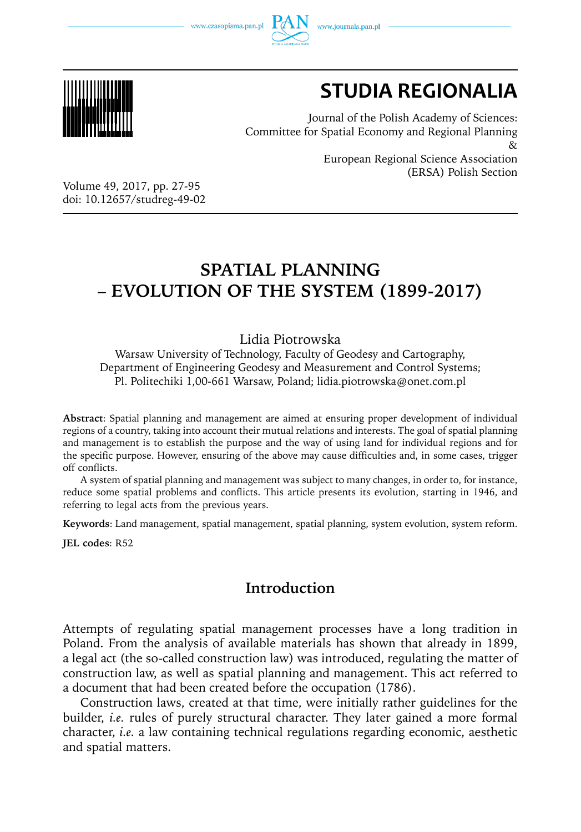www.czasopisma.pan.pl





# **STUDIA REGIONALIA**

Journal of the Polish Academy of Sciences: Committee for Spatial Economy and Regional Planning  $_{\alpha}$ European Regional Science Association (ERSA) Polish Section

Volume 49, 2017, pp. 27-95 doi: 10.12657/studreg-49-02

# **SPATIAL PLANNING – EVOLUTION OF THE SYSTEM (1899-2017)**

### Lidia Piotrowska

Warsaw University of Technology, Faculty of Geodesy and Cartography, Department of Engineering Geodesy and Measurement and Control Systems; Pl. Politechiki 1,00-661 Warsaw, Poland; lidia.piotrowska@onet.com.pl

**Abstract**: Spatial planning and management are aimed at ensuring proper development of individual regions of a country, taking into account their mutual relations and interests. The goal of spatial planning and management is to establish the purpose and the way of using land for individual regions and for the specific purpose. However, ensuring of the above may cause difficulties and, in some cases, trigger off conflicts.

A system of spatial planning and management was subject to many changes, in order to, for instance, reduce some spatial problems and conflicts. This article presents its evolution, starting in 1946, and referring to legal acts from the previous years.

**Keywords**: Land management, spatial management, spatial planning, system evolution, system reform.

**JEL codes**: R52

# **Introduction**

Attempts of regulating spatial management processes have a long tradition in Poland. From the analysis of available materials has shown that already in 1899, a legal act (the so-called construction law) was introduced, regulating the matter of construction law, as well as spatial planning and management. This act referred to a document that had been created before the occupation (1786).

Construction laws, created at that time, were initially rather guidelines for the builder, *i.e.* rules of purely structural character. They later gained a more formal character, *i.e.* a law containing technical regulations regarding economic, aesthetic and spatial matters.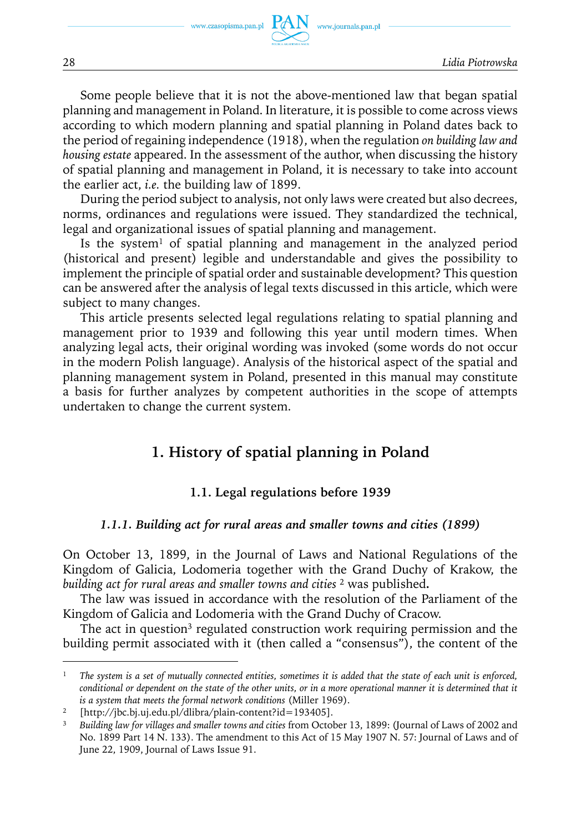www.journals.pan.pl

Some people believe that it is not the above-mentioned law that began spatial planning and management in Poland. In literature, it is possible to come across views according to which modern planning and spatial planning in Poland dates back to the period of regaining independence (1918), when the regulation *on building law and housing estate* appeared. In the assessment of the author, when discussing the history of spatial planning and management in Poland, it is necessary to take into account the earlier act, *i.e.* the building law of 1899.

During the period subject to analysis, not only laws were created but also decrees, norms, ordinances and regulations were issued. They standardized the technical, legal and organizational issues of spatial planning and management.

Is the system<sup>1</sup> of spatial planning and management in the analyzed period (historical and present) legible and understandable and gives the possibility to implement the principle of spatial order and sustainable development? This question can be answered after the analysis of legal texts discussed in this article, which were subject to many changes.

This article presents selected legal regulations relating to spatial planning and management prior to 1939 and following this year until modern times. When analyzing legal acts, their original wording was invoked (some words do not occur in the modern Polish language). Analysis of the historical aspect of the spatial and planning management system in Poland, presented in this manual may constitute a basis for further analyzes by competent authorities in the scope of attempts undertaken to change the current system.

# **1. History of spatial planning in Poland**

### **1.1. Legal regulations before 1939**

#### *1.1.1. Building act for rural areas and smaller towns and cities (1899)*

On October 13, 1899, in the Journal of Laws and National Regulations of the Kingdom of Galicia, Lodomeria together with the Grand Duchy of Krakow, the *building act for rural areas and smaller towns and cities* <sup>2</sup> was published**.**

The law was issued in accordance with the resolution of the Parliament of the Kingdom of Galicia and Lodomeria with the Grand Duchy of Cracow.

The act in question<sup>3</sup> regulated construction work requiring permission and the building permit associated with it (then called a "consensus"), the content of the

<sup>1</sup> *The system is a set of mutually connected entities, sometimes it is added that the state of each unit is enforced, conditional or dependent on the state of the other units, or in a more operational manner it is determined that it is a system that meets the formal network conditions* (Miller 1969).

<sup>2</sup> [http://jbc.bj.uj.edu.pl/dlibra/plain-content?id=193405].

<sup>3</sup> *Building law for villages and smaller towns and cities* from October 13, 1899: (Journal of Laws of 2002 and No. 1899 Part 14 N. 133). The amendment to this Act of 15 May 1907 N. 57: Journal of Laws and of June 22, 1909, Journal of Laws Issue 91.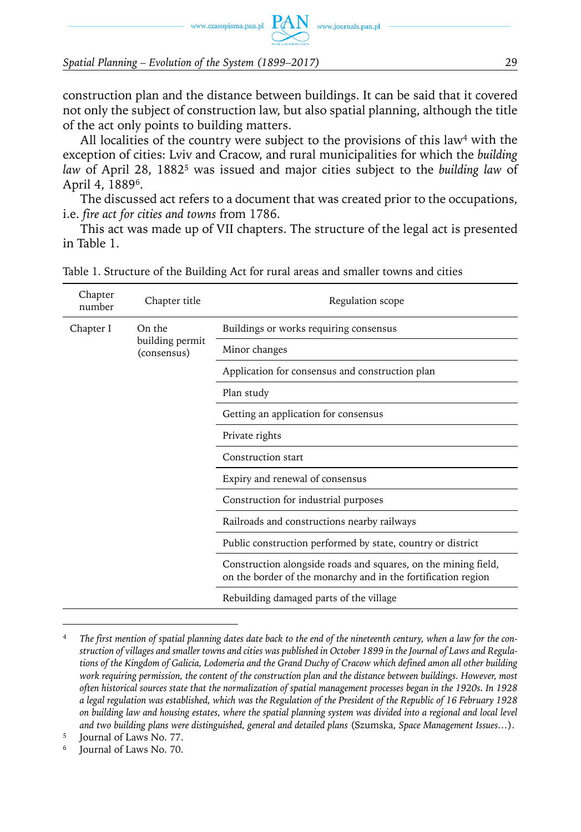www.czasopisma.pan.pl  $PAN$  www.journals.pan.pl

*Spatial Planning – Evolution of the System (1899–2017)* 29

construction plan and the distance between buildings. It can be said that it covered not only the subject of construction law, but also spatial planning, although the title of the act only points to building matters.

All localities of the country were subject to the provisions of this law<sup>4</sup> with the exception of cities: Lviv and Cracow, and rural municipalities for which the *building law* of April 28, 18825 was issued and major cities subject to the *building law* of April 4, 18896.

The discussed act refers to a document that was created prior to the occupations, i.e. *fire act for cities and towns* from 1786.

This act was made up of VII chapters. The structure of the legal act is presented in Table 1.

| Chapter<br>number | Chapter title                  | Regulation scope                                                                                                                |
|-------------------|--------------------------------|---------------------------------------------------------------------------------------------------------------------------------|
| Chapter I         | On the                         | Buildings or works requiring consensus                                                                                          |
|                   | building permit<br>(consensus) | Minor changes                                                                                                                   |
|                   |                                | Application for consensus and construction plan                                                                                 |
|                   |                                | Plan study                                                                                                                      |
|                   |                                | Getting an application for consensus                                                                                            |
|                   |                                | Private rights                                                                                                                  |
|                   | Construction start             |                                                                                                                                 |
|                   |                                | Expiry and renewal of consensus                                                                                                 |
|                   |                                | Construction for industrial purposes                                                                                            |
|                   |                                | Railroads and constructions nearby railways                                                                                     |
|                   |                                | Public construction performed by state, country or district                                                                     |
|                   |                                | Construction alongside roads and squares, on the mining field,<br>on the border of the monarchy and in the fortification region |
|                   |                                | Rebuilding damaged parts of the village                                                                                         |

Table 1. Structure of the Building Act for rural areas and smaller towns and cities

<sup>4</sup> *The first mention of spatial planning dates date back to the end of the nineteenth century, when a law for the construction of villages and smaller towns and cities was published in October 1899 in the Journal of Laws and Regulations of the Kingdom of Galicia, Lodomeria and the Grand Duchy of Cracow which defined amon all other building*  work requiring permission, the content of the construction plan and the distance between buildings. However, most *often historical sources state that the normalization of spatial management processes began in the 1920s. In 1928 a legal regulation was established, which was the Regulation of the President of the Republic of 16 February 1928 on building law and housing estates, where the spatial planning system was divided into a regional and local level and two building plans were distinguished, general and detailed plans* (Szumska, *Space Management Issues…*).

<sup>5</sup> Journal of Laws No. 77.

Journal of Laws No. 70.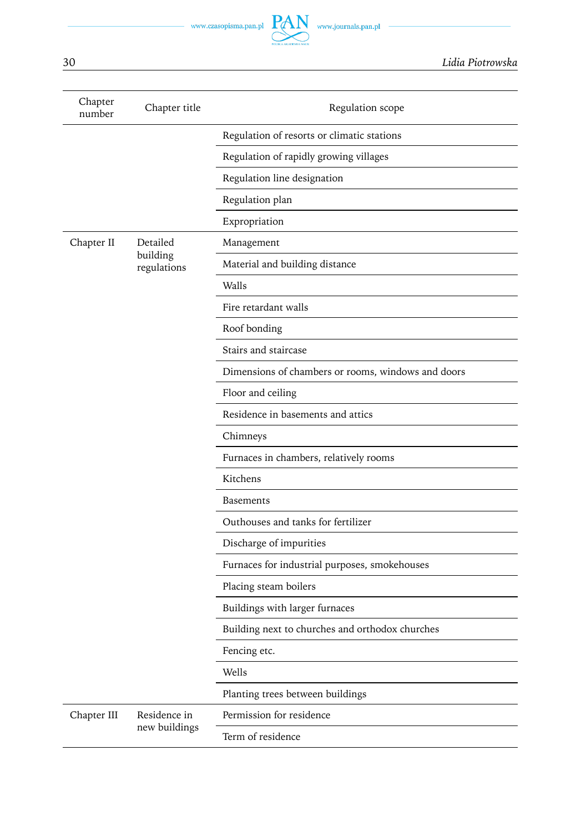| Chapter<br>number | Chapter title           | Regulation scope                                   |
|-------------------|-------------------------|----------------------------------------------------|
|                   |                         | Regulation of resorts or climatic stations         |
|                   |                         | Regulation of rapidly growing villages             |
|                   |                         | Regulation line designation                        |
|                   |                         | Regulation plan                                    |
|                   |                         | Expropriation                                      |
| Chapter II        | Detailed                | Management                                         |
|                   | building<br>regulations | Material and building distance                     |
|                   |                         | Walls                                              |
|                   |                         | Fire retardant walls                               |
|                   |                         | Roof bonding                                       |
|                   |                         | Stairs and staircase                               |
|                   |                         | Dimensions of chambers or rooms, windows and doors |
|                   |                         | Floor and ceiling                                  |
|                   |                         | Residence in basements and attics                  |
|                   |                         | Chimneys                                           |
|                   |                         | Furnaces in chambers, relatively rooms             |
|                   |                         | Kitchens                                           |
|                   |                         | Basements                                          |
|                   |                         | Outhouses and tanks for fertilizer                 |
|                   |                         | Discharge of impurities                            |
|                   |                         | Furnaces for industrial purposes, smokehouses      |
|                   |                         | Placing steam boilers                              |
|                   |                         | Buildings with larger furnaces                     |
|                   |                         | Building next to churches and orthodox churches    |
|                   |                         | Fencing etc.                                       |
|                   |                         | Wells                                              |
|                   |                         | Planting trees between buildings                   |
| Chapter III       | Residence in            | Permission for residence                           |
|                   | new buildings           | Term of residence                                  |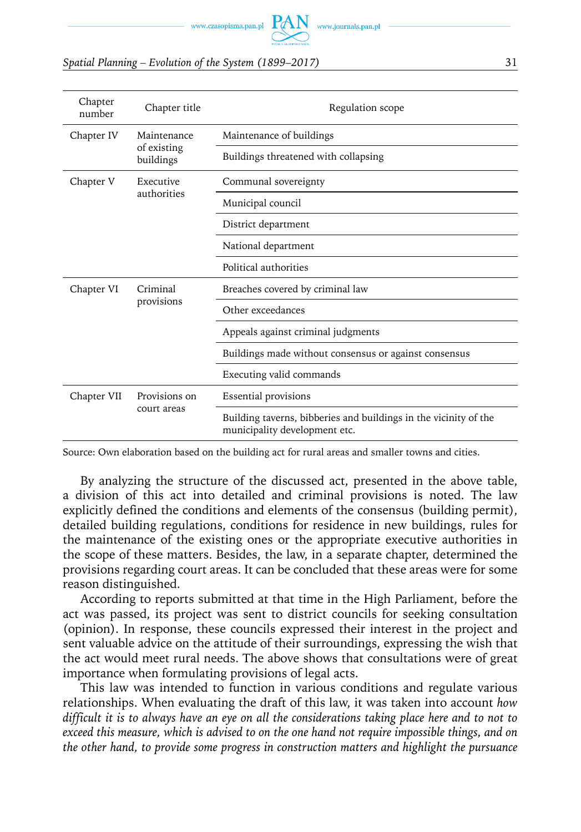www.czasopisma.pan.pl  $PAN$  www.journals.pan.pl

#### *Spatial Planning – Evolution of the System (1899–2017)* 31

| Chapter<br>number | Chapter title            | Regulation scope                                                                                  |
|-------------------|--------------------------|---------------------------------------------------------------------------------------------------|
| Chapter IV        | Maintenance              | Maintenance of buildings                                                                          |
|                   | of existing<br>buildings | Buildings threatened with collapsing                                                              |
| Chapter V         | Executive                | Communal sovereignty                                                                              |
|                   | authorities              | Municipal council                                                                                 |
|                   |                          | District department                                                                               |
|                   |                          | National department                                                                               |
|                   |                          | Political authorities                                                                             |
| Chapter VI        | Criminal                 | Breaches covered by criminal law                                                                  |
|                   | provisions               | Other exceedances                                                                                 |
|                   |                          | Appeals against criminal judgments                                                                |
|                   |                          | Buildings made without consensus or against consensus                                             |
|                   |                          | Executing valid commands                                                                          |
| Chapter VII       | Provisions on            | Essential provisions                                                                              |
|                   | court areas              | Building taverns, bibberies and buildings in the vicinity of the<br>municipality development etc. |

Source: Own elaboration based on the building act for rural areas and smaller towns and cities.

By analyzing the structure of the discussed act, presented in the above table, a division of this act into detailed and criminal provisions is noted. The law explicitly defined the conditions and elements of the consensus (building permit), detailed building regulations, conditions for residence in new buildings, rules for the maintenance of the existing ones or the appropriate executive authorities in the scope of these matters. Besides, the law, in a separate chapter, determined the provisions regarding court areas. It can be concluded that these areas were for some reason distinguished.

According to reports submitted at that time in the High Parliament, before the act was passed, its project was sent to district councils for seeking consultation (opinion). In response, these councils expressed their interest in the project and sent valuable advice on the attitude of their surroundings, expressing the wish that the act would meet rural needs. The above shows that consultations were of great importance when formulating provisions of legal acts.

This law was intended to function in various conditions and regulate various relationships. When evaluating the draft of this law, it was taken into account *how difficult it is to always have an eye on all the considerations taking place here and to not to exceed this measure, which is advised to on the one hand not require impossible things, and on the other hand, to provide some progress in construction matters and highlight the pursuance*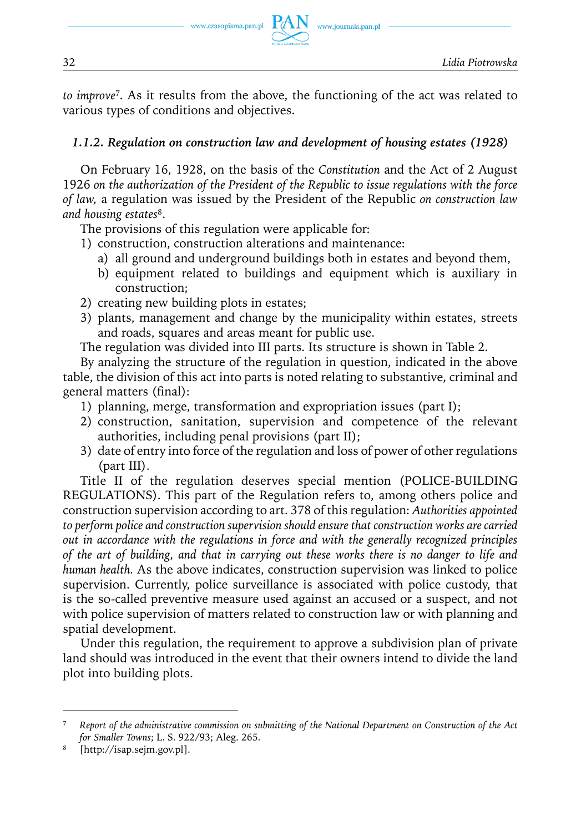

*to improve*<sup>7</sup>*.* As it results from the above, the functioning of the act was related to various types of conditions and objectives.

www.journals.pan.pl

### *1.1.2. Regulation on construction law and development of housing estates (1928)*

On February 16, 1928, on the basis of the *Constitution* and the Act of 2 August 1926 *on the authorization of the President of the Republic to issue regulations with the force of law,* a regulation was issued by the President of the Republic *on construction law and housing estates*8.

The provisions of this regulation were applicable for:

- 1) construction, construction alterations and maintenance:
	- a) all ground and underground buildings both in estates and beyond them,
	- b) equipment related to buildings and equipment which is auxiliary in construction;
- 2) creating new building plots in estates;
- 3) plants, management and change by the municipality within estates, streets and roads, squares and areas meant for public use.

The regulation was divided into III parts. Its structure is shown in Table 2.

By analyzing the structure of the regulation in question, indicated in the above table, the division of this act into parts is noted relating to substantive, criminal and general matters (final):

- 1) planning, merge, transformation and expropriation issues (part I);
- 2) construction, sanitation, supervision and competence of the relevant authorities, including penal provisions (part II);
- 3) date of entry into force of the regulation and loss of power of other regulations (part III).

Title II of the regulation deserves special mention (POLICE-BUILDING REGULATIONS). This part of the Regulation refers to, among others police and construction supervision according to art. 378 of this regulation: *Authorities appointed to perform police and construction supervision should ensure that construction works are carried out in accordance with the regulations in force and with the generally recognized principles of the art of building, and that in carrying out these works there is no danger to life and human health.* As the above indicates, construction supervision was linked to police supervision. Currently, police surveillance is associated with police custody, that is the so-called preventive measure used against an accused or a suspect, and not with police supervision of matters related to construction law or with planning and spatial development.

Under this regulation, the requirement to approve a subdivision plan of private land should was introduced in the event that their owners intend to divide the land plot into building plots.

<sup>7</sup> *Report of the administrative commission on submitting of the National Department on Construction of the Act for Smaller Towns*; L. S. 922/93; Aleg. 265.

<sup>8</sup> [http://isap.sejm.gov.pl].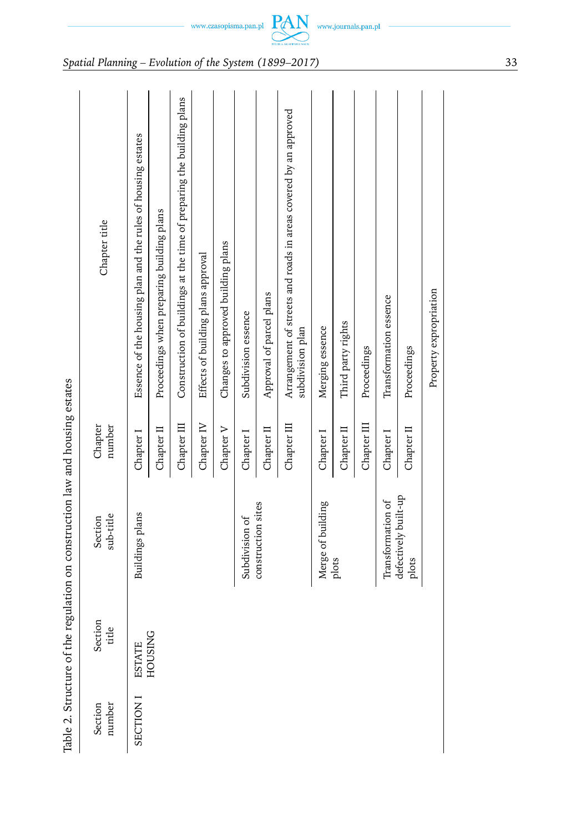| i<br>J                                                                                      |
|---------------------------------------------------------------------------------------------|
|                                                                                             |
|                                                                                             |
| į                                                                                           |
|                                                                                             |
| trictive of the regulation on construction law and housing estat                            |
| ֧֦֦֪֪֧֧֧֧֧֧֧֧֧֧֧֧֧֧֧֧֧֧֧֚֚֚֚֚֚֚֚֚֚֚֚֝֝֝֝֬֝֝֝֝֝֝֝֝֓֝֬֝֓֝֬֝֓֝֬֝֓֝֬֝֓֝֬֝֬֝֬֝֬֝֬֝֬֝֬֝֬֝֬֝֬֝֬֝֬֝ |
|                                                                                             |
|                                                                                             |
|                                                                                             |
| )<br>1<br>$\overline{\phantom{a}}$<br>Ò                                                     |

|                   |                   | Table 2. Structure of the regulation on construction law and housing estates |                   |                                                                                      |
|-------------------|-------------------|------------------------------------------------------------------------------|-------------------|--------------------------------------------------------------------------------------|
| number<br>Section | Section<br>title  | sub-title<br>Section                                                         | number<br>Chapter | Chapter title                                                                        |
| SECTION I         | ESTATE<br>HOUSING | Buildings plans                                                              | Chapter I         | Essence of the housing plan and the rules of housing estates                         |
|                   |                   |                                                                              | Chapter II        | Proceedings when preparing building plans                                            |
|                   |                   |                                                                              | Chapter III       | Construction of buildings at the time of preparing the building plans                |
|                   |                   |                                                                              | Chapter IV        | Effects of building plans approval                                                   |
|                   |                   |                                                                              | Chapter V         | Changes to approved building plans                                                   |
|                   |                   | Subdivision of                                                               | Chapter I         | Subdivision essence                                                                  |
|                   |                   | construction sites                                                           | Chapter II        | Approval of parcel plans                                                             |
|                   |                   |                                                                              | Chapter III       | Arrangement of streets and roads in areas covered by an approved<br>subdivision plan |
|                   |                   | Merge of building                                                            | Chapter I         | Merging essence                                                                      |
|                   |                   | plots                                                                        | Chapter II        | Third party rights                                                                   |
|                   |                   |                                                                              | Chapter III       | Proceedings                                                                          |
|                   |                   | Transformation of                                                            | Chapter I         | Transformation essence                                                               |
|                   |                   | defectively built-up<br>plots                                                | Chapter II        | Proceedings                                                                          |
|                   |                   |                                                                              |                   | Property expropriation                                                               |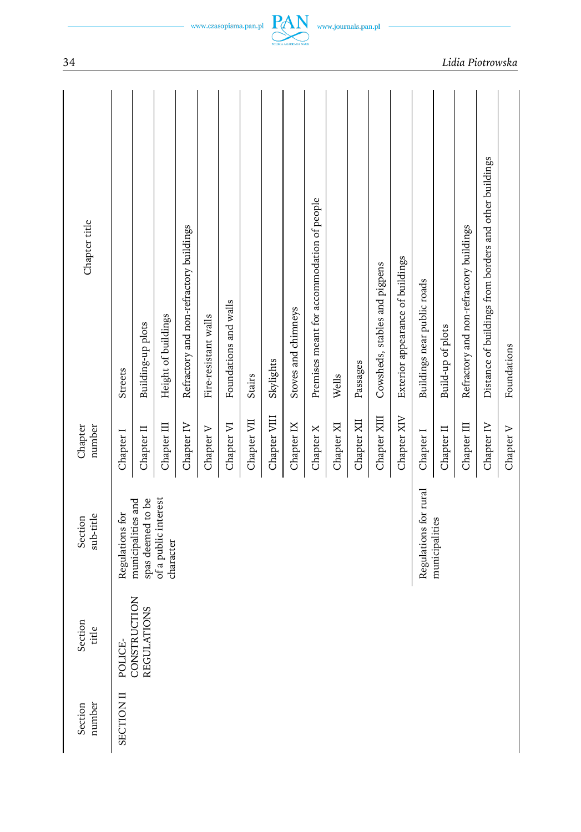| Chapter title                  | Streets           | Building-up plots                       | Height of buildings               | Refractory and non-refractory buildings | Fire-resistant walls | Foundations and walls | Stairs      | Skylights    | Stoves and chimneys | Premises meant for accommodation of people | Wells      | Passages    | Cowsheds, stables and pigpens | Exterior appearance of buildings | Buildings near public roads | Build-up of plots | Refractory and non-refractory buildings | Distance of buildings from borders and other buildings | Foundations |
|--------------------------------|-------------------|-----------------------------------------|-----------------------------------|-----------------------------------------|----------------------|-----------------------|-------------|--------------|---------------------|--------------------------------------------|------------|-------------|-------------------------------|----------------------------------|-----------------------------|-------------------|-----------------------------------------|--------------------------------------------------------|-------------|
| Chapter<br>number              | Chapter I         | Chapter II                              | Chapter III                       | Chapter IV                              | Chapter V            | Chapter VI            | Chapter VII | Chapter VIII | Chapter IX          | Chapter X                                  | Chapter XI | Chapter XII | Chapter XIII                  | Chapter XIV                      | Chapter I                   | Chapter II        | Chapter III                             | Chapter IV                                             | Chapter V   |
| sub-title<br>Section           | Regulations for   | spas deemed to be<br>municipalities and | of a public interest<br>character |                                         |                      |                       |             |              |                     |                                            |            |             |                               |                                  | Regulations for rural       | municipalities    |                                         |                                                        |             |
| Section<br>$\mathbf{Q}$<br>tid | POLICE-           | CONSTRUCTION<br><b>REGULATIONS</b>      |                                   |                                         |                      |                       |             |              |                     |                                            |            |             |                               |                                  |                             |                   |                                         |                                                        |             |
| number<br>Section              | <b>SECTION II</b> |                                         |                                   |                                         |                      |                       |             |              |                     |                                            |            |             |                               |                                  |                             |                   |                                         |                                                        |             |

 $-$  www.czasopisma.pan.pl  $\underbrace{PAN}_{\text{max-continuous}}$  www.journals.pan.pl  $-$ 

34 *Lidia Piotrowska*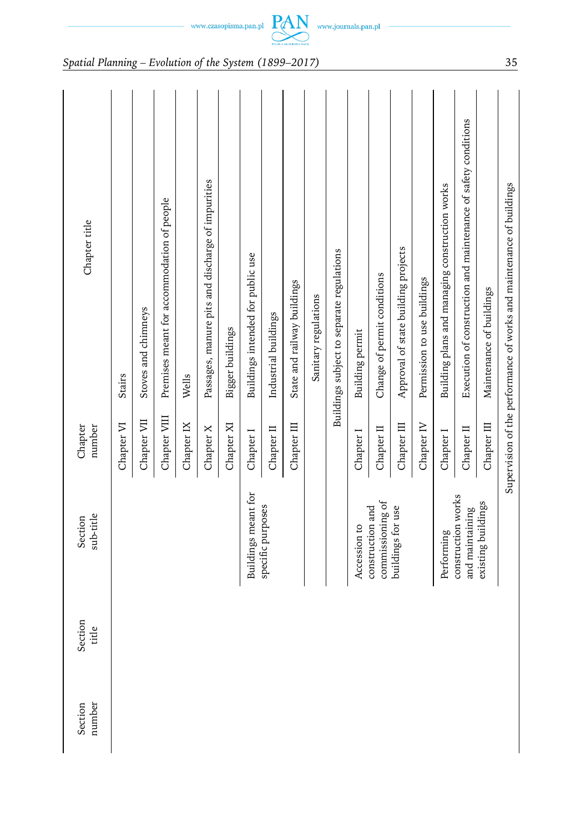| Chapter title        | Stairs     | Stoves and chimneys | Premises meant for accommodation of people | Wells      | Passages, manure pits and discharge of impurities | Bigger buildings | Buildings intended for public use | Industrial buildings | State and railway buildings | Sanitary regulations | Buildings subject to separate regulations | Building permit | Change of permit conditions          | Approval of state building projects | Permission to use buildings | Building plans and managing construction works | Execution of construction and maintenance of safety conditions | Maintenance of buildings | Supervision of the performance of works and maintenance of buildings |
|----------------------|------------|---------------------|--------------------------------------------|------------|---------------------------------------------------|------------------|-----------------------------------|----------------------|-----------------------------|----------------------|-------------------------------------------|-----------------|--------------------------------------|-------------------------------------|-----------------------------|------------------------------------------------|----------------------------------------------------------------|--------------------------|----------------------------------------------------------------------|
| Chapter<br>number    | Chapter VI | Chapter VII         | Chapter VIII                               | Chapter IX | Chapter X                                         | Chapter XI       | Chapter I                         | Chapter II           | Chapter III                 |                      |                                           | Chapter I       | Chapter II                           | Chapter III                         | Chapter IV                  | Chapter I                                      | Chapter II                                                     | Chapter III              |                                                                      |
| sub-title<br>Section |            |                     |                                            |            |                                                   |                  | Buildings meant for               | specific purposes    |                             |                      |                                           | Accession to    | commissioning of<br>construction and | buildings for use                   |                             | Performing                                     | construction works<br>and maintaining                          | existing buildings       |                                                                      |
| Section<br>title     |            |                     |                                            |            |                                                   |                  |                                   |                      |                             |                      |                                           |                 |                                      |                                     |                             |                                                |                                                                |                          |                                                                      |
| Section<br>number    |            |                     |                                            |            |                                                   |                  |                                   |                      |                             |                      |                                           |                 |                                      |                                     |                             |                                                |                                                                |                          |                                                                      |

 $\begin{picture}(120,110) \put(0,0){\dashbox{0.5}(120,0){ }} \put(15,0){\circle{10}} \put(15,0){\circle{10}} \put(15,0){\circle{10}} \put(15,0){\circle{10}} \put(15,0){\circle{10}} \put(15,0){\circle{10}} \put(15,0){\circle{10}} \put(15,0){\circle{10}} \put(15,0){\circle{10}} \put(15,0){\circle{10}} \put(15,0){\circle{10}} \put(15,0){\circle{10}} \put(15,0){\circle{10}} \put($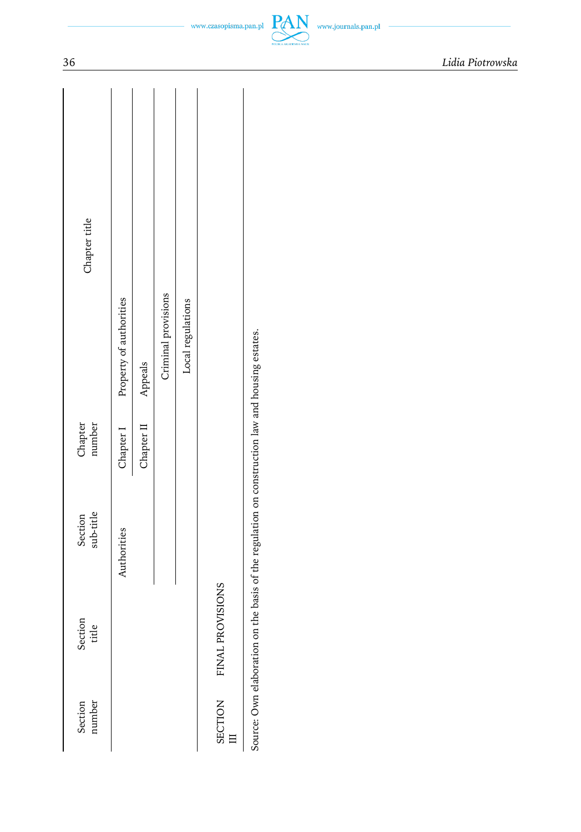| Chapter title        | Property of authorities |                    | Criminal provisions | Local regulations |                  |                                                                                                 |
|----------------------|-------------------------|--------------------|---------------------|-------------------|------------------|-------------------------------------------------------------------------------------------------|
| Chapter<br>number    | Chapter I               | Chapter II Appeals |                     |                   |                  |                                                                                                 |
| sub-title<br>Section | Authorities             |                    |                     |                   |                  | Source: Own elaboration on the basis of the regulation on construction law and housing estates. |
| Section<br>title     |                         |                    |                     |                   | FINAL PROVISIONS |                                                                                                 |
| Section<br>number    |                         |                    |                     |                   | SECTION          |                                                                                                 |

PAN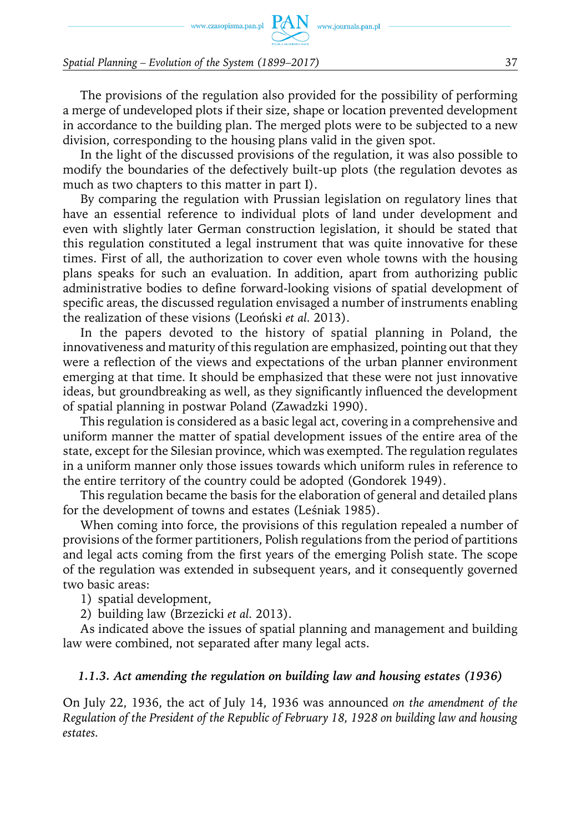www.czasopisma.pan.pl  $PAN$  www.journals.pan.pl

*Spatial Planning – Evolution of the System (1899–2017)* 37

The provisions of the regulation also provided for the possibility of performing a merge of undeveloped plots if their size, shape or location prevented development in accordance to the building plan. The merged plots were to be subjected to a new division, corresponding to the housing plans valid in the given spot.

In the light of the discussed provisions of the regulation, it was also possible to modify the boundaries of the defectively built-up plots (the regulation devotes as much as two chapters to this matter in part I).

By comparing the regulation with Prussian legislation on regulatory lines that have an essential reference to individual plots of land under development and even with slightly later German construction legislation, it should be stated that this regulation constituted a legal instrument that was quite innovative for these times. First of all, the authorization to cover even whole towns with the housing plans speaks for such an evaluation. In addition, apart from authorizing public administrative bodies to define forward-looking visions of spatial development of specific areas, the discussed regulation envisaged a number of instruments enabling the realization of these visions (Leoński *et al.* 2013).

In the papers devoted to the history of spatial planning in Poland, the innovativeness and maturity of this regulation are emphasized, pointing out that they were a reflection of the views and expectations of the urban planner environment emerging at that time. It should be emphasized that these were not just innovative ideas, but groundbreaking as well, as they significantly influenced the development of spatial planning in postwar Poland (Zawadzki 1990).

This regulation is considered as a basic legal act, covering in a comprehensive and uniform manner the matter of spatial development issues of the entire area of the state, except for the Silesian province, which was exempted. The regulation regulates in a uniform manner only those issues towards which uniform rules in reference to the entire territory of the country could be adopted (Gondorek 1949).

This regulation became the basis for the elaboration of general and detailed plans for the development of towns and estates (Leśniak 1985).

When coming into force, the provisions of this regulation repealed a number of provisions of the former partitioners, Polish regulations from the period of partitions and legal acts coming from the first years of the emerging Polish state. The scope of the regulation was extended in subsequent years, and it consequently governed two basic areas:

1) spatial development,

2) building law (Brzezicki *et al.* 2013).

As indicated above the issues of spatial planning and management and building law were combined, not separated after many legal acts.

#### *1.1.3. Act amending the regulation on building law and housing estates (1936)*

On July 22, 1936, the act of July 14, 1936 was announced *on the amendment of the Regulation of the President of the Republic of February 18, 1928 on building law and housing estates.*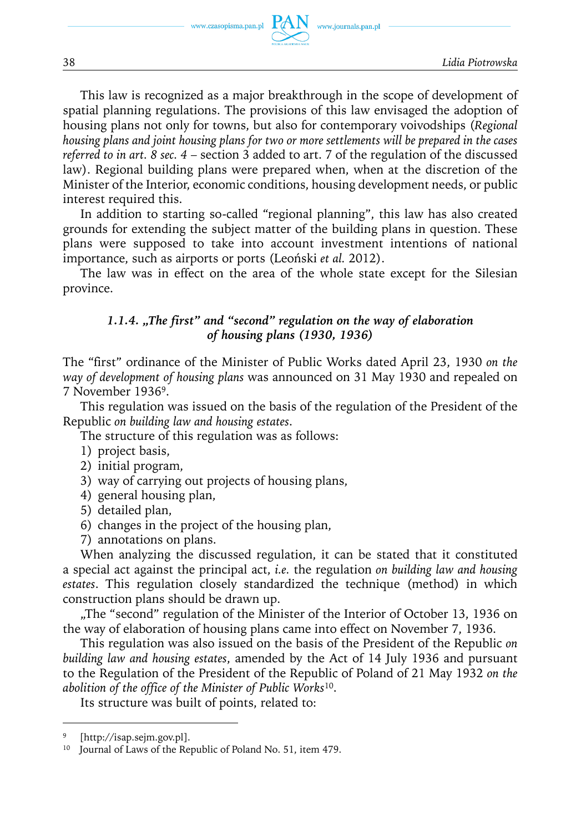

This law is recognized as a major breakthrough in the scope of development of spatial planning regulations. The provisions of this law envisaged the adoption of housing plans not only for towns, but also for contemporary voivodships (*Regional housing plans and joint housing plans for two or more settlements will be prepared in the cases referred to in art. 8 sec. 4* – section 3 added to art. 7 of the regulation of the discussed law). Regional building plans were prepared when, when at the discretion of the Minister of the Interior, economic conditions, housing development needs, or public interest required this.

In addition to starting so-called "regional planning", this law has also created grounds for extending the subject matter of the building plans in question. These plans were supposed to take into account investment intentions of national importance, such as airports or ports (Leoński *et al.* 2012).

The law was in effect on the area of the whole state except for the Silesian province.

#### *1.1.4. "The first" and "second" regulation on the way of elaboration of housing plans (1930, 1936)*

The "first" ordinance of the Minister of Public Works dated April 23, 1930 *on the way of development of housing plans* was announced on 31 May 1930 and repealed on 7 November 19369.

This regulation was issued on the basis of the regulation of the President of the Republic *on building law and housing estates*.

The structure of this regulation was as follows:

- 1) project basis,
- 2) initial program,
- 3) way of carrying out projects of housing plans,
- 4) general housing plan,
- 5) detailed plan,
- 6) changes in the project of the housing plan,
- 7) annotations on plans.

When analyzing the discussed regulation, it can be stated that it constituted a special act against the principal act, *i.e.* the regulation *on building law and housing estates*. This regulation closely standardized the technique (method) in which construction plans should be drawn up.

"The "second" regulation of the Minister of the Interior of October 13, 1936 on the way of elaboration of housing plans came into effect on November 7, 1936.

This regulation was also issued on the basis of the President of the Republic *on building law and housing estates*, amended by the Act of 14 July 1936 and pursuant to the Regulation of the President of the Republic of Poland of 21 May 1932 *on the abolition of the office of the Minister of Public Works*10.

Its structure was built of points, related to:

<sup>[</sup>http://isap.sejm.gov.pl].

<sup>&</sup>lt;sup>10</sup> Journal of Laws of the Republic of Poland No. 51, item 479.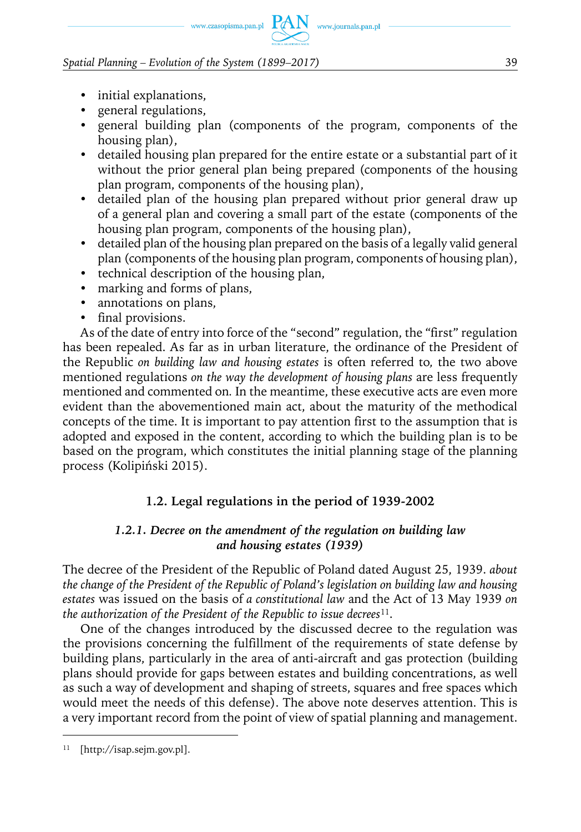# www.czasopisma.pan.pl  $PAN$  www.journals.pan.pl

#### *Spatial Planning – Evolution of the System (1899–2017)* 39

- initial explanations,
- y general regulations,
- general building plan (components of the program, components of the housing plan),
- detailed housing plan prepared for the entire estate or a substantial part of it without the prior general plan being prepared (components of the housing plan program, components of the housing plan),
- detailed plan of the housing plan prepared without prior general draw up of a general plan and covering a small part of the estate (components of the housing plan program, components of the housing plan),
- detailed plan of the housing plan prepared on the basis of a legally valid general plan (components of the housing plan program, components of housing plan),
- technical description of the housing plan,
- marking and forms of plans,
- annotations on plans,
- final provisions.

As of the date of entry into force of the "second" regulation, the "first" regulation has been repealed. As far as in urban literature, the ordinance of the President of the Republic *on building law and housing estates* is often referred to*,* the two above mentioned regulations *on the way the development of housing plans* are less frequently mentioned and commented on*.* In the meantime, these executive acts are even more evident than the abovementioned main act, about the maturity of the methodical concepts of the time. It is important to pay attention first to the assumption that is adopted and exposed in the content, according to which the building plan is to be based on the program, which constitutes the initial planning stage of the planning process (Kolipiński 2015).

### **1.2. Legal regulations in the period of 1939-2002**

#### *1.2.1. Decree on the amendment of the regulation on building law and housing estates (1939)*

The decree of the President of the Republic of Poland dated August 25, 1939. *about the change of the President of the Republic of Poland's legislation on building law and housing estates* was issued on the basis of *a constitutional law* and the Act of 13 May 1939 *on the authorization of the President of the Republic to issue decrees*11.

One of the changes introduced by the discussed decree to the regulation was the provisions concerning the fulfillment of the requirements of state defense by building plans, particularly in the area of anti-aircraft and gas protection (building plans should provide for gaps between estates and building concentrations, as well as such a way of development and shaping of streets, squares and free spaces which would meet the needs of this defense). The above note deserves attention. This is a very important record from the point of view of spatial planning and management.

<sup>11</sup> [http://isap.sejm.gov.pl].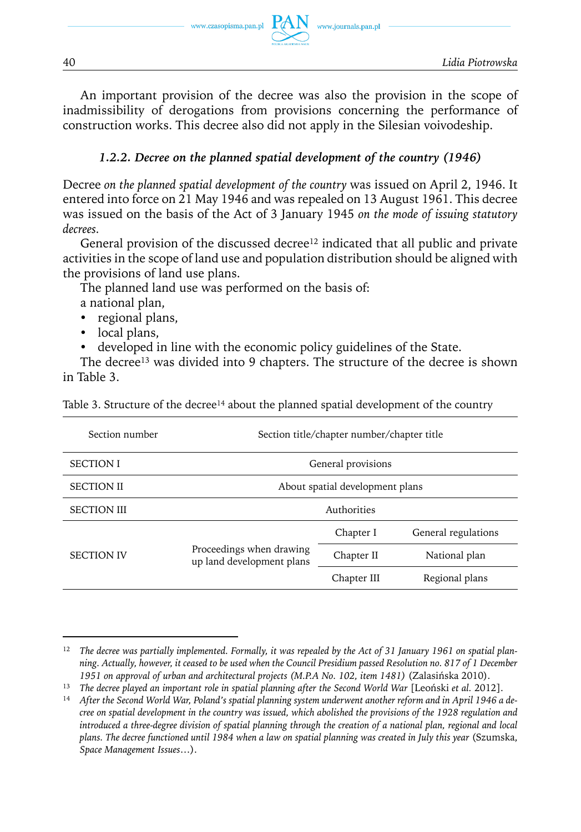

An important provision of the decree was also the provision in the scope of inadmissibility of derogations from provisions concerning the performance of construction works. This decree also did not apply in the Silesian voivodeship.

#### *1.2.2. Decree on the planned spatial development of the country (1946)*

Decree *on the planned spatial development of the country* was issued on April 2, 1946. It entered into force on 21 May 1946 and was repealed on 13 August 1961. This decree was issued on the basis of the Act of 3 January 1945 *on the mode of issuing statutory decrees.*

General provision of the discussed decree<sup>12</sup> indicated that all public and private activities in the scope of land use and population distribution should be aligned with the provisions of land use plans.

The planned land use was performed on the basis of:

a national plan,

- regional plans,
- local plans,
- developed in line with the economic policy guidelines of the State.

The decree<sup>13</sup> was divided into 9 chapters. The structure of the decree is shown in Table 3.

| Table 3. Structure of the decree <sup>14</sup> about the planned spatial development of the country |  |  |
|-----------------------------------------------------------------------------------------------------|--|--|
|                                                                                                     |  |  |

| Section number     |                                                       | Section title/chapter number/chapter title |                     |
|--------------------|-------------------------------------------------------|--------------------------------------------|---------------------|
| <b>SECTION I</b>   |                                                       | General provisions                         |                     |
| <b>SECTION II</b>  |                                                       | About spatial development plans            |                     |
| <b>SECTION III</b> |                                                       | Authorities                                |                     |
|                    |                                                       | Chapter I                                  | General regulations |
| <b>SECTION IV</b>  | Proceedings when drawing<br>up land development plans | Chapter II                                 | National plan       |
|                    |                                                       | Chapter III                                | Regional plans      |

<sup>12</sup> *The decree was partially implemented. Formally, it was repealed by the Act of 31 January 1961 on spatial planning. Actually, however, it ceased to be used when the Council Presidium passed Resolution no. 817 of 1 December 1951 on approval of urban and architectural projects (M.P.A No. 102, item 1481)* (Zalasińska 2010).

<sup>13</sup> *The decree played an important role in spatial planning after the Second World War* [Leoński *et al.* 2012].

<sup>14</sup> *After the Second World War, Poland's spatial planning system underwent another reform and in April 1946 a decree on spatial development in the country was issued, which abolished the provisions of the 1928 regulation and introduced a three-degree division of spatial planning through the creation of a national plan, regional and local plans. The decree functioned until 1984 when a law on spatial planning was created in July this year* (Szumska, *Space Management Issues*…).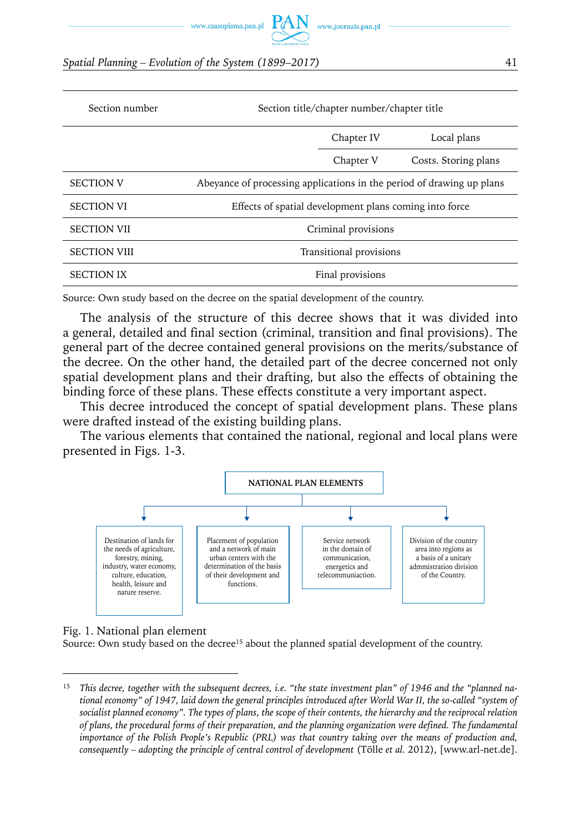www.czasopisma.pan.pl

*Spatial Planning – Evolution of the System (1899–2017)* 41

| Section number      |                                                                       | Section title/chapter number/chapter title |                      |  |  |  |
|---------------------|-----------------------------------------------------------------------|--------------------------------------------|----------------------|--|--|--|
|                     |                                                                       | Chapter IV                                 | Local plans          |  |  |  |
|                     |                                                                       | Chapter V                                  | Costs. Storing plans |  |  |  |
| <b>SECTION V</b>    | Abeyance of processing applications in the period of drawing up plans |                                            |                      |  |  |  |
| <b>SECTION VI</b>   | Effects of spatial development plans coming into force                |                                            |                      |  |  |  |
| <b>SECTION VII</b>  |                                                                       | Criminal provisions                        |                      |  |  |  |
| <b>SECTION VIII</b> |                                                                       | Transitional provisions                    |                      |  |  |  |
| <b>SECTION IX</b>   |                                                                       | Final provisions                           |                      |  |  |  |

Source: Own study based on the decree on the spatial development of the country.

The analysis of the structure of this decree shows that it was divided into a general, detailed and final section (criminal, transition and final provisions). The general part of the decree contained general provisions on the merits/substance of the decree. On the other hand, the detailed part of the decree concerned not only spatial development plans and their drafting, but also the effects of obtaining the binding force of these plans. These effects constitute a very important aspect.

This decree introduced the concept of spatial development plans. These plans were drafted instead of the existing building plans.

The various elements that contained the national, regional and local plans were presented in Figs. 1-3.



Fig. 1. National plan element

Source: Own study based on the decree<sup>15</sup> about the planned spatial development of the country.

<sup>15</sup> *This decree, together with the subsequent decrees, i.e. "the state investment plan" of 1946 and the "planned national economy" of 1947, laid down the general principles introduced after World War II, the so-called "system of socialist planned economy". The types of plans, the scope of their contents, the hierarchy and the reciprocal relation of plans, the procedural forms of their preparation, and the planning organization were defined. The fundamental importance of the Polish People's Republic (PRL) was that country taking over the means of production and, consequently – adopting the principle of central control of development* (Tölle *et al.* 2012), [www.arl-net.de].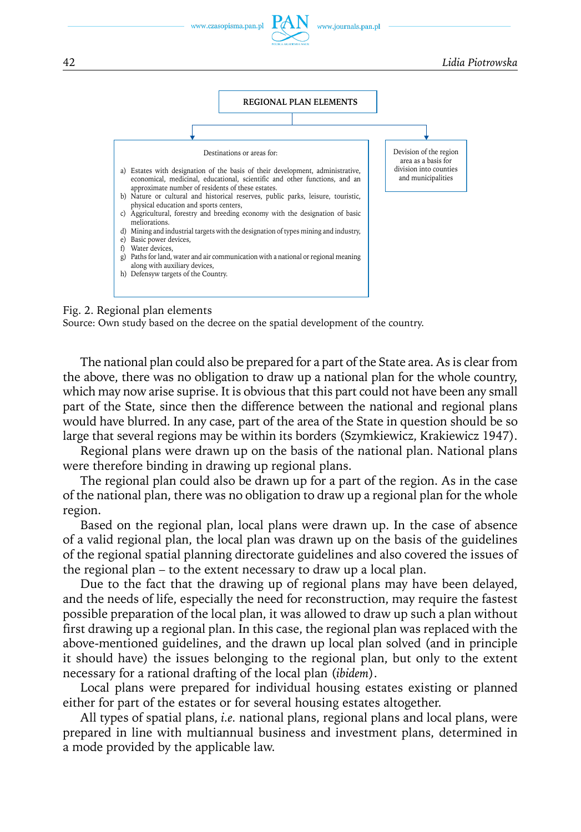

#### Fig. 2. Regional plan elements

Source: Own study based on the decree on the spatial development of the country.

The national plan could also be prepared for a part of the State area. As is clear from the above, there was no obligation to draw up a national plan for the whole country, which may now arise suprise. It is obvious that this part could not have been any small part of the State, since then the difference between the national and regional plans would have blurred. In any case, part of the area of the State in question should be so large that several regions may be within its borders (Szymkiewicz, Krakiewicz 1947).

Regional plans were drawn up on the basis of the national plan. National plans were therefore binding in drawing up regional plans.

The regional plan could also be drawn up for a part of the region. As in the case of the national plan, there was no obligation to draw up a regional plan for the whole region.

Based on the regional plan, local plans were drawn up. In the case of absence of a valid regional plan, the local plan was drawn up on the basis of the guidelines of the regional spatial planning directorate guidelines and also covered the issues of the regional plan – to the extent necessary to draw up a local plan.

Due to the fact that the drawing up of regional plans may have been delayed, and the needs of life, especially the need for reconstruction, may require the fastest possible preparation of the local plan, it was allowed to draw up such a plan without first drawing up a regional plan. In this case, the regional plan was replaced with the above-mentioned guidelines, and the drawn up local plan solved (and in principle it should have) the issues belonging to the regional plan, but only to the extent necessary for a rational drafting of the local plan (*ibidem*).

Local plans were prepared for individual housing estates existing or planned either for part of the estates or for several housing estates altogether.

All types of spatial plans, *i.e.* national plans, regional plans and local plans, were prepared in line with multiannual business and investment plans, determined in a mode provided by the applicable law.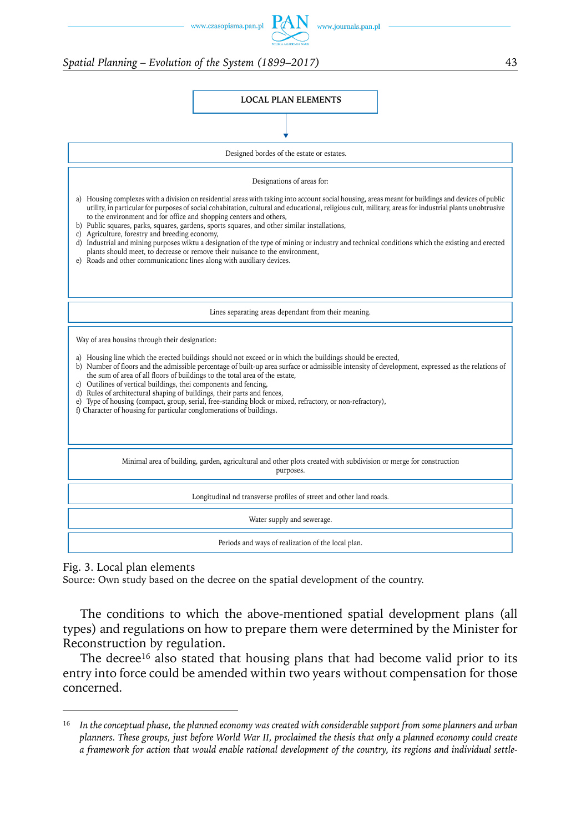www.czasopisma.pan.pl

#### *Spatial Planning – Evolution of the System (1899–2017)* 43



www.journals.pan.pl

Fig. 3. Local plan elements

Source: Own study based on the decree on the spatial development of the country.

The conditions to which the above-mentioned spatial development plans (all types) and regulations on how to prepare them were determined by the Minister for Reconstruction by regulation.

The decree<sup>16</sup> also stated that housing plans that had become valid prior to its entry into force could be amended within two years without compensation for those concerned.

<sup>16</sup> *In the conceptual phase, the planned economy was created with considerable support from some planners and urban planners. These groups, just before World War II, proclaimed the thesis that only a planned economy could create a framework for action that would enable rational development of the country, its regions and individual settle-*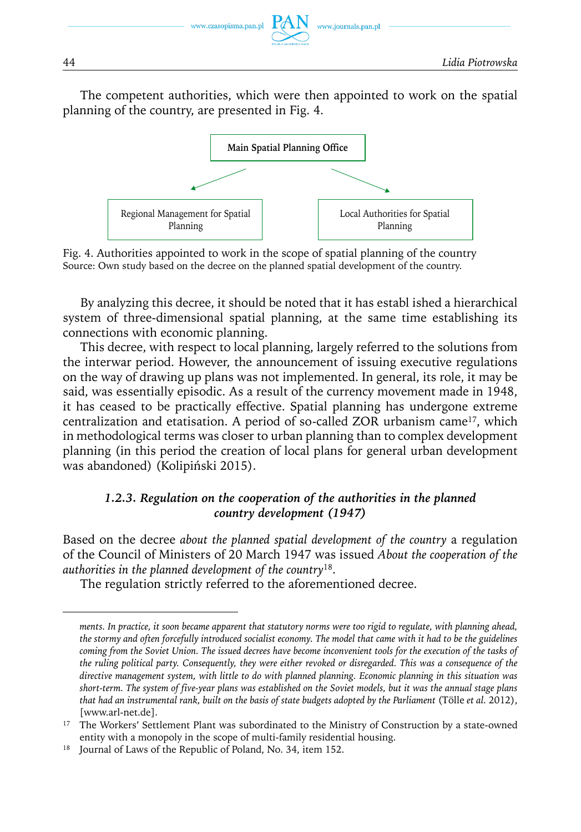

The competent authorities, which were then appointed to work on the spatial planning of the country, are presented in Fig. 4.



Fig. 4. Authorities appointed to work in the scope of spatial planning of the country Source: Own study based on the decree on the planned spatial development of the country.

By analyzing this decree, it should be noted that it has establ ished a hierarchical system of three-dimensional spatial planning, at the same time establishing its connections with economic planning.

This decree, with respect to local planning, largely referred to the solutions from the interwar period. However, the announcement of issuing executive regulations on the way of drawing up plans was not implemented. In general, its role, it may be said, was essentially episodic. As a result of the currency movement made in 1948, it has ceased to be practically effective. Spatial planning has undergone extreme centralization and etatisation. A period of so-called ZOR urbanism came<sup>17</sup>, which in methodological terms was closer to urban planning than to complex development planning (in this period the creation of local plans for general urban development was abandoned) (Kolipiński 2015).

### *1.2.3. Regulation on the cooperation of the authorities in the planned country development (1947)*

Based on the decree *about the planned spatial development of the country* a regulation of the Council of Ministers of 20 March 1947 was issued *About the cooperation of the authorities in the planned development of the country*18.

The regulation strictly referred to the aforementioned decree.

*ments. In practice, it soon became apparent that statutory norms were too rigid to regulate, with planning ahead, the stormy and often forcefully introduced socialist economy. The model that came with it had to be the guidelines coming from the Soviet Union. The issued decrees have become inconvenient tools for the execution of the tasks of the ruling political party. Consequently, they were either revoked or disregarded. This was a consequence of the directive management system, with little to do with planned planning. Economic planning in this situation was short-term. The system of five-year plans was established on the Soviet models, but it was the annual stage plans that had an instrumental rank, built on the basis of state budgets adopted by the Parliament* (Tölle *et al.* 2012), [www.arl-net.de].

<sup>&</sup>lt;sup>17</sup> The Workers' Settlement Plant was subordinated to the Ministry of Construction by a state-owned entity with a monopoly in the scope of multi-family residential housing.

<sup>&</sup>lt;sup>18</sup> Journal of Laws of the Republic of Poland, No. 34, item 152.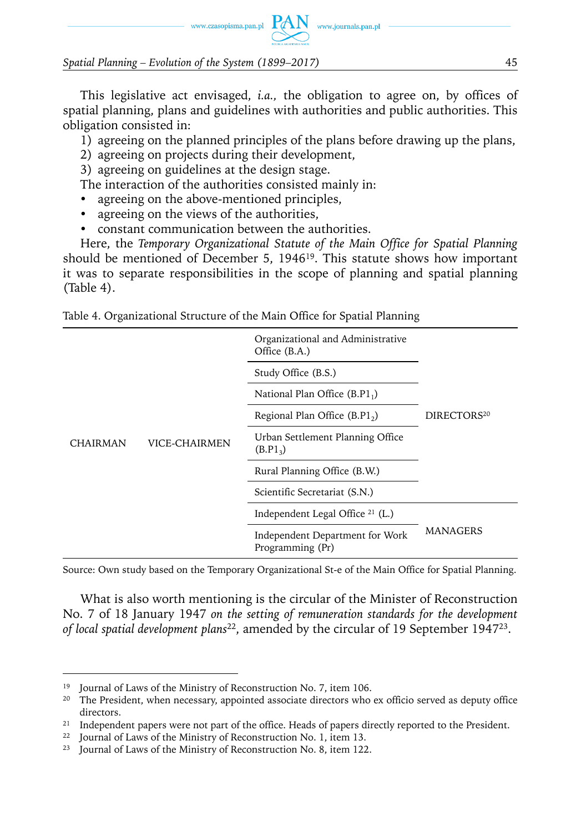

This legislative act envisaged, *i.a.,* the obligation to agree on, by offices of spatial planning, plans and guidelines with authorities and public authorities. This obligation consisted in:

1) agreeing on the planned principles of the plans before drawing up the plans,

2) agreeing on projects during their development,

3) agreeing on guidelines at the design stage.

The interaction of the authorities consisted mainly in:

- agreeing on the above-mentioned principles,
- agreeing on the views of the authorities,
- constant communication between the authorities.

Here, the *Temporary Organizational Statute of the Main Office for Spatial Planning* should be mentioned of December 5, 194619. This statute shows how important it was to separate responsibilities in the scope of planning and spatial planning (Table 4).

| Table 4. Organizational Structure of the Main Office for Spatial Planning |  |  |  |
|---------------------------------------------------------------------------|--|--|--|
|                                                                           |  |  |  |

|                 |               | Organizational and Administrative<br>Office (B.A.)       |                         |
|-----------------|---------------|----------------------------------------------------------|-------------------------|
|                 |               | Study Office (B.S.)                                      |                         |
|                 |               | National Plan Office $(B.P1_1)$                          |                         |
|                 |               | Regional Plan Office $(B.P12)$                           | DIRECTORS <sup>20</sup> |
| <b>CHAIRMAN</b> | VICE-CHAIRMEN | Urban Settlement Planning Office<br>(B.P1 <sub>3</sub> ) |                         |
|                 |               | Rural Planning Office (B.W.)                             |                         |
|                 |               | Scientific Secretariat (S.N.)                            |                         |
|                 |               | Independent Legal Office <sup>21</sup> (L.)              |                         |
|                 |               | Independent Department for Work<br>Programming (Pr)      | <b>MANAGERS</b>         |

Source: Own study based on the Temporary Organizational St-e of the Main Office for Spatial Planning.

What is also worth mentioning is the circular of the Minister of Reconstruction No. 7 of 18 January 1947 *on the setting of remuneration standards for the development of local spatial development plans*22, amended by the circular of 19 September 194723.

Journal of Laws of the Ministry of Reconstruction No. 7, item 106.

<sup>&</sup>lt;sup>20</sup> The President, when necessary, appointed associate directors who ex officio served as deputy office directors.

<sup>&</sup>lt;sup>21</sup> Independent papers were not part of the office. Heads of papers directly reported to the President.

Journal of Laws of the Ministry of Reconstruction No. 1, item 13.

<sup>&</sup>lt;sup>23</sup> Journal of Laws of the Ministry of Reconstruction No. 8, item 122.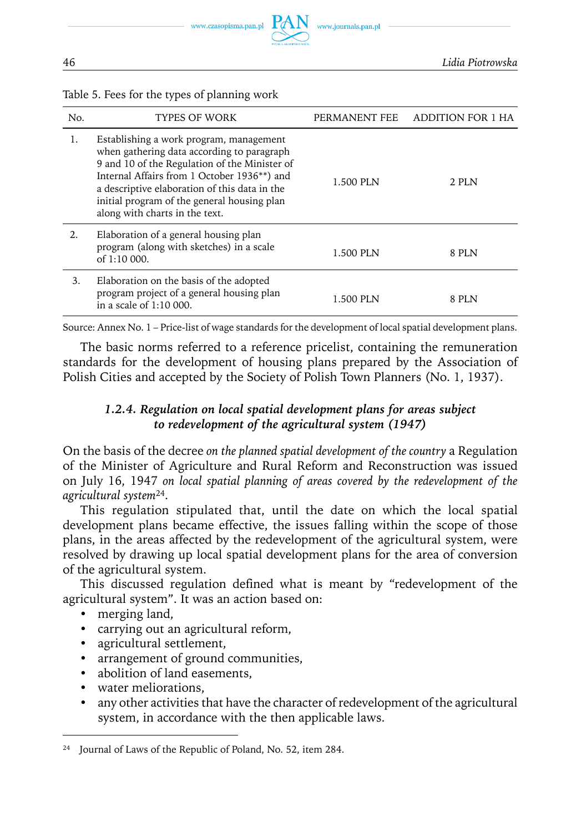

46 *Lidia Piotrowska*

| No. | <b>TYPES OF WORK</b>                                                                                                                                                                                                                                                                                                    | PERMANENT FEE | ADDITION FOR 1 HA |
|-----|-------------------------------------------------------------------------------------------------------------------------------------------------------------------------------------------------------------------------------------------------------------------------------------------------------------------------|---------------|-------------------|
| 1.  | Establishing a work program, management<br>when gathering data according to paragraph<br>9 and 10 of the Regulation of the Minister of<br>Internal Affairs from 1 October 1936**) and<br>a descriptive elaboration of this data in the<br>initial program of the general housing plan<br>along with charts in the text. | 1.500 PLN     | 2 PLN             |
| 2.  | Elaboration of a general housing plan<br>program (along with sketches) in a scale<br>of 1:10 000.                                                                                                                                                                                                                       | 1.500 PLN     | 8 PLN             |
| 3.  | Elaboration on the basis of the adopted<br>program project of a general housing plan<br>in a scale of 1:10 000.                                                                                                                                                                                                         | 1.500 PLN     | 8 PLN             |

Table 5. Fees for the types of planning work

Source: Annex No. 1 – Price-list of wage standards for the development of local spatial development plans.

The basic norms referred to a reference pricelist, containing the remuneration standards for the development of housing plans prepared by the Association of Polish Cities and accepted by the Society of Polish Town Planners (No. 1, 1937).

#### *1.2.4. Regulation on local spatial development plans for areas subject to redevelopment of the agricultural system (1947)*

On the basis of the decree *on the planned spatial development of the country* a Regulation of the Minister of Agriculture and Rural Reform and Reconstruction was issued on July 16, 1947 *on local spatial planning of areas covered by the redevelopment of the agricultural system*24.

This regulation stipulated that, until the date on which the local spatial development plans became effective, the issues falling within the scope of those plans, in the areas affected by the redevelopment of the agricultural system, were resolved by drawing up local spatial development plans for the area of conversion of the agricultural system.

This discussed regulation defined what is meant by "redevelopment of the agricultural system". It was an action based on:

- merging land,
- carrying out an agricultural reform,
- agricultural settlement,
- arrangement of ground communities,
- abolition of land easements,
- water meliorations,
- any other activities that have the character of redevelopment of the agricultural system, in accordance with the then applicable laws.

<sup>24</sup> Journal of Laws of the Republic of Poland, No. 52, item 284.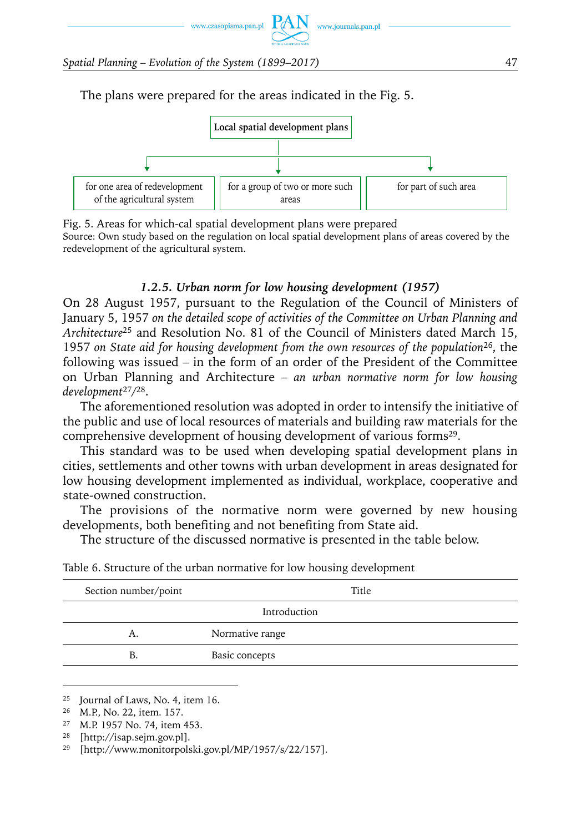

The plans were prepared for the areas indicated in the Fig. 5.



Fig. 5. Areas for which-cal spatial development plans were prepared Source: Own study based on the regulation on local spatial development plans of areas covered by the redevelopment of the agricultural system.

#### *1.2.5. Urban norm for low housing development (1957)*

On 28 August 1957, pursuant to the Regulation of the Council of Ministers of January 5, 1957 *on the detailed scope of activities of the Committee on Urban Planning and Architecture*<sup>25</sup> and Resolution No. 81 of the Council of Ministers dated March 15, 1957 *on State aid for housing development from the own resources of the population*26, the following was issued – in the form of an order of the President of the Committee on Urban Planning and Architecture – *an urban normative norm for low housing development*<sup>27</sup>*/*28.

The aforementioned resolution was adopted in order to intensify the initiative of the public and use of local resources of materials and building raw materials for the comprehensive development of housing development of various forms<sup>29</sup>.

This standard was to be used when developing spatial development plans in cities, settlements and other towns with urban development in areas designated for low housing development implemented as individual, workplace, cooperative and state-owned construction.

The provisions of the normative norm were governed by new housing developments, both benefiting and not benefiting from State aid.

The structure of the discussed normative is presented in the table below.

| Section number/point | Title           |
|----------------------|-----------------|
|                      | Introduction    |
| А.                   | Normative range |
| В                    | Basic concepts  |
|                      |                 |

| Table 6. Structure of the urban normative for low housing development |  |  |  |
|-----------------------------------------------------------------------|--|--|--|
|-----------------------------------------------------------------------|--|--|--|

<sup>28</sup> [http://isap.sejm.gov.pl].

<sup>25</sup> Journal of Laws, No. 4, item 16.

<sup>26</sup> M.P., No. 22, item. 157.

<sup>27</sup> M.P. 1957 No. 74, item 453.

<sup>&</sup>lt;sup>29</sup> [http://www.monitorpolski.gov.pl/MP/1957/s/22/157].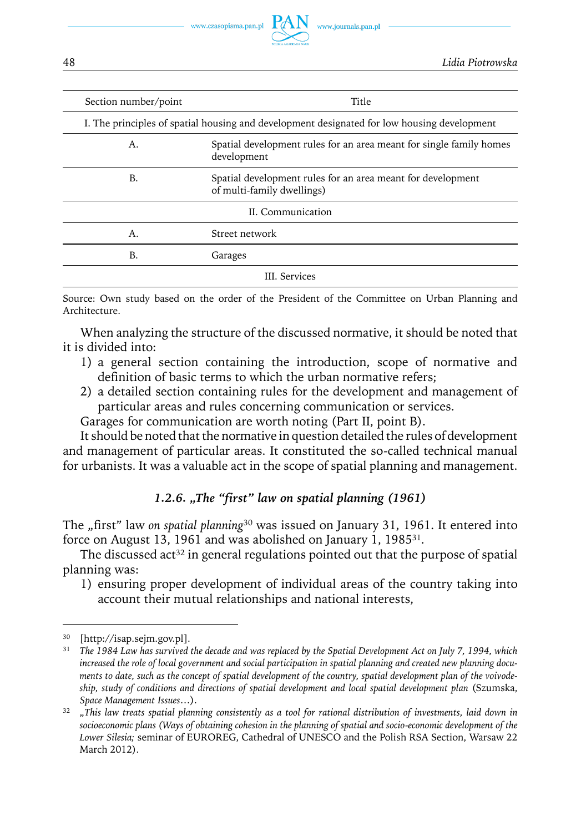

| Section number/point | Title                                                                                       |
|----------------------|---------------------------------------------------------------------------------------------|
|                      | I. The principles of spatial housing and development designated for low housing development |
| Α.                   | Spatial development rules for an area meant for single family homes<br>development          |
| B.                   | Spatial development rules for an area meant for development<br>of multi-family dwellings)   |
|                      | II. Communication                                                                           |
| Α.                   | Street network                                                                              |
| В.                   | Garages                                                                                     |
|                      | III. Services                                                                               |

Source: Own study based on the order of the President of the Committee on Urban Planning and Architecture.

When analyzing the structure of the discussed normative, it should be noted that it is divided into:

- 1) a general section containing the introduction, scope of normative and definition of basic terms to which the urban normative refers;
- 2) a detailed section containing rules for the development and management of particular areas and rules concerning communication or services.

Garages for communication are worth noting (Part II, point B).

It should be noted that the normative in question detailed the rules of development and management of particular areas. It constituted the so-called technical manual for urbanists. It was a valuable act in the scope of spatial planning and management.

#### *1.2.6. "The "first" law on spatial planning (1961)*

The "first" law *on spatial planning*<sup>30</sup> was issued on January 31, 1961. It entered into force on August 13, 1961 and was abolished on January 1, 198531.

The discussed act<sup>32</sup> in general regulations pointed out that the purpose of spatial planning was:

1) ensuring proper development of individual areas of the country taking into account their mutual relationships and national interests,

<sup>[</sup>http://isap.sejm.gov.pl].

<sup>31</sup> *The 1984 Law has survived the decade and was replaced by the Spatial Development Act on July 7, 1994, which increased the role of local government and social participation in spatial planning and created new planning documents to date, such as the concept of spatial development of the country, spatial development plan of the voivodeship, study of conditions and directions of spatial development and local spatial development plan* (Szumska, *Space Management Issues*…).

<sup>&</sup>lt;sup>32</sup> "This law treats spatial planning consistently as a tool for rational distribution of investments, laid down in *socioeconomic plans (Ways of obtaining cohesion in the planning of spatial and socio-economic development of the Lower Silesia;* seminar of EUROREG, Cathedral of UNESCO and the Polish RSA Section, Warsaw 22 March 2012).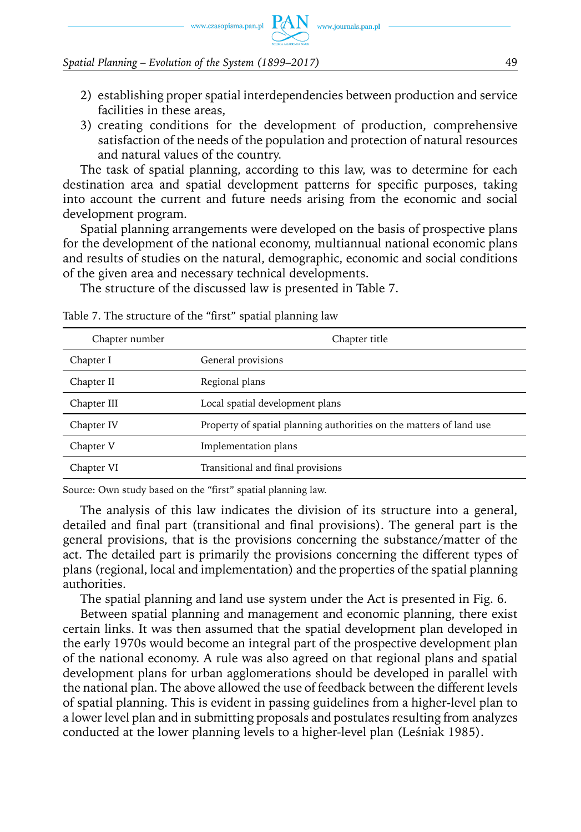www.czasopisma.pan.pl  $PAN$  www.journals.pan.pl

#### *Spatial Planning – Evolution of the System (1899–2017)* 49

- 2) establishing proper spatial interdependencies between production and service facilities in these areas,
- 3) creating conditions for the development of production, comprehensive satisfaction of the needs of the population and protection of natural resources and natural values of the country.

The task of spatial planning, according to this law, was to determine for each destination area and spatial development patterns for specific purposes, taking into account the current and future needs arising from the economic and social development program.

Spatial planning arrangements were developed on the basis of prospective plans for the development of the national economy, multiannual national economic plans and results of studies on the natural, demographic, economic and social conditions of the given area and necessary technical developments.

The structure of the discussed law is presented in Table 7.

| Chapter number | Chapter title                                                       |
|----------------|---------------------------------------------------------------------|
| Chapter I      | General provisions                                                  |
| Chapter II     | Regional plans                                                      |
| Chapter III    | Local spatial development plans                                     |
| Chapter IV     | Property of spatial planning authorities on the matters of land use |
| Chapter V      | Implementation plans                                                |
| Chapter VI     | Transitional and final provisions                                   |

Table 7. The structure of the "first" spatial planning law

Source: Own study based on the "first" spatial planning law.

The analysis of this law indicates the division of its structure into a general, detailed and final part (transitional and final provisions). The general part is the general provisions, that is the provisions concerning the substance/matter of the act. The detailed part is primarily the provisions concerning the different types of plans (regional, local and implementation) and the properties of the spatial planning authorities.

The spatial planning and land use system under the Act is presented in Fig. 6.

Between spatial planning and management and economic planning, there exist certain links. It was then assumed that the spatial development plan developed in the early 1970s would become an integral part of the prospective development plan of the national economy. A rule was also agreed on that regional plans and spatial development plans for urban agglomerations should be developed in parallel with the national plan. The above allowed the use of feedback between the different levels of spatial planning. This is evident in passing guidelines from a higher-level plan to a lower level plan and in submitting proposals and postulates resulting from analyzes conducted at the lower planning levels to a higher-level plan (Leśniak 1985).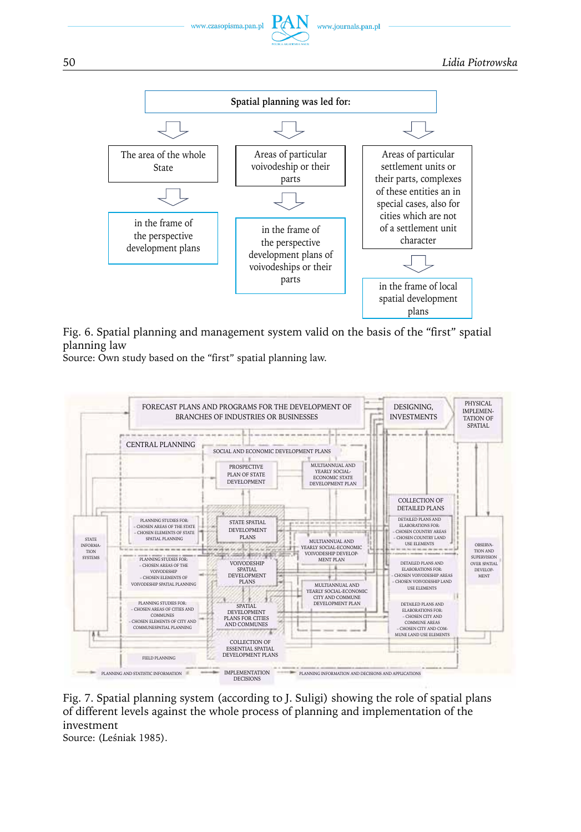



Fig. 6. Spatial planning and management system valid on the basis of the "first" spatial planning law

Source: Own study based on the "first" spatial planning law.



Fig. 7. Spatial planning system (according to J. Suligi) showing the role of spatial plans of different levels against the whole process of planning and implementation of the investment

Source: (Leśniak 1985).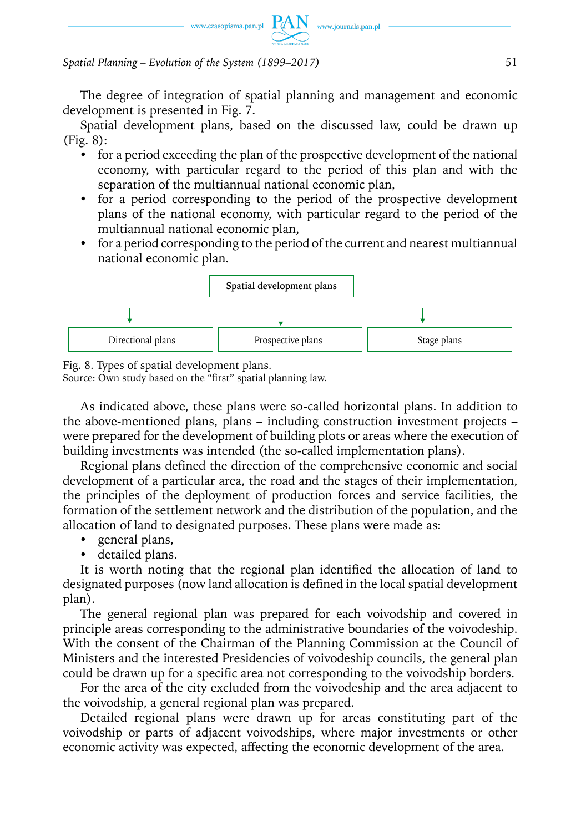

The degree of integration of spatial planning and management and economic development is presented in Fig. 7.

www.journals.pan.pl

Spatial development plans, based on the discussed law, could be drawn up (Fig. 8):

- for a period exceeding the plan of the prospective development of the national economy, with particular regard to the period of this plan and with the separation of the multiannual national economic plan,
- for a period corresponding to the period of the prospective development plans of the national economy, with particular regard to the period of the multiannual national economic plan,
- for a period corresponding to the period of the current and nearest multiannual national economic plan.



Fig. 8. Types of spatial development plans.

Source: Own study based on the "first" spatial planning law.

As indicated above, these plans were so-called horizontal plans. In addition to the above-mentioned plans, plans – including construction investment projects – were prepared for the development of building plots or areas where the execution of building investments was intended (the so-called implementation plans).

Regional plans defined the direction of the comprehensive economic and social development of a particular area, the road and the stages of their implementation, the principles of the deployment of production forces and service facilities, the formation of the settlement network and the distribution of the population, and the allocation of land to designated purposes. These plans were made as:

- general plans,
- detailed plans.

It is worth noting that the regional plan identified the allocation of land to designated purposes (now land allocation is defined in the local spatial development plan).

The general regional plan was prepared for each voivodship and covered in principle areas corresponding to the administrative boundaries of the voivodeship. With the consent of the Chairman of the Planning Commission at the Council of Ministers and the interested Presidencies of voivodeship councils, the general plan could be drawn up for a specific area not corresponding to the voivodship borders.

For the area of the city excluded from the voivodeship and the area adjacent to the voivodship, a general regional plan was prepared.

Detailed regional plans were drawn up for areas constituting part of the voivodship or parts of adjacent voivodships, where major investments or other economic activity was expected, affecting the economic development of the area.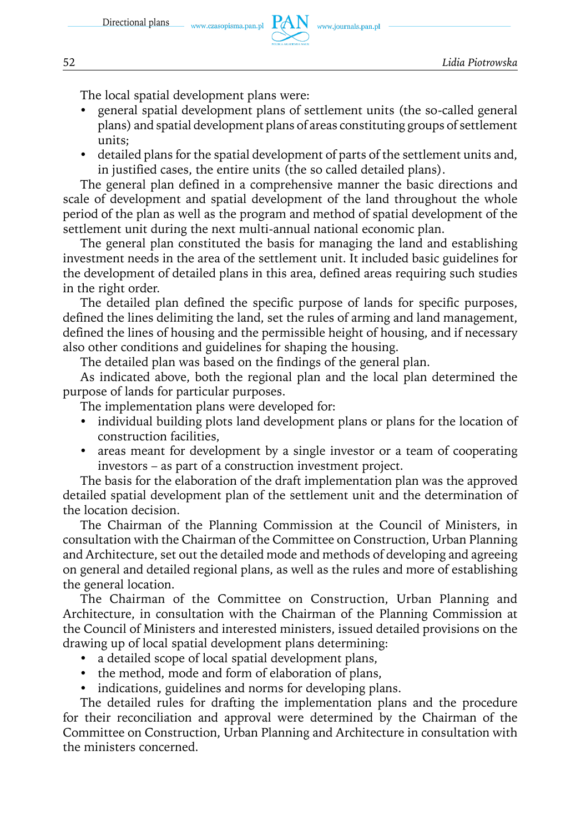

The local spatial development plans were:

- y general spatial development plans of settlement units (the so-called general plans) and spatial development plans of areas constituting groups of settlement units;
- detailed plans for the spatial development of parts of the settlement units and, in justified cases, the entire units (the so called detailed plans).

The general plan defined in a comprehensive manner the basic directions and scale of development and spatial development of the land throughout the whole period of the plan as well as the program and method of spatial development of the settlement unit during the next multi-annual national economic plan.

The general plan constituted the basis for managing the land and establishing investment needs in the area of the settlement unit. It included basic guidelines for the development of detailed plans in this area, defined areas requiring such studies in the right order.

The detailed plan defined the specific purpose of lands for specific purposes, defined the lines delimiting the land, set the rules of arming and land management, defined the lines of housing and the permissible height of housing, and if necessary also other conditions and guidelines for shaping the housing.

The detailed plan was based on the findings of the general plan.

As indicated above, both the regional plan and the local plan determined the purpose of lands for particular purposes.

The implementation plans were developed for:

- individual building plots land development plans or plans for the location of construction facilities,
- areas meant for development by a single investor or a team of cooperating investors – as part of a construction investment project.

The basis for the elaboration of the draft implementation plan was the approved detailed spatial development plan of the settlement unit and the determination of the location decision.

The Chairman of the Planning Commission at the Council of Ministers, in consultation with the Chairman of the Committee on Construction, Urban Planning and Architecture, set out the detailed mode and methods of developing and agreeing on general and detailed regional plans, as well as the rules and more of establishing the general location.

The Chairman of the Committee on Construction, Urban Planning and Architecture, in consultation with the Chairman of the Planning Commission at the Council of Ministers and interested ministers, issued detailed provisions on the drawing up of local spatial development plans determining:

- a detailed scope of local spatial development plans,
- the method, mode and form of elaboration of plans,
- indications, guidelines and norms for developing plans.

The detailed rules for drafting the implementation plans and the procedure for their reconciliation and approval were determined by the Chairman of the Committee on Construction, Urban Planning and Architecture in consultation with the ministers concerned.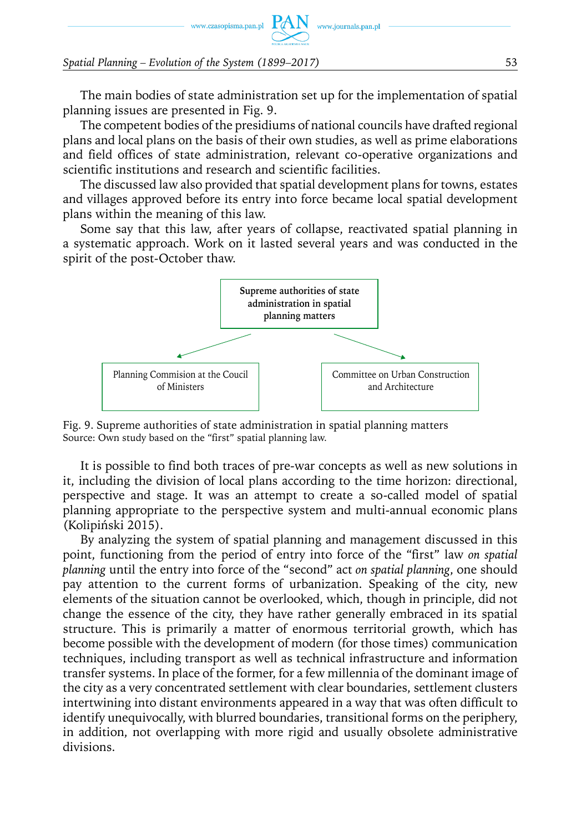

The main bodies of state administration set up for the implementation of spatial planning issues are presented in Fig. 9.

www.journals.pan.pl

The competent bodies of the presidiums of national councils have drafted regional plans and local plans on the basis of their own studies, as well as prime elaborations and field offices of state administration, relevant co-operative organizations and scientific institutions and research and scientific facilities.

The discussed law also provided that spatial development plans for towns, estates and villages approved before its entry into force became local spatial development plans within the meaning of this law.

Some say that this law, after years of collapse, reactivated spatial planning in a systematic approach. Work on it lasted several years and was conducted in the spirit of the post-October thaw.



Fig. 9. Supreme authorities of state administration in spatial planning matters Source: Own study based on the "first" spatial planning law.

It is possible to find both traces of pre-war concepts as well as new solutions in it, including the division of local plans according to the time horizon: directional, perspective and stage. It was an attempt to create a so-called model of spatial planning appropriate to the perspective system and multi-annual economic plans (Kolipiński 2015).

By analyzing the system of spatial planning and management discussed in this point, functioning from the period of entry into force of the "first" law *on spatial planning* until the entry into force of the "second" act *on spatial planning*, one should pay attention to the current forms of urbanization. Speaking of the city, new elements of the situation cannot be overlooked, which, though in principle, did not change the essence of the city, they have rather generally embraced in its spatial structure. This is primarily a matter of enormous territorial growth, which has become possible with the development of modern (for those times) communication techniques, including transport as well as technical infrastructure and information transfer systems. In place of the former, for a few millennia of the dominant image of the city as a very concentrated settlement with clear boundaries, settlement clusters intertwining into distant environments appeared in a way that was often difficult to identify unequivocally, with blurred boundaries, transitional forms on the periphery, in addition, not overlapping with more rigid and usually obsolete administrative divisions.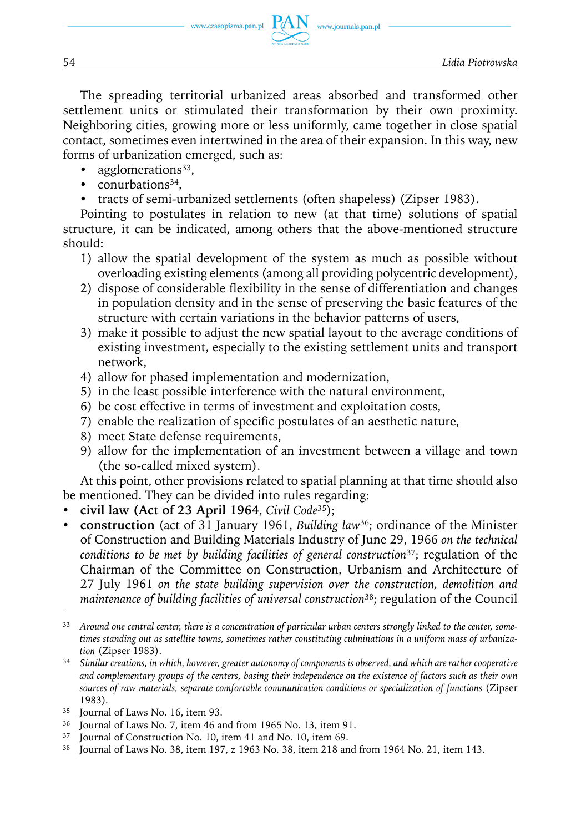The spreading territorial urbanized areas absorbed and transformed other settlement units or stimulated their transformation by their own proximity. Neighboring cities, growing more or less uniformly, came together in close spatial contact, sometimes even intertwined in the area of their expansion. In this way, new forms of urbanization emerged, such as:

- agglomerations<sup>33</sup>,
- conurbations $34$ .
- tracts of semi-urbanized settlements (often shapeless) (Zipser 1983).

Pointing to postulates in relation to new (at that time) solutions of spatial structure, it can be indicated, among others that the above-mentioned structure should:

- 1) allow the spatial development of the system as much as possible without overloading existing elements (among all providing polycentric development),
- 2) dispose of considerable flexibility in the sense of differentiation and changes in population density and in the sense of preserving the basic features of the structure with certain variations in the behavior patterns of users,
- 3) make it possible to adjust the new spatial layout to the average conditions of existing investment, especially to the existing settlement units and transport network,
- 4) allow for phased implementation and modernization,
- 5) in the least possible interference with the natural environment,
- 6) be cost effective in terms of investment and exploitation costs,
- 7) enable the realization of specific postulates of an aesthetic nature,
- 8) meet State defense requirements,
- 9) allow for the implementation of an investment between a village and town (the so-called mixed system).

At this point, other provisions related to spatial planning at that time should also be mentioned. They can be divided into rules regarding:

- y **civil law (Act of 23 April 1964**, *Civil Code*35);
- **construction** (act of 31 January 1961, *Building law*<sup>36</sup>; ordinance of the Minister of Construction and Building Materials Industry of June 29, 1966 *on the technical conditions to be met by building facilities of general construction*37; regulation of the Chairman of the Committee on Construction, Urbanism and Architecture of 27 July 1961 *on the state building supervision over the construction, demolition and maintenance of building facilities of universal construction*38; regulation of the Council

- Journal of Laws No. 7, item 46 and from 1965 No. 13, item 91.
- <sup>37</sup> Journal of Construction No. 10, item 41 and No. 10, item 69.
- <sup>38</sup> Journal of Laws No. 38, item 197, z 1963 No. 38, item 218 and from 1964 No. 21, item 143.

<sup>33</sup> *Around one central center, there is a concentration of particular urban centers strongly linked to the center, sometimes standing out as satellite towns, sometimes rather constituting culminations in a uniform mass of urbanization* (Zipser 1983).

<sup>34</sup> *Similar creations, in which, however, greater autonomy of components is observed, and which are rather cooperative and complementary groups of the centers, basing their independence on the existence of factors such as their own sources of raw materials, separate comfortable communication conditions or specialization of functions* (Zipser 1983)*.*

<sup>35</sup> Journal of Laws No. 16, item 93.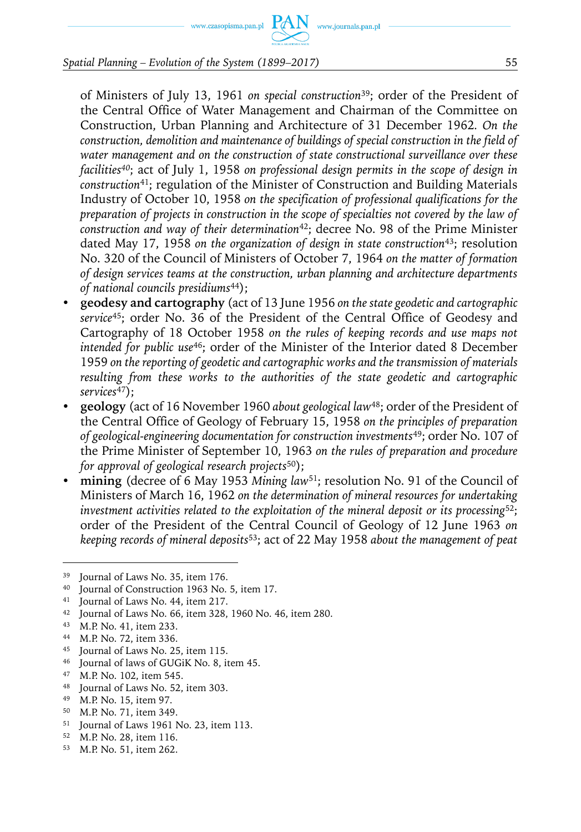www.czasopisma.pan.pl

#### *Spatial Planning – Evolution of the System (1899–2017)* 55

of Ministers of July 13, 1961 *on special construction*39; order of the President of the Central Office of Water Management and Chairman of the Committee on Construction, Urban Planning and Architecture of 31 December 1962*. On the construction, demolition and maintenance of buildings of special construction in the field of water management and on the construction of state constructional surveillance over these facilities40*; act of July 1, 1958 *on professional design permits in the scope of design in construction*<sup>41</sup>; regulation of the Minister of Construction and Building Materials Industry of October 10, 1958 *on the specification of professional qualifications for the preparation of projects in construction in the scope of specialties not covered by the law of construction and way of their determination*<sup>42</sup>; decree No. 98 of the Prime Minister dated May 17, 1958 *on the organization of design in state construction*43; resolution No. 320 of the Council of Ministers of October 7, 1964 *on the matter of formation of design services teams at the construction, urban planning and architecture departments of national councils presidiums*44);

- y **geodesy and cartography** (act of 13 June 1956 *on the state geodetic and cartographic service*<sup>45</sup>; order No. 36 of the President of the Central Office of Geodesy and Cartography of 18 October 1958 *on the rules of keeping records and use maps not intended for public use*46; order of the Minister of the Interior dated 8 December 1959 *on the reporting of geodetic and cartographic works and the transmission of materials resulting from these works to the authorities of the state geodetic and cartographic services*47);
- y **geology** (act of 16 November 1960 *about geological law*48; order of the President of the Central Office of Geology of February 15, 1958 *on the principles of preparation of geological-engineering documentation for construction investments*<sup>49</sup>; order No. 107 of the Prime Minister of September 10, 1963 *on the rules of preparation and procedure for approval of geological research projects*50);
- **mining** (decree of 6 May 1953 *Mining law*<sup>51</sup>; resolution No. 91 of the Council of Ministers of March 16, 1962 *on the determination of mineral resources for undertaking investment activities related to the exploitation of the mineral deposit or its processing*52; order of the President of the Central Council of Geology of 12 June 1963 *on keeping records of mineral deposits*53; act of 22 May 1958 *about the management of peat*

- <sup>43</sup> M.P. No. 41, item 233.
- <sup>44</sup> M.P. No. 72, item 336.
- <sup>45</sup> Journal of Laws No. 25, item 115.
- <sup>46</sup> Journal of laws of GUGiK No. 8, item 45.
- <sup>47</sup> M.P. No. 102, item 545.
- <sup>48</sup> Journal of Laws No. 52, item 303.
- <sup>49</sup> M.P. No. 15, item 97.
- <sup>50</sup> M.P. No. 71, item 349.
- <sup>51</sup> Journal of Laws 1961 No. 23, item 113.
- <sup>52</sup> M.P. No. 28, item 116.
- <sup>53</sup> M.P. No. 51, item 262.

<sup>39</sup> Journal of Laws No. 35, item 176.

<sup>40</sup> Journal of Construction 1963 No. 5, item 17.

<sup>41</sup> Journal of Laws No. 44, item 217.

<sup>42</sup> Journal of Laws No. 66, item 328, 1960 No. 46, item 280.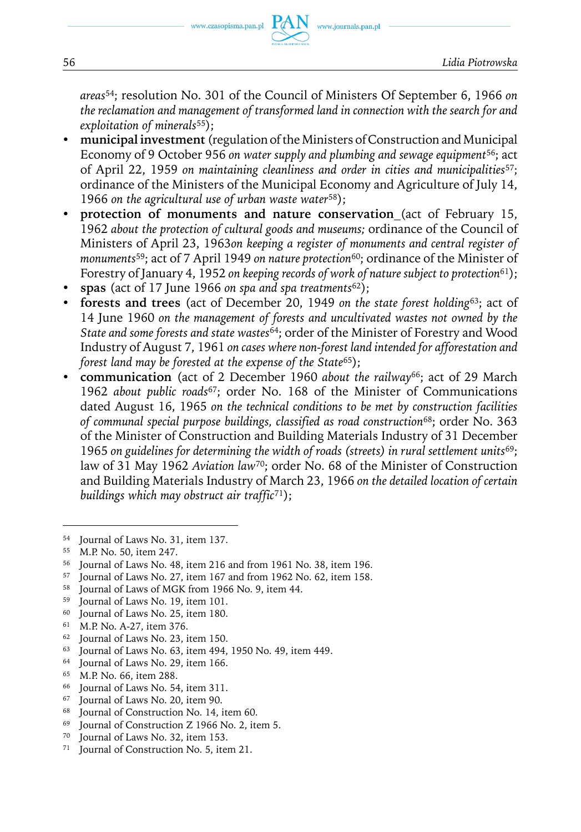56 *Lidia Piotrowska*

*areas*<sup>54</sup>; resolution No. 301 of the Council of Ministers Of September 6, 1966 *on the reclamation and management of transformed land in connection with the search for and exploitation of minerals*55);

www.journals.pan.pl

- y **municipal investment** (regulation of the Ministers of Construction and Municipal Economy of 9 October 956 *on water supply and plumbing and sewage equipment*56; act of April 22, 1959 *on maintaining cleanliness and order in cities and municipalities*57; ordinance of the Ministers of the Municipal Economy and Agriculture of July 14, 1966 *on the agricultural use of urban waste water*58);
- y **protection of monuments and nature conservation** (act of February 15, 1962 *about the protection of cultural goods and museums;* ordinance of the Council of Ministers of April 23, 1963*on keeping a register of monuments and central register of monuments*<sup>59</sup>; act of 7 April 1949 *on nature protection*<sup>60</sup>; ordinance of the Minister of Forestry of January 4, 1952 *on keeping records of work of nature subject to protection*61);
- y **spas** (act of 17 June 1966 *on spa and spa treatments*62);
- y **forests and trees** (act of December 20, 1949 *on the state forest holding*63; act of 14 June 1960 *on the management of forests and uncultivated wastes not owned by the State and some forests and state wastes*<sup>64</sup>; order of the Minister of Forestry and Wood Industry of August 7, 1961 *on cases where non-forest land intended for afforestation and forest land may be forested at the expense of the State*<sup>65</sup>);
- y **communication** (act of 2 December 1960 *about the railway*66; act of 29 March 1962 *about public roads*<sup>67</sup>; order No. 168 of the Minister of Communications dated August 16, 1965 *on the technical conditions to be met by construction facilities of communal special purpose buildings, classified as road construction*<sup>68</sup>; order No. 363 of the Minister of Construction and Building Materials Industry of 31 December 1965 *on guidelines for determining the width of roads (streets) in rural settlement units*69; law of 31 May 1962 *Aviation law*<sup>70</sup>; order No. 68 of the Minister of Construction and Building Materials Industry of March 23, 1966 *on the detailed location of certain buildings which may obstruct air traffic*71);

<sup>61</sup> M.P. No. A-27, item 376.

- $63$  Journal of Laws No. 63, item 494, 1950 No. 49, item 449.
- Journal of Laws No. 29, item 166.
- <sup>65</sup> M.P. No. 66, item 288.
- <sup>66</sup> Journal of Laws No. 54, item 311.
- <sup>67</sup> Journal of Laws No. 20, item 90.
- <sup>68</sup> Journal of Construction No. 14, item 60.
- <sup>69</sup> Journal of Construction Z 1966 No. 2, item 5.
- <sup>70</sup> Journal of Laws No. 32, item 153.
- <sup>71</sup> Journal of Construction No. 5, item 21.

<sup>54</sup> Journal of Laws No. 31, item 137.

<sup>55</sup> M.P. No. 50, item 247.

<sup>56</sup> Journal of Laws No. 48, item 216 and from 1961 No. 38, item 196.

<sup>57</sup> Journal of Laws No. 27, item 167 and from 1962 No. 62, item 158.

<sup>58</sup> Journal of Laws of MGK from 1966 No. 9, item 44.

<sup>59</sup> Journal of Laws No. 19, item 101.

<sup>60</sup> Journal of Laws No. 25, item 180.

<sup>62</sup> Journal of Laws No. 23, item 150.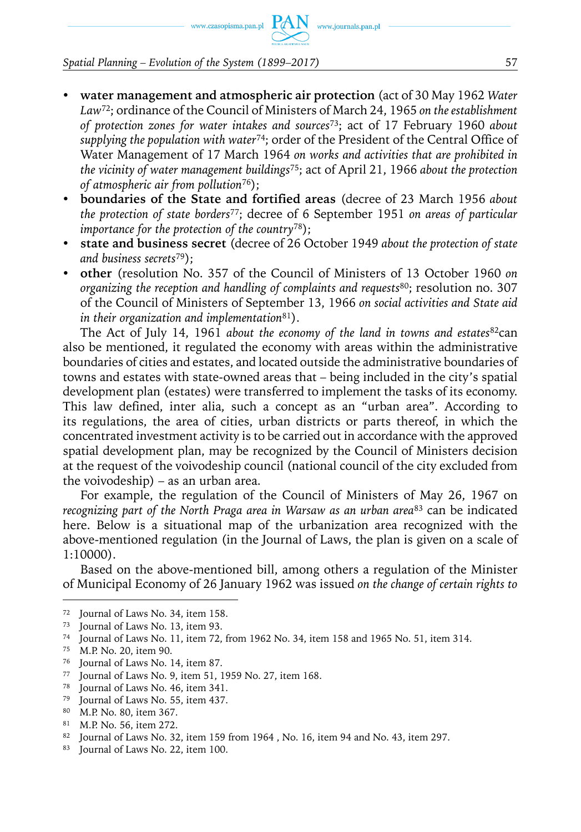www.czasopisma.pan.pl  $PAN$ 

### *Spatial Planning – Evolution of the System (1899–2017)* 57

- y **water management and atmospheric air protection** (act of 30 May 1962 *Water Law*72; ordinance of the Council of Ministers of March 24, 1965 *on the establishment of protection zones for water intakes and sources*73; act of 17 February 1960 *about supplying the population with water*74; order of the President of the Central Office of Water Management of 17 March 1964 *on works and activities that are prohibited in the vicinity of water management buildings*75; act of April 21, 1966 *about the protection of atmospheric air from pollution*76);
- y **boundaries of the State and fortified areas** (decree of 23 March 1956 *about the protection of state borders*77; decree of 6 September 1951 *on areas of particular importance for the protection of the country*78);
- y **state and business secret** (decree of 26 October 1949 *about the protection of state and business secrets*79);
- y **other** (resolution No. 357 of the Council of Ministers of 13 October 1960 *on organizing the reception and handling of complaints and requests*80; resolution no. 307 of the Council of Ministers of September 13, 1966 *on social activities and State aid in their organization and implementation*81).

The Act of July 14, 1961 *about the economy of the land in towns and estates*82can also be mentioned, it regulated the economy with areas within the administrative boundaries of cities and estates, and located outside the administrative boundaries of towns and estates with state-owned areas that – being included in the city's spatial development plan (estates) were transferred to implement the tasks of its economy. This law defined, inter alia, such a concept as an "urban area". According to its regulations, the area of cities, urban districts or parts thereof, in which the concentrated investment activity is to be carried out in accordance with the approved spatial development plan, may be recognized by the Council of Ministers decision at the request of the voivodeship council (national council of the city excluded from the voivodeship) – as an urban area.

For example, the regulation of the Council of Ministers of May 26, 1967 on *recognizing part of the North Praga area in Warsaw as an urban area*<sup>83</sup> can be indicated here. Below is a situational map of the urbanization area recognized with the above-mentioned regulation (in the Journal of Laws, the plan is given on a scale of 1:10000).

Based on the above-mentioned bill, among others a regulation of the Minister of Municipal Economy of 26 January 1962 was issued *on the change of certain rights to* 

<sup>72</sup> Journal of Laws No. 34, item 158.

<sup>73</sup> Journal of Laws No. 13, item 93.

<sup>74</sup> Journal of Laws No. 11, item 72, from 1962 No. 34, item 158 and 1965 No. 51, item 314.

<sup>75</sup> M.P. No. 20, item 90.

<sup>76</sup> Journal of Laws No. 14, item 87.

<sup>77</sup> Journal of Laws No. 9, item 51, 1959 No. 27, item 168.

<sup>78</sup> Journal of Laws No. 46, item 341.

<sup>79</sup> Journal of Laws No. 55, item 437.

<sup>80</sup> M.P. No. 80, item 367.

<sup>81</sup> M.P. No. 56, item 272.

<sup>82</sup> Journal of Laws No. 32, item 159 from 1964 , No. 16, item 94 and No. 43, item 297.

<sup>83</sup> Journal of Laws No. 22, item 100.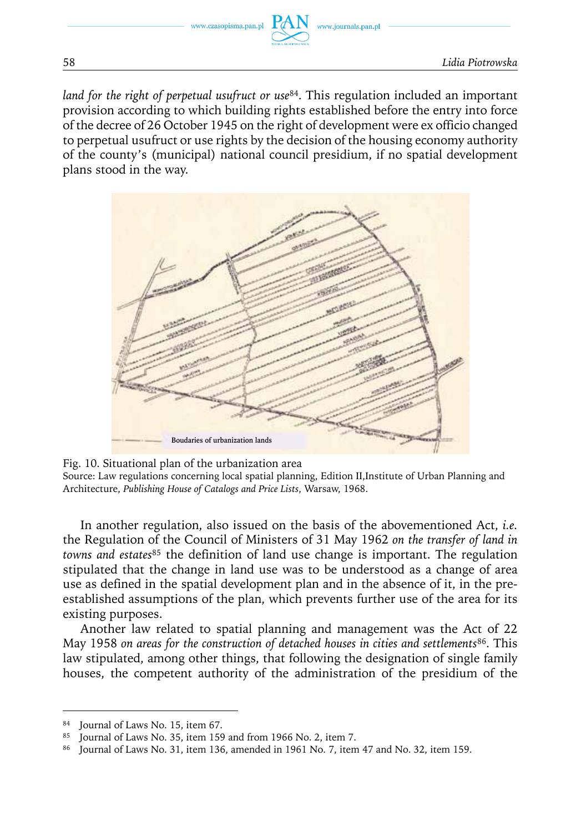*land for the right of perpetual usufruct or use*84. This regulation included an important provision according to which building rights established before the entry into force of the decree of 26 October 1945 on the right of development were ex officio changed to perpetual usufruct or use rights by the decision of the housing economy authority of the county's (municipal) national council presidium, if no spatial development plans stood in the way.



Fig. 10. Situational plan of the urbanization area Source: Law regulations concerning local spatial planning, Edition II,Institute of Urban Planning and Architecture, *Publishing House of Catalogs and Price Lists*, Warsaw, 1968.

In another regulation, also issued on the basis of the abovementioned Act, *i.e.* the Regulation of the Council of Ministers of 31 May 1962 *on the transfer of land in towns and estates*85 the definition of land use change is important. The regulation stipulated that the change in land use was to be understood as a change of area use as defined in the spatial development plan and in the absence of it, in the preestablished assumptions of the plan, which prevents further use of the area for its existing purposes.

Another law related to spatial planning and management was the Act of 22 May 1958 *on areas for the construction of detached houses in cities and settlements*86. This law stipulated, among other things, that following the designation of single family houses, the competent authority of the administration of the presidium of the

Journal of Laws No. 15, item 67.

<sup>85</sup> Journal of Laws No. 35, item 159 and from 1966 No. 2, item 7.

<sup>86</sup> Journal of Laws No. 31, item 136, amended in 1961 No. 7, item 47 and No. 32, item 159.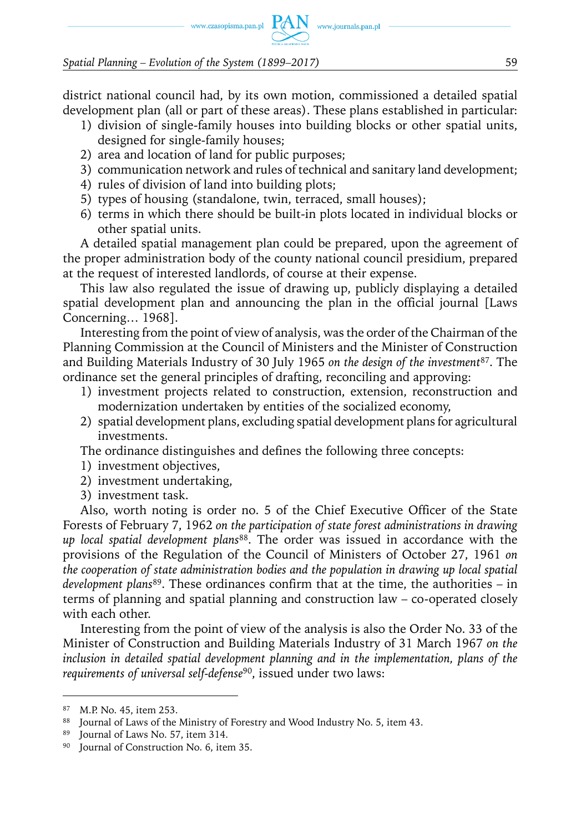# www.czasopisma.pan.pl  $PAN$  www.journals.pan.pl

*Spatial Planning – Evolution of the System (1899–2017)* 59

district national council had, by its own motion, commissioned a detailed spatial development plan (all or part of these areas). These plans established in particular:

- 1) division of single-family houses into building blocks or other spatial units, designed for single-family houses;
- 2) area and location of land for public purposes;
- 3) communication network and rules of technical and sanitary land development;
- 4) rules of division of land into building plots;
- 5) types of housing (standalone, twin, terraced, small houses);
- 6) terms in which there should be built-in plots located in individual blocks or other spatial units.

A detailed spatial management plan could be prepared, upon the agreement of the proper administration body of the county national council presidium, prepared at the request of interested landlords, of course at their expense.

This law also regulated the issue of drawing up, publicly displaying a detailed spatial development plan and announcing the plan in the official journal [Laws Concerning… 1968].

Interesting from the point of view of analysis, was the order of the Chairman of the Planning Commission at the Council of Ministers and the Minister of Construction and Building Materials Industry of 30 July 1965 *on the design of the investment*87. The ordinance set the general principles of drafting, reconciling and approving:

- 1) investment projects related to construction, extension, reconstruction and modernization undertaken by entities of the socialized economy,
- 2) spatial development plans, excluding spatial development plans for agricultural investments.

The ordinance distinguishes and defines the following three concepts:

- 1) investment objectives,
- 2) investment undertaking,
- 3) investment task.

Also, worth noting is order no. 5 of the Chief Executive Officer of the State Forests of February 7, 1962 *on the participation of state forest administrations in drawing up local spatial development plans*88. The order was issued in accordance with the provisions of the Regulation of the Council of Ministers of October 27, 1961 *on the cooperation of state administration bodies and the population in drawing up local spatial development plans*89. These ordinances confirm that at the time, the authorities – in terms of planning and spatial planning and construction law – co-operated closely with each other.

Interesting from the point of view of the analysis is also the Order No. 33 of the Minister of Construction and Building Materials Industry of 31 March 1967 *on the inclusion in detailed spatial development planning and in the implementation, plans of the requirements of universal self-defense*90, issued under two laws:

<sup>87</sup> M.P. No. 45, item 253.

<sup>88</sup> Journal of Laws of the Ministry of Forestry and Wood Industry No. 5, item 43.

<sup>89</sup> Journal of Laws No. 57, item 314.

<sup>90</sup> Journal of Construction No. 6, item 35.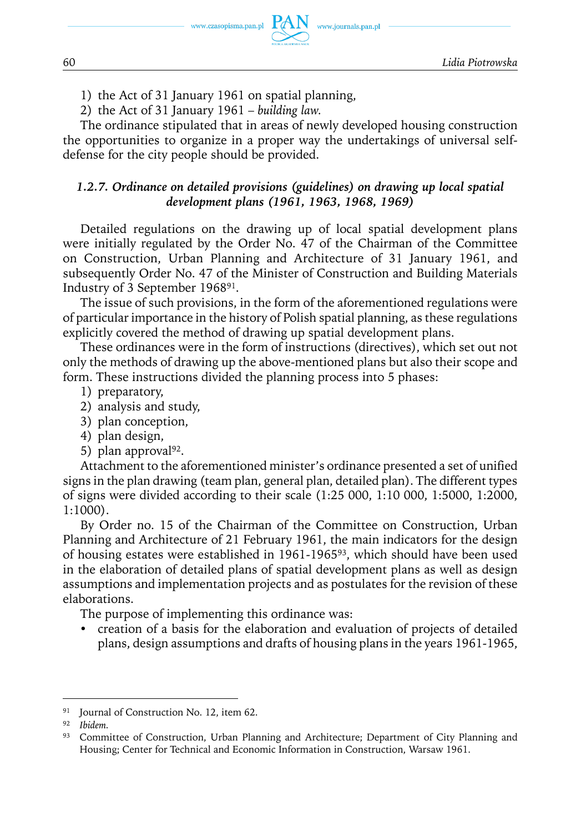www.journals.pan.pl

- 1) the Act of 31 January 1961 on spatial planning,
- 2) the Act of 31 January 1961 *building law.*

The ordinance stipulated that in areas of newly developed housing construction the opportunities to organize in a proper way the undertakings of universal selfdefense for the city people should be provided.

### *1.2.7. Ordinance on detailed provisions (guidelines) on drawing up local spatial development plans (1961, 1963, 1968, 1969)*

Detailed regulations on the drawing up of local spatial development plans were initially regulated by the Order No. 47 of the Chairman of the Committee on Construction, Urban Planning and Architecture of 31 January 1961, and subsequently Order No. 47 of the Minister of Construction and Building Materials Industry of 3 September 196891.

The issue of such provisions, in the form of the aforementioned regulations were of particular importance in the history of Polish spatial planning, as these regulations explicitly covered the method of drawing up spatial development plans.

These ordinances were in the form of instructions (directives), which set out not only the methods of drawing up the above-mentioned plans but also their scope and form. These instructions divided the planning process into 5 phases:

- 1) preparatory,
- 2) analysis and study,
- 3) plan conception,
- 4) plan design,
- 5) plan approval<sup>92</sup>.

Attachment to the aforementioned minister's ordinance presented a set of unified signs in the plan drawing (team plan, general plan, detailed plan). The different types of signs were divided according to their scale (1:25 000, 1:10 000, 1:5000, 1:2000, 1:1000).

By Order no. 15 of the Chairman of the Committee on Construction, Urban Planning and Architecture of 21 February 1961, the main indicators for the design of housing estates were established in 1961-196593, which should have been used in the elaboration of detailed plans of spatial development plans as well as design assumptions and implementation projects and as postulates for the revision of these elaborations.

The purpose of implementing this ordinance was:

• creation of a basis for the elaboration and evaluation of projects of detailed plans, design assumptions and drafts of housing plans in the years 1961-1965,

<sup>&</sup>lt;sup>91</sup> Journal of Construction No. 12, item 62.

<sup>92</sup> *Ibidem.*

<sup>93</sup> Committee of Construction, Urban Planning and Architecture; Department of City Planning and Housing; Center for Technical and Economic Information in Construction, Warsaw 1961.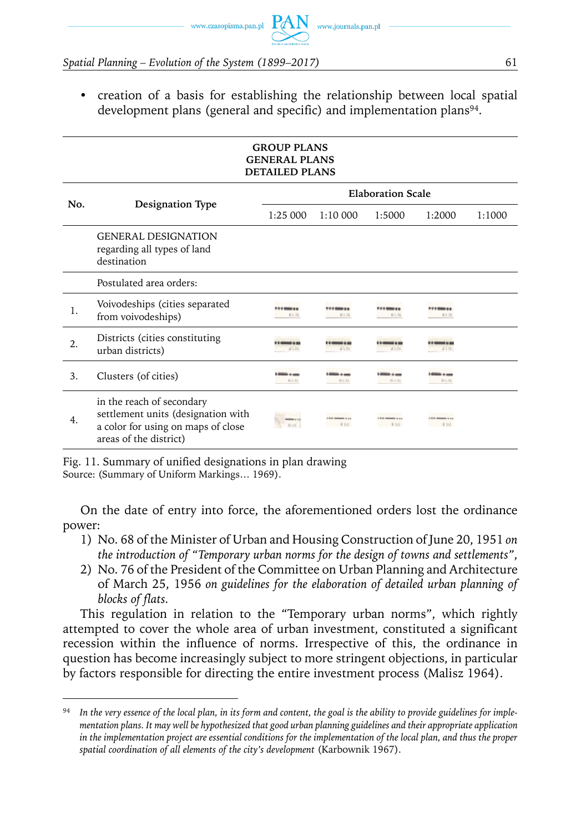

• creation of a basis for establishing the relationship between local spatial development plans (general and specific) and implementation plans<sup>94</sup>.

|     |                                                                                                                                 | <b>GROUP PLANS</b><br><b>GENERAL PLANS</b><br><b>DETAILED PLANS</b> |                                      |                                    |                                |        |
|-----|---------------------------------------------------------------------------------------------------------------------------------|---------------------------------------------------------------------|--------------------------------------|------------------------------------|--------------------------------|--------|
|     |                                                                                                                                 |                                                                     |                                      | <b>Elaboration Scale</b>           |                                |        |
| No. | <b>Designation Type</b>                                                                                                         | 1:25 000                                                            | 1:10000                              | 1:5000                             | 1:2000                         | 1:1000 |
|     | <b>GENERAL DESIGNATION</b><br>regarding all types of land<br>destination                                                        |                                                                     |                                      |                                    |                                |        |
|     | Postulated area orders:                                                                                                         |                                                                     |                                      |                                    |                                |        |
| 1.  | Voivodeships (cities separated<br>from voivodeships)                                                                            | <br>R1.75                                                           | <b>*********</b><br>R1.75            | 100911<br>R1.75                    | <br>R1.75                      |        |
| 2.  | Districts (cities constituting<br>urban districts)                                                                              | 8175                                                                | 8175                                 | 41.75                              | 8133                           |        |
| 3.  | Clusters (of cities)                                                                                                            | $\cdots$<br>新主社                                                     | <b><i><u>COM + mm</u></i></b><br>新主社 | ---<br>新主社                         | -<br>新主社                       |        |
| 4.  | in the reach of secondary<br>settlement units (designation with<br>a color for using on maps of close<br>areas of the district) |                                                                     | <b>1918 Manager 11 111</b><br>R10    | <b>1918 Manager 11 111</b><br>R 10 | <b>1910 000000 1110</b><br>R10 |        |

Fig. 11. Summary of unified designations in plan drawing Source: (Summary of Uniform Markings… 1969).

On the date of entry into force, the aforementioned orders lost the ordinance power:

- 1) No. 68 of the Minister of Urban and Housing Construction of June 20, 1951 *on the introduction of "Temporary urban norms for the design of towns and settlements"*,
- 2) No. 76 of the President of the Committee on Urban Planning and Architecture of March 25, 1956 *on guidelines for the elaboration of detailed urban planning of blocks of flats.*

This regulation in relation to the "Temporary urban norms", which rightly attempted to cover the whole area of urban investment, constituted a significant recession within the influence of norms. Irrespective of this, the ordinance in question has become increasingly subject to more stringent objections, in particular by factors responsible for directing the entire investment process (Malisz 1964).

<sup>94</sup> *In the very essence of the local plan, in its form and content, the goal is the ability to provide guidelines for implementation plans. It may well be hypothesized that good urban planning guidelines and their appropriate application in the implementation project are essential conditions for the implementation of the local plan, and thus the proper spatial coordination of all elements of the city's development* (Karbownik 1967).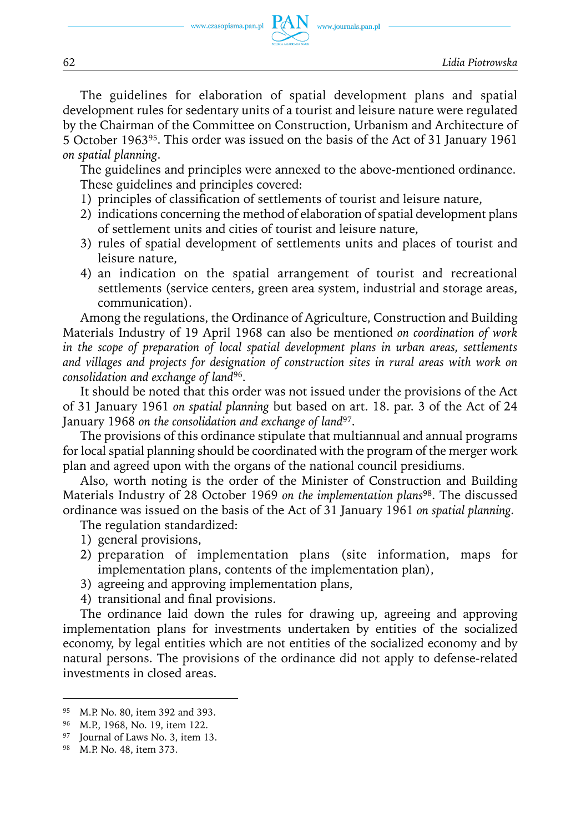www.journals.pan.pl

The guidelines for elaboration of spatial development plans and spatial development rules for sedentary units of a tourist and leisure nature were regulated by the Chairman of the Committee on Construction, Urbanism and Architecture of 5 October 196395. This order was issued on the basis of the Act of 31 January 1961 *on spatial planning*.

The guidelines and principles were annexed to the above-mentioned ordinance. These guidelines and principles covered:

- 1) principles of classification of settlements of tourist and leisure nature,
- 2) indications concerning the method of elaboration of spatial development plans of settlement units and cities of tourist and leisure nature,
- 3) rules of spatial development of settlements units and places of tourist and leisure nature,
- 4) an indication on the spatial arrangement of tourist and recreational settlements (service centers, green area system, industrial and storage areas, communication).

Among the regulations, the Ordinance of Agriculture, Construction and Building Materials Industry of 19 April 1968 can also be mentioned *on coordination of work in the scope of preparation of local spatial development plans in urban areas, settlements and villages and projects for designation of construction sites in rural areas with work on consolidation and exchange of land*96.

It should be noted that this order was not issued under the provisions of the Act of 31 January 1961 *on spatial planning* but based on art. 18. par. 3 of the Act of 24 January 1968 *on the consolidation and exchange of land*97.

The provisions of this ordinance stipulate that multiannual and annual programs for local spatial planning should be coordinated with the program of the merger work plan and agreed upon with the organs of the national council presidiums.

Also, worth noting is the order of the Minister of Construction and Building Materials Industry of 28 October 1969 *on the implementation plans*98. The discussed ordinance was issued on the basis of the Act of 31 January 1961 *on spatial planning.*

The regulation standardized:

- 1) general provisions,
- 2) preparation of implementation plans (site information, maps for implementation plans, contents of the implementation plan),
- 3) agreeing and approving implementation plans,
- 4) transitional and final provisions.

The ordinance laid down the rules for drawing up, agreeing and approving implementation plans for investments undertaken by entities of the socialized economy, by legal entities which are not entities of the socialized economy and by natural persons. The provisions of the ordinance did not apply to defense-related investments in closed areas.

<sup>95</sup> M.P. No. 80, item 392 and 393.

<sup>96</sup> M.P., 1968, No. 19, item 122.

<sup>97</sup> Journal of Laws No. 3, item 13.

<sup>98</sup> M.P. No. 48, item 373.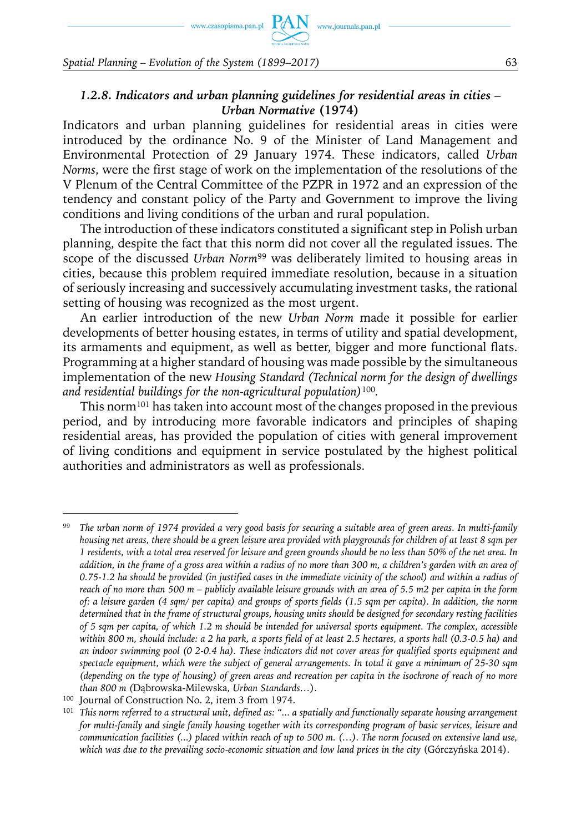www.czasopisma.pan.pl  $PAN$ 

*Spatial Planning – Evolution of the System (1899–2017)* 63

#### *1.2.8. Indicators and urban planning guidelines for residential areas in cities – Urban Normative* **(1974)**

Indicators and urban planning guidelines for residential areas in cities were introduced by the ordinance No. 9 of the Minister of Land Management and Environmental Protection of 29 January 1974. These indicators, called *Urban Norms*, were the first stage of work on the implementation of the resolutions of the V Plenum of the Central Committee of the PZPR in 1972 and an expression of the tendency and constant policy of the Party and Government to improve the living conditions and living conditions of the urban and rural population.

The introduction of these indicators constituted a significant step in Polish urban planning, despite the fact that this norm did not cover all the regulated issues. The scope of the discussed *Urban Norm*99 was deliberately limited to housing areas in cities, because this problem required immediate resolution, because in a situation of seriously increasing and successively accumulating investment tasks, the rational setting of housing was recognized as the most urgent.

An earlier introduction of the new *Urban Norm* made it possible for earlier developments of better housing estates, in terms of utility and spatial development, its armaments and equipment, as well as better, bigger and more functional flats. Programming at a higher standard of housing was made possible by the simultaneous implementation of the new *Housing Standard (Technical norm for the design of dwellings and residential buildings for the non-agricultural population)*<sup>100</sup>*.*

This norm101 has taken into account most of the changes proposed in the previous period, and by introducing more favorable indicators and principles of shaping residential areas, has provided the population of cities with general improvement of living conditions and equipment in service postulated by the highest political authorities and administrators as well as professionals.

<sup>99</sup> *The urban norm of 1974 provided a very good basis for securing a suitable area of green areas. In multi-family housing net areas, there should be a green leisure area provided with playgrounds for children of at least 8 sqm per 1 residents, with a total area reserved for leisure and green grounds should be no less than 50% of the net area. In addition, in the frame of a gross area within a radius of no more than 300 m, a children's garden with an area of 0.75-1.2 ha should be provided (in justified cases in the immediate vicinity of the school) and within a radius of reach of no more than 500 m – publicly available leisure grounds with an area of 5.5 m2 per capita in the form of: a leisure garden (4 sqm/ per capita) and groups of sports fields (1.5 sqm per capita). In addition, the norm determined that in the frame of structural groups, housing units should be designed for secondary resting facilities of 5 sqm per capita, of which 1.2 m should be intended for universal sports equipment. The complex, accessible within 800 m, should include: a 2 ha park, a sports field of at least 2.5 hectares, a sports hall (0.3-0.5 ha) and an indoor swimming pool (0 2-0.4 ha). These indicators did not cover areas for qualified sports equipment and spectacle equipment, which were the subject of general arrangements. In total it gave a minimum of 25-30 sqm (depending on the type of housing) of green areas and recreation per capita in the isochrone of reach of no more than 800 m (*Dąbrowska-Milewska, *Urban Standards…*).

<sup>&</sup>lt;sup>100</sup> Journal of Construction No. 2, item 3 from 1974.

<sup>101</sup> *This norm referred to a structural unit, defined as: "... a spatially and functionally separate housing arrangement for multi-family and single family housing together with its corresponding program of basic services, leisure and communication facilities (...) placed within reach of up to 500 m. (…). The norm focused on extensive land use, which was due to the prevailing socio-economic situation and low land prices in the city* (Górczyńska 2014).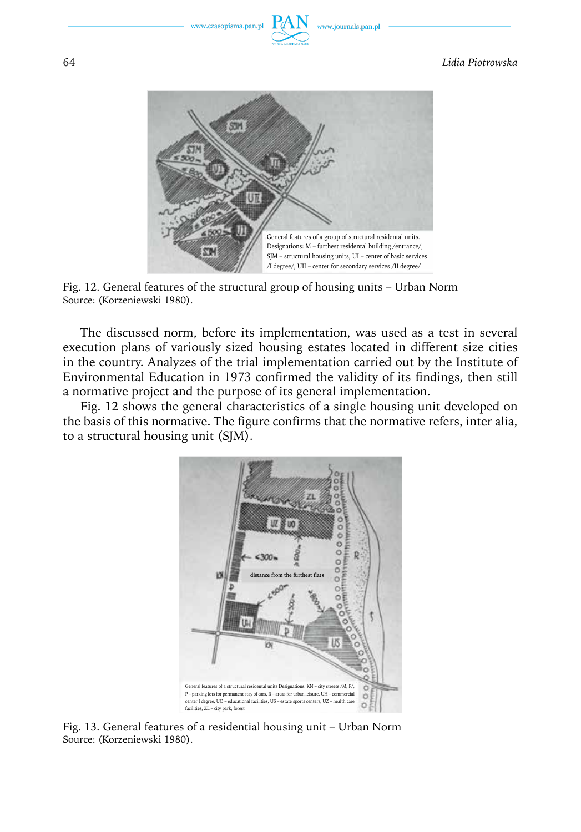www.czasopisma.pan.pl



Fig. 12. General features of the structural group of housing units – Urban Norm Source: (Korzeniewski 1980).

The discussed norm, before its implementation, was used as a test in several execution plans of variously sized housing estates located in different size cities in the country. Analyzes of the trial implementation carried out by the Institute of Environmental Education in 1973 confirmed the validity of its findings, then still a normative project and the purpose of its general implementation.

Fig. 12 shows the general characteristics of a single housing unit developed on the basis of this normative. The figure confirms that the normative refers, inter alia, to a structural housing unit (SJM).



Fig. 13. General features of a residential housing unit – Urban Norm Source: (Korzeniewski 1980).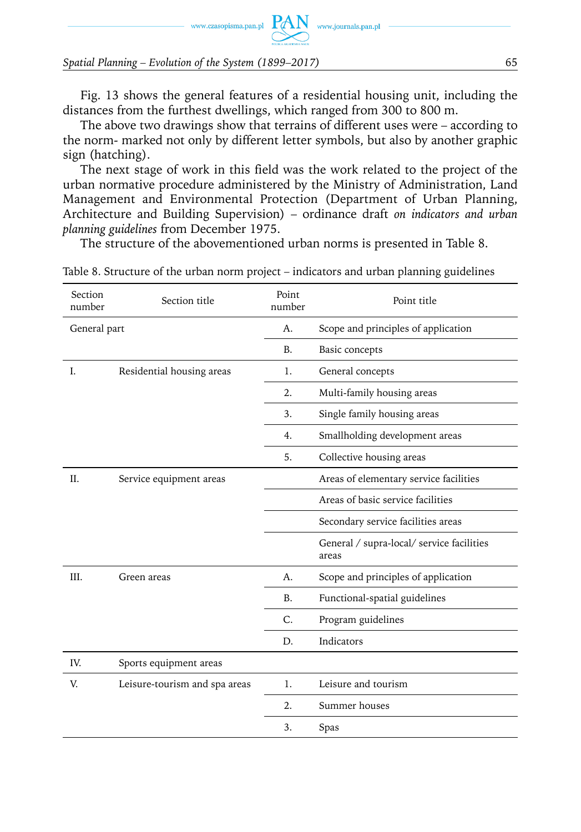$\text{www.czasopisma.pan.pl}\ \ \underbrace{\text{PAN}}_{\text{www.journals.pan.pl}}$ 

*Spatial Planning – Evolution of the System (1899–2017)* 65

Fig. 13 shows the general features of a residential housing unit, including the distances from the furthest dwellings, which ranged from 300 to 800 m.

The above two drawings show that terrains of different uses were – according to the norm- marked not only by different letter symbols, but also by another graphic sign (hatching).

The next stage of work in this field was the work related to the project of the urban normative procedure administered by the Ministry of Administration, Land Management and Environmental Protection (Department of Urban Planning, Architecture and Building Supervision) – ordinance draft *on indicators and urban planning guidelines* from December 1975.

The structure of the abovementioned urban norms is presented in Table 8.

| Section<br>number | Section title                 | Point<br>number | Point title                                        |
|-------------------|-------------------------------|-----------------|----------------------------------------------------|
| General part      |                               | A.              | Scope and principles of application                |
|                   |                               | <b>B.</b>       | Basic concepts                                     |
| I.                | Residential housing areas     | 1.              | General concepts                                   |
|                   |                               | 2.              | Multi-family housing areas                         |
|                   |                               | 3.              | Single family housing areas                        |
|                   |                               | 4.              | Smallholding development areas                     |
|                   |                               | 5.              | Collective housing areas                           |
| II.               | Service equipment areas       |                 | Areas of elementary service facilities             |
|                   |                               |                 | Areas of basic service facilities                  |
|                   |                               |                 | Secondary service facilities areas                 |
|                   |                               |                 | General / supra-local/ service facilities<br>areas |
| III.              | Green areas                   | А.              | Scope and principles of application                |
|                   |                               | В.              | Functional-spatial guidelines                      |
|                   |                               | C.              | Program guidelines                                 |
|                   |                               | D.              | Indicators                                         |
| IV.               | Sports equipment areas        |                 |                                                    |
| V.                | Leisure-tourism and spa areas | 1.              | Leisure and tourism                                |
|                   |                               | 2.              | Summer houses                                      |
|                   |                               | 3.              | Spas                                               |
|                   |                               |                 |                                                    |

Table 8. Structure of the urban norm project – indicators and urban planning guidelines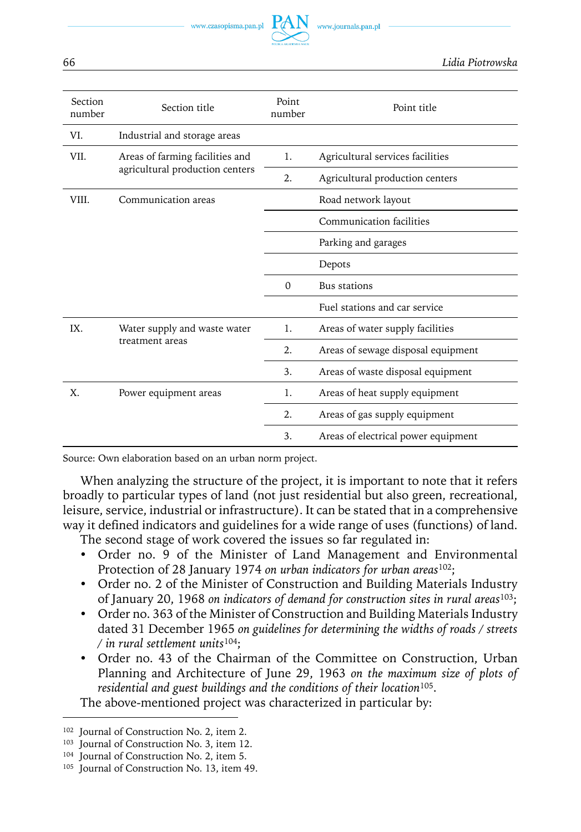www.czasopisma.pan.pl

| Section<br>number | Section title                                   | Point<br>number | Point title                         |
|-------------------|-------------------------------------------------|-----------------|-------------------------------------|
| VI.               | Industrial and storage areas                    |                 |                                     |
| VII.              | Areas of farming facilities and                 | 1.              | Agricultural services facilities    |
|                   | agricultural production centers                 | 2.              | Agricultural production centers     |
| VIII.             | Communication areas                             |                 | Road network layout                 |
|                   |                                                 |                 | Communication facilities            |
|                   |                                                 |                 | Parking and garages                 |
|                   |                                                 |                 | Depots                              |
|                   |                                                 | $\Omega$        | Bus stations                        |
|                   |                                                 |                 | Fuel stations and car service       |
| IX.               | Water supply and waste water<br>treatment areas |                 | Areas of water supply facilities    |
|                   |                                                 |                 | Areas of sewage disposal equipment  |
|                   |                                                 | 3.              | Areas of waste disposal equipment   |
| X.                | Power equipment areas                           | 1.              | Areas of heat supply equipment      |
|                   |                                                 | 2.              | Areas of gas supply equipment       |
|                   |                                                 | 3.              | Areas of electrical power equipment |

Source: Own elaboration based on an urban norm project.

When analyzing the structure of the project, it is important to note that it refers broadly to particular types of land (not just residential but also green, recreational, leisure, service, industrial or infrastructure). It can be stated that in a comprehensive way it defined indicators and guidelines for a wide range of uses (functions) of land.

The second stage of work covered the issues so far regulated in:

- Order no. 9 of the Minister of Land Management and Environmental Protection of 28 January 1974 *on urban indicators for urban areas*102;
- Order no. 2 of the Minister of Construction and Building Materials Industry of January 20, 1968 *on indicators of demand for construction sites in rural areas*103;
- Order no. 363 of the Minister of Construction and Building Materials Industry dated 31 December 1965 *on guidelines for determining the widths of roads / streets / in rural settlement units*104;
- Order no. 43 of the Chairman of the Committee on Construction, Urban Planning and Architecture of June 29, 1963 *on the maximum size of plots of residential and guest buildings and the conditions of their location*105.

The above-mentioned project was characterized in particular by:

<sup>&</sup>lt;sup>102</sup> Journal of Construction No. 2, item 2.

<sup>&</sup>lt;sup>103</sup> Journal of Construction No. 3, item 12.

<sup>&</sup>lt;sup>104</sup> Journal of Construction No. 2, item 5.

<sup>&</sup>lt;sup>105</sup> Journal of Construction No. 13, item 49.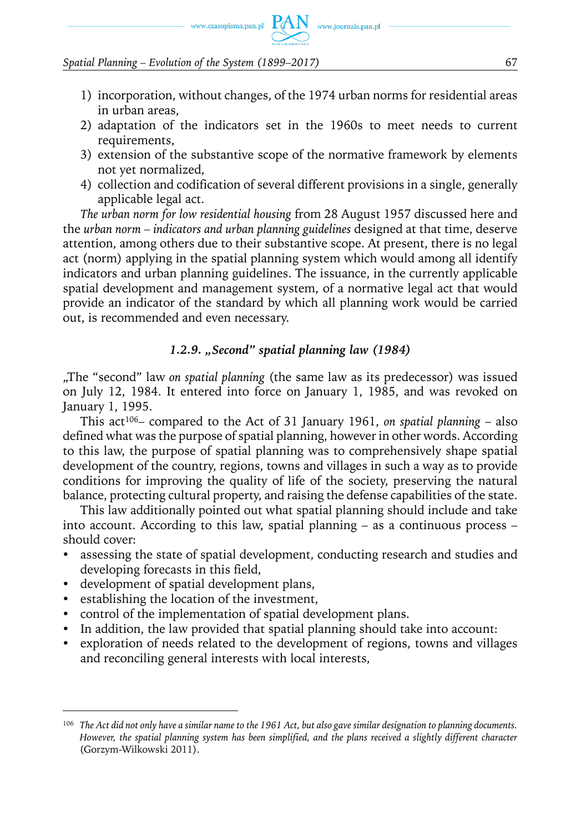

- 1) incorporation, without changes, of the 1974 urban norms for residential areas in urban areas,
- 2) adaptation of the indicators set in the 1960s to meet needs to current requirements,
- 3) extension of the substantive scope of the normative framework by elements not yet normalized,
- 4) collection and codification of several different provisions in a single, generally applicable legal act.

*The urban norm for low residential housing* from 28 August 1957 discussed here and the *urban norm – indicators and urban planning guidelines* designed at that time, deserve attention, among others due to their substantive scope. At present, there is no legal act (norm) applying in the spatial planning system which would among all identify indicators and urban planning guidelines. The issuance, in the currently applicable spatial development and management system, of a normative legal act that would provide an indicator of the standard by which all planning work would be carried out, is recommended and even necessary.

#### *1.2.9. "Second" spatial planning law (1984)*

"The "second" law *on spatial planning* (the same law as its predecessor) was issued on July 12, 1984. It entered into force on January 1, 1985, and was revoked on January 1, 1995.

This act106– compared to the Act of 31 January 1961, *on spatial planning* – also defined what was the purpose of spatial planning, however in other words. According to this law, the purpose of spatial planning was to comprehensively shape spatial development of the country, regions, towns and villages in such a way as to provide conditions for improving the quality of life of the society, preserving the natural balance, protecting cultural property, and raising the defense capabilities of the state.

This law additionally pointed out what spatial planning should include and take into account. According to this law, spatial planning – as a continuous process – should cover:

- assessing the state of spatial development, conducting research and studies and developing forecasts in this field,
- development of spatial development plans,
- establishing the location of the investment,
- control of the implementation of spatial development plans.
- In addition, the law provided that spatial planning should take into account:
- exploration of needs related to the development of regions, towns and villages and reconciling general interests with local interests,

<sup>106</sup> *The Act did not only have a similar name to the 1961 Act, but also gave similar designation to planning documents. However, the spatial planning system has been simplified, and the plans received a slightly different character* (Gorzym-Wilkowski 2011).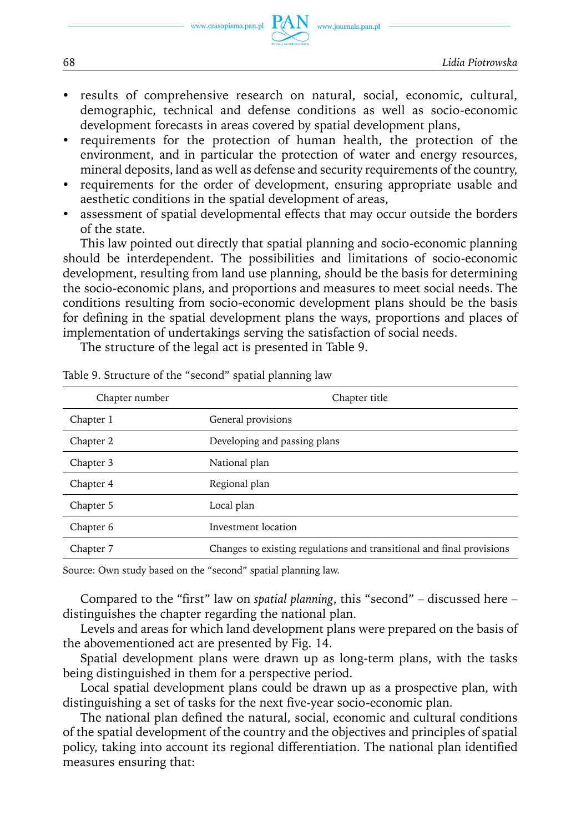www.czasopisma.pan.pl

- results of comprehensive research on natural, social, economic, cultural, demographic, technical and defense conditions as well as socio-economic development forecasts in areas covered by spatial development plans,
- requirements for the protection of human health, the protection of the environment, and in particular the protection of water and energy resources, mineral deposits, land as well as defense and security requirements of the country,
- requirements for the order of development, ensuring appropriate usable and aesthetic conditions in the spatial development of areas,
- assessment of spatial developmental effects that may occur outside the borders of the state.

This law pointed out directly that spatial planning and socio-economic planning should be interdependent. The possibilities and limitations of socio-economic development, resulting from land use planning, should be the basis for determining the socio-economic plans, and proportions and measures to meet social needs. The conditions resulting from socio-economic development plans should be the basis for defining in the spatial development plans the ways, proportions and places of implementation of undertakings serving the satisfaction of social needs.

The structure of the legal act is presented in Table 9.

| Chapter number | Chapter title                                                         |
|----------------|-----------------------------------------------------------------------|
| Chapter 1      | General provisions                                                    |
| Chapter 2      | Developing and passing plans                                          |
| Chapter 3      | National plan                                                         |
| Chapter 4      | Regional plan                                                         |
| Chapter 5      | Local plan                                                            |
| Chapter 6      | Investment location                                                   |
| Chapter 7      | Changes to existing regulations and transitional and final provisions |

Table 9. Structure of the "second" spatial planning law

Source: Own study based on the "second" spatial planning law.

Compared to the "first" law on *spatial planning*, this "second" – discussed here – distinguishes the chapter regarding the national plan.

Levels and areas for which land development plans were prepared on the basis of the abovementioned act are presented by Fig. 14.

Spatial development plans were drawn up as long-term plans, with the tasks being distinguished in them for a perspective period.

Local spatial development plans could be drawn up as a prospective plan, with distinguishing a set of tasks for the next five-year socio-economic plan.

The national plan defined the natural, social, economic and cultural conditions of the spatial development of the country and the objectives and principles of spatial policy, taking into account its regional differentiation. The national plan identified measures ensuring that: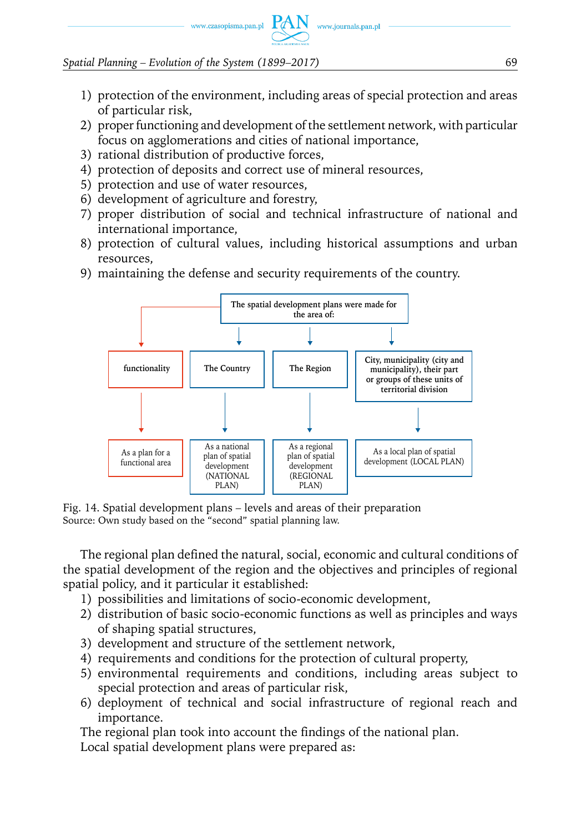

1) protection of the environment, including areas of special protection and areas of particular risk,

www.journals.pan.pl

- 2) proper functioning and development of the settlement network, with particular focus on agglomerations and cities of national importance,
- 3) rational distribution of productive forces,
- 4) protection of deposits and correct use of mineral resources,
- 5) protection and use of water resources,
- 6) development of agriculture and forestry,
- 7) proper distribution of social and technical infrastructure of national and international importance,
- 8) protection of cultural values, including historical assumptions and urban resources,
- 9) maintaining the defense and security requirements of the country.



Fig. 14. Spatial development plans – levels and areas of their preparation Source: Own study based on the "second" spatial planning law.

The regional plan defined the natural, social, economic and cultural conditions of the spatial development of the region and the objectives and principles of regional spatial policy, and it particular it established:

- 1) possibilities and limitations of socio-economic development,
- 2) distribution of basic socio-economic functions as well as principles and ways of shaping spatial structures,
- 3) development and structure of the settlement network,
- 4) requirements and conditions for the protection of cultural property,
- 5) environmental requirements and conditions, including areas subject to special protection and areas of particular risk,
- 6) deployment of technical and social infrastructure of regional reach and importance.

The regional plan took into account the findings of the national plan.

Local spatial development plans were prepared as: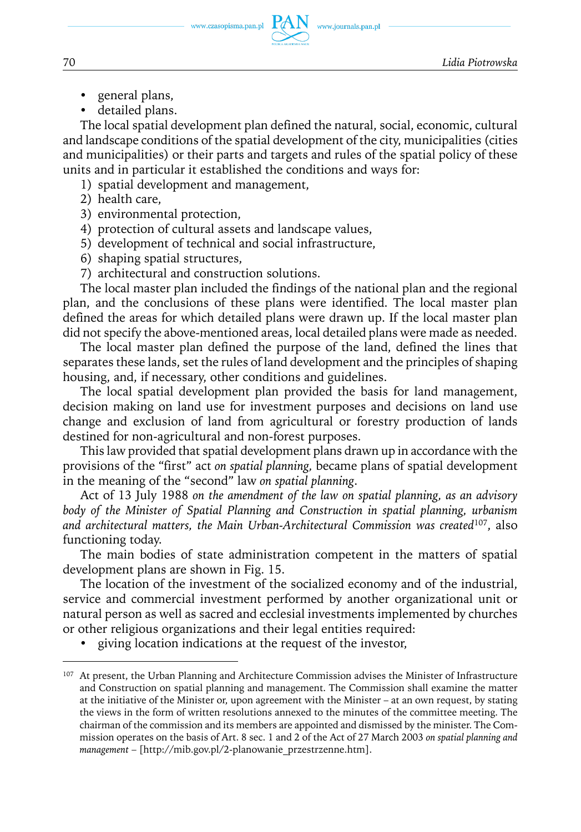www.journals.pan.pl

- general plans,
- detailed plans.

The local spatial development plan defined the natural, social, economic, cultural and landscape conditions of the spatial development of the city, municipalities (cities and municipalities) or their parts and targets and rules of the spatial policy of these units and in particular it established the conditions and ways for:

- 1) spatial development and management,
- 2) health care,
- 3) environmental protection,
- 4) protection of cultural assets and landscape values,
- 5) development of technical and social infrastructure,
- 6) shaping spatial structures,
- 7) architectural and construction solutions.

The local master plan included the findings of the national plan and the regional plan, and the conclusions of these plans were identified. The local master plan defined the areas for which detailed plans were drawn up. If the local master plan did not specify the above-mentioned areas, local detailed plans were made as needed.

The local master plan defined the purpose of the land, defined the lines that separates these lands, set the rules of land development and the principles of shaping housing, and, if necessary, other conditions and guidelines.

The local spatial development plan provided the basis for land management, decision making on land use for investment purposes and decisions on land use change and exclusion of land from agricultural or forestry production of lands destined for non-agricultural and non-forest purposes.

This law provided that spatial development plans drawn up in accordance with the provisions of the "first" act *on spatial planning,* became plans of spatial development in the meaning of the "second" law *on spatial planning*.

Act of 13 July 1988 *on the amendment of the law on spatial planning, as an advisory body of the Minister of Spatial Planning and Construction in spatial planning, urbanism and architectural matters, the Main Urban-Architectural Commission was created*107, also functioning today.

The main bodies of state administration competent in the matters of spatial development plans are shown in Fig. 15.

The location of the investment of the socialized economy and of the industrial, service and commercial investment performed by another organizational unit or natural person as well as sacred and ecclesial investments implemented by churches or other religious organizations and their legal entities required:

• giving location indications at the request of the investor,

<sup>&</sup>lt;sup>107</sup> At present, the Urban Planning and Architecture Commission advises the Minister of Infrastructure and Construction on spatial planning and management. The Commission shall examine the matter at the initiative of the Minister or, upon agreement with the Minister – at an own request, by stating the views in the form of written resolutions annexed to the minutes of the committee meeting. The chairman of the commission and its members are appointed and dismissed by the minister. The Commission operates on the basis of Art. 8 sec. 1 and 2 of the Act of 27 March 2003 *on spatial planning and management* – [http://mib.gov.pl/2-planowanie\_przestrzenne.htm].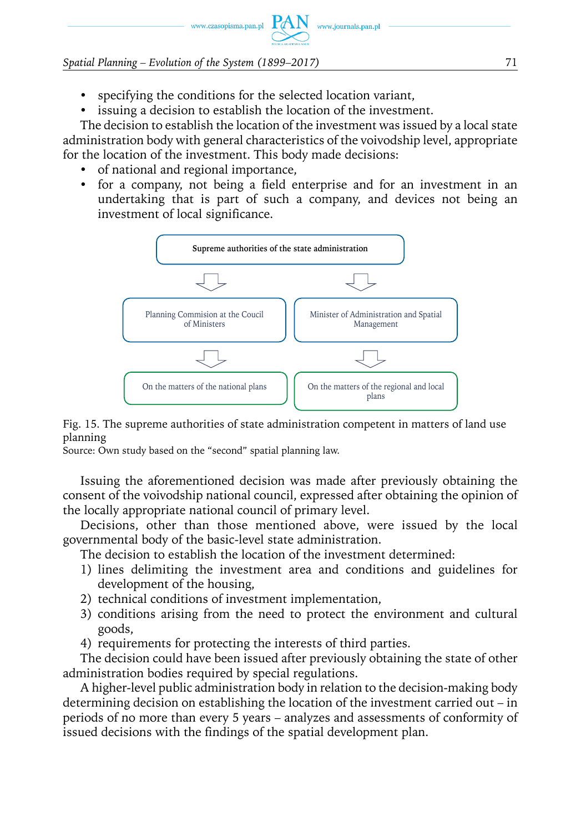- specifying the conditions for the selected location variant,
- issuing a decision to establish the location of the investment.

The decision to establish the location of the investment was issued by a local state administration body with general characteristics of the voivodship level, appropriate for the location of the investment. This body made decisions:

- of national and regional importance,
- y for a company, not being a field enterprise and for an investment in an undertaking that is part of such a company, and devices not being an investment of local significance.



Fig. 15. The supreme authorities of state administration competent in matters of land use planning

Source: Own study based on the "second" spatial planning law.

Issuing the aforementioned decision was made after previously obtaining the consent of the voivodship national council, expressed after obtaining the opinion of the locally appropriate national council of primary level.

Decisions, other than those mentioned above, were issued by the local governmental body of the basic-level state administration.

The decision to establish the location of the investment determined:

- 1) lines delimiting the investment area and conditions and guidelines for development of the housing,
- 2) technical conditions of investment implementation,
- 3) conditions arising from the need to protect the environment and cultural goods,
- 4) requirements for protecting the interests of third parties.

The decision could have been issued after previously obtaining the state of other administration bodies required by special regulations.

A higher-level public administration body in relation to the decision-making body determining decision on establishing the location of the investment carried out – in periods of no more than every 5 years – analyzes and assessments of conformity of issued decisions with the findings of the spatial development plan.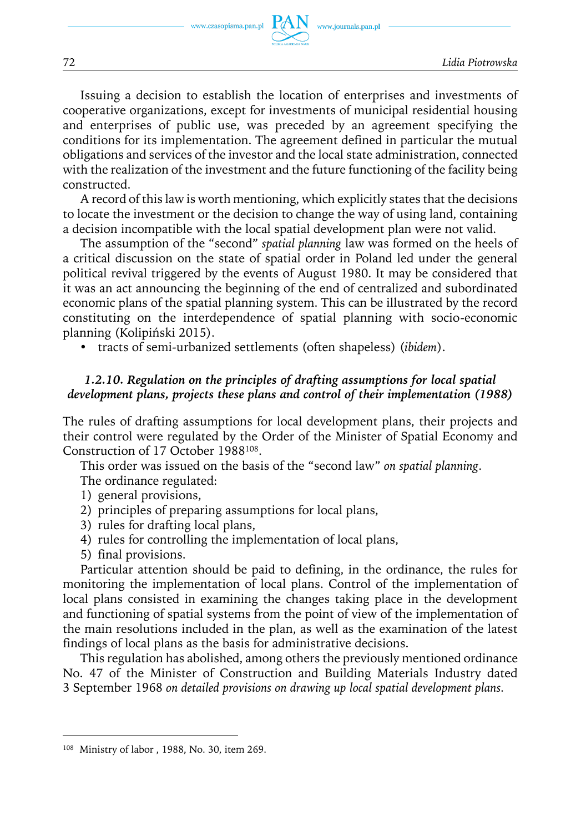

Issuing a decision to establish the location of enterprises and investments of cooperative organizations, except for investments of municipal residential housing and enterprises of public use, was preceded by an agreement specifying the conditions for its implementation. The agreement defined in particular the mutual obligations and services of the investor and the local state administration, connected with the realization of the investment and the future functioning of the facility being constructed.

A record of this law is worth mentioning, which explicitly states that the decisions to locate the investment or the decision to change the way of using land, containing a decision incompatible with the local spatial development plan were not valid.

The assumption of the "second" *spatial planning* law was formed on the heels of a critical discussion on the state of spatial order in Poland led under the general political revival triggered by the events of August 1980. It may be considered that it was an act announcing the beginning of the end of centralized and subordinated economic plans of the spatial planning system. This can be illustrated by the record constituting on the interdependence of spatial planning with socio-economic planning (Kolipiński 2015).

y tracts of semi-urbanized settlements (often shapeless) (*ibidem*).

### *1.2.10. Regulation on the principles of drafting assumptions for local spatial development plans, projects these plans and control of their implementation (1988)*

The rules of drafting assumptions for local development plans, their projects and their control were regulated by the Order of the Minister of Spatial Economy and Construction of 17 October 1988108.

This order was issued on the basis of the "second law" *on spatial planning*.

- The ordinance regulated:
- 1) general provisions,
- 2) principles of preparing assumptions for local plans,
- 3) rules for drafting local plans,
- 4) rules for controlling the implementation of local plans,
- 5) final provisions.

Particular attention should be paid to defining, in the ordinance, the rules for monitoring the implementation of local plans. Control of the implementation of local plans consisted in examining the changes taking place in the development and functioning of spatial systems from the point of view of the implementation of the main resolutions included in the plan, as well as the examination of the latest findings of local plans as the basis for administrative decisions.

This regulation has abolished, among others the previously mentioned ordinance No. 47 of the Minister of Construction and Building Materials Industry dated 3 September 1968 *on detailed provisions on drawing up local spatial development plans.*

<sup>108</sup> Ministry of labor , 1988, No. 30, item 269.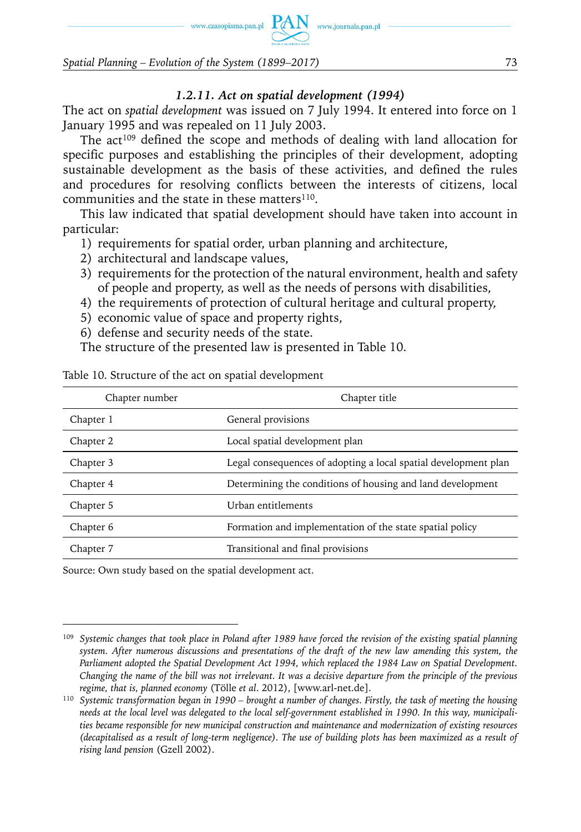www.czasopisma.pan.pl  $PAN$  www.journals.pan.pl

*Spatial Planning – Evolution of the System (1899–2017)* 73

#### *1.2.11. Act on spatial development (1994)*

The act on *spatial development* was issued on 7 July 1994. It entered into force on 1 January 1995 and was repealed on 11 July 2003.

The  $act^{109}$  defined the scope and methods of dealing with land allocation for specific purposes and establishing the principles of their development, adopting sustainable development as the basis of these activities, and defined the rules and procedures for resolving conflicts between the interests of citizens, local communities and the state in these matters $110$ .

This law indicated that spatial development should have taken into account in particular:

1) requirements for spatial order, urban planning and architecture,

- 2) architectural and landscape values,
- 3) requirements for the protection of the natural environment, health and safety of people and property, as well as the needs of persons with disabilities,
- 4) the requirements of protection of cultural heritage and cultural property,
- 5) economic value of space and property rights,
- 6) defense and security needs of the state.
- The structure of the presented law is presented in Table 10.

| Chapter number | Chapter title                                                   |
|----------------|-----------------------------------------------------------------|
| Chapter 1      | General provisions                                              |
| Chapter 2      | Local spatial development plan                                  |
| Chapter 3      | Legal consequences of adopting a local spatial development plan |
| Chapter 4      | Determining the conditions of housing and land development      |
| Chapter 5      | Urban entitlements                                              |
| Chapter 6      | Formation and implementation of the state spatial policy        |
| Chapter 7      | Transitional and final provisions                               |

Table 10. Structure of the act on spatial development

Source: Own study based on the spatial development act.

<sup>109</sup> *Systemic changes that took place in Poland after 1989 have forced the revision of the existing spatial planning system. After numerous discussions and presentations of the draft of the new law amending this system, the Parliament adopted the Spatial Development Act 1994, which replaced the 1984 Law on Spatial Development. Changing the name of the bill was not irrelevant. It was a decisive departure from the principle of the previous regime, that is, planned economy* (Tölle *et al*. 2012), [www.arl-net.de].

<sup>110</sup> *Systemic transformation began in 1990 – brought a number of changes. Firstly, the task of meeting the housing needs at the local level was delegated to the local self-government established in 1990. In this way, municipalities became responsible for new municipal construction and maintenance and modernization of existing resources (decapitalised as a result of long-term negligence). The use of building plots has been maximized as a result of rising land pension* (Gzell 2002).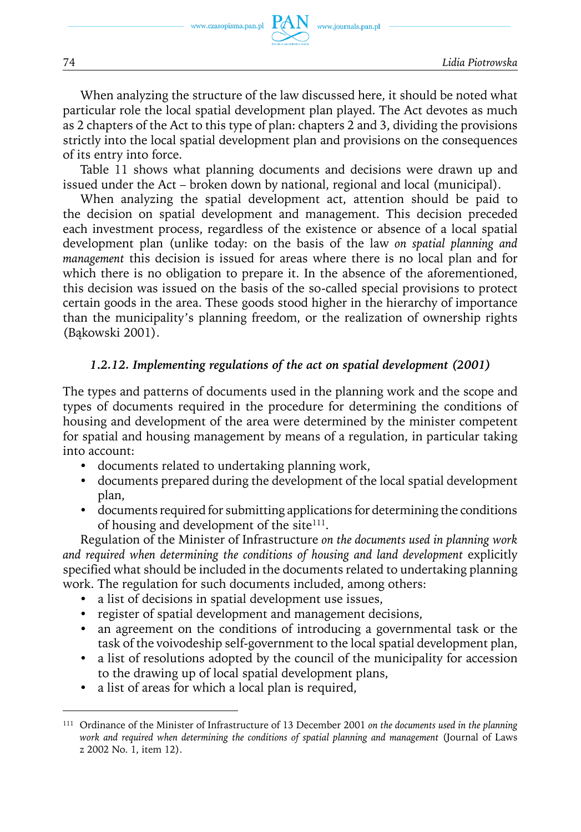www.journals.pan.pl

When analyzing the structure of the law discussed here, it should be noted what particular role the local spatial development plan played. The Act devotes as much as 2 chapters of the Act to this type of plan: chapters 2 and 3, dividing the provisions strictly into the local spatial development plan and provisions on the consequences of its entry into force.

Table 11 shows what planning documents and decisions were drawn up and issued under the Act – broken down by national, regional and local (municipal).

When analyzing the spatial development act, attention should be paid to the decision on spatial development and management. This decision preceded each investment process, regardless of the existence or absence of a local spatial development plan (unlike today: on the basis of the law *on spatial planning and management* this decision is issued for areas where there is no local plan and for which there is no obligation to prepare it. In the absence of the aforementioned, this decision was issued on the basis of the so-called special provisions to protect certain goods in the area. These goods stood higher in the hierarchy of importance than the municipality's planning freedom, or the realization of ownership rights (Bąkowski 2001).

### *1***.***2.12. Implementing regulations of the act on spatial development (2001)*

The types and patterns of documents used in the planning work and the scope and types of documents required in the procedure for determining the conditions of housing and development of the area were determined by the minister competent for spatial and housing management by means of a regulation, in particular taking into account:

- documents related to undertaking planning work,
- documents prepared during the development of the local spatial development plan,
- documents required for submitting applications for determining the conditions of housing and development of the site $111$ .

Regulation of the Minister of Infrastructure *on the documents used in planning work and required when determining the conditions of housing and land development* explicitly specified what should be included in the documents related to undertaking planning work. The regulation for such documents included, among others:

- a list of decisions in spatial development use issues,
- register of spatial development and management decisions,
- an agreement on the conditions of introducing a governmental task or the task of the voivodeship self-government to the local spatial development plan,
- a list of resolutions adopted by the council of the municipality for accession to the drawing up of local spatial development plans,
- a list of areas for which a local plan is required,

<sup>111</sup> Ordinance of the Minister of Infrastructure of 13 December 2001 *on the documents used in the planning work and required when determining the conditions of spatial planning and management* (Journal of Laws z 2002 No. 1, item 12).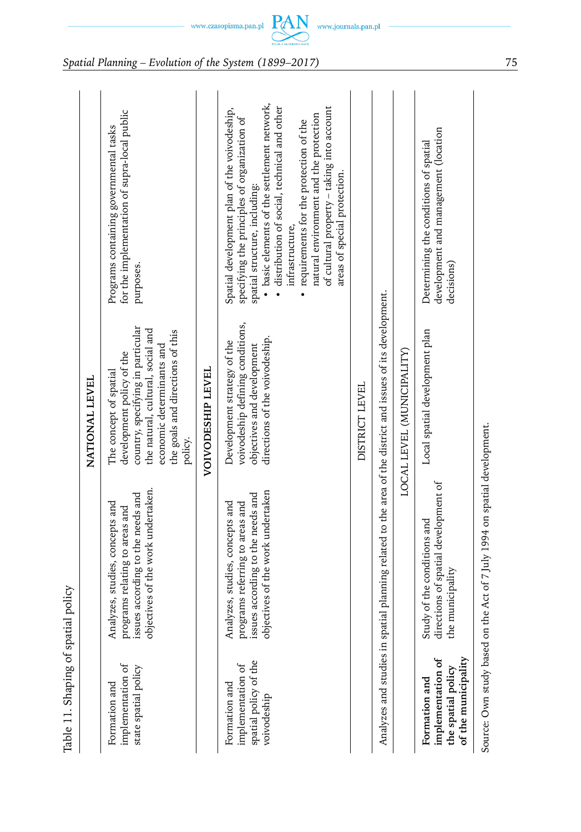| spatial             |
|---------------------|
| 5                   |
| <b>Shaping</b><br>D |
| n<br>1              |
| $\vdots$            |
| 군<br>¤              |

| Table 11. Shaping of spatial policy                                             |                                                                                                                                             |                                                                                                                                                                                                           |                                                                                                                                                                                                                                                                                                                                                                                                                    |
|---------------------------------------------------------------------------------|---------------------------------------------------------------------------------------------------------------------------------------------|-----------------------------------------------------------------------------------------------------------------------------------------------------------------------------------------------------------|--------------------------------------------------------------------------------------------------------------------------------------------------------------------------------------------------------------------------------------------------------------------------------------------------------------------------------------------------------------------------------------------------------------------|
|                                                                                 |                                                                                                                                             | NATIONAL LEVEL                                                                                                                                                                                            |                                                                                                                                                                                                                                                                                                                                                                                                                    |
| implementation of<br>state spatial policy<br>Formation and                      | objectives of the work undertaken.<br>ssues according to the needs and<br>Analyzes, studies, concepts and<br>programs relating to areas and | country, specifying in particular<br>the natural, cultural, social and<br>the goals and directions of this<br>economic determinants and<br>development policy of the<br>The concept of spatial<br>policy. | for the implementation of supra-local public<br>Programs containing governmental tasks<br>purposes.                                                                                                                                                                                                                                                                                                                |
|                                                                                 |                                                                                                                                             | <b>VOIVODESHIP LEVEL</b>                                                                                                                                                                                  |                                                                                                                                                                                                                                                                                                                                                                                                                    |
| spatial policy of the<br>implementation of<br>Formation and<br>voivodeship      | objectives of the work undertaken<br>ssues according to the needs and<br>Analyzes, studies, concepts and<br>programs referring to areas and | voivodeship defining conditions,<br>directions of the voivodeship.<br>Development strategy of the<br>objectives and development                                                                           | · basic elements of the settlement network,<br>distribution of social, technical and other<br>of cultural property - taking into account<br>Spatial development plan of the voivodeship,<br>natural environment and the protection<br>specifying the principles of organization of<br>• requirements for the protection of the<br>areas of special protection.<br>spatial structure, including:<br>infrastructure, |
|                                                                                 |                                                                                                                                             | DISTRICT LEVEL                                                                                                                                                                                            |                                                                                                                                                                                                                                                                                                                                                                                                                    |
|                                                                                 | Analyzes and studies in spatial planning related to the area of the district and issues of its development.                                 |                                                                                                                                                                                                           |                                                                                                                                                                                                                                                                                                                                                                                                                    |
|                                                                                 |                                                                                                                                             | LOCAL LEVEL (MUNICIPALITY)                                                                                                                                                                                |                                                                                                                                                                                                                                                                                                                                                                                                                    |
| of the municipality<br>implementation of<br>the spatial policy<br>Formation and | lirections of spatial development of<br>Study of the conditions and<br>he municipality                                                      | Local spatial development plan                                                                                                                                                                            | development and management (location<br>Determining the conditions of spatial<br>decisions)                                                                                                                                                                                                                                                                                                                        |
|                                                                                 | Source: Own study based on the Act of 7 July 1994 on spatial development.                                                                   |                                                                                                                                                                                                           |                                                                                                                                                                                                                                                                                                                                                                                                                    |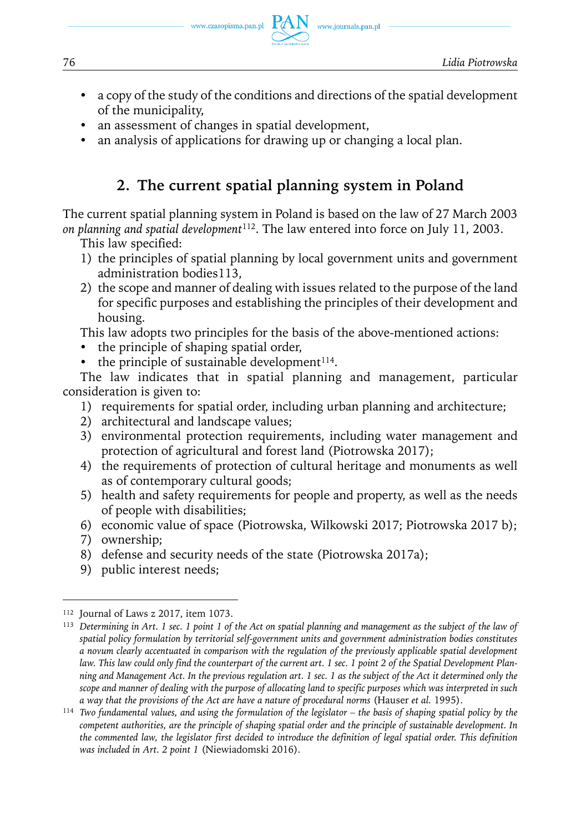76 *Lidia Piotrowska*

• a copy of the study of the conditions and directions of the spatial development of the municipality,

www.journals.pan.pl

- an assessment of changes in spatial development,
- an analysis of applications for drawing up or changing a local plan.

# **2. The current spatial planning system in Poland**

The current spatial planning system in Poland is based on the law of 27 March 2003 *on planning and spatial development*112. The law entered into force on July 11, 2003.

This law specified:

- 1) the principles of spatial planning by local government units and government administration bodies113,
- 2) the scope and manner of dealing with issues related to the purpose of the land for specific purposes and establishing the principles of their development and housing.

This law adopts two principles for the basis of the above-mentioned actions:

- the principle of shaping spatial order,
- $\bullet$  the principle of sustainable development<sup>114</sup>.

The law indicates that in spatial planning and management, particular consideration is given to:

- 1) requirements for spatial order, including urban planning and architecture;
- 2) architectural and landscape values;
- 3) environmental protection requirements, including water management and protection of agricultural and forest land (Piotrowska 2017);
- 4) the requirements of protection of cultural heritage and monuments as well as of contemporary cultural goods;
- 5) health and safety requirements for people and property, as well as the needs of people with disabilities;
- 6) economic value of space (Piotrowska, Wilkowski 2017; Piotrowska 2017 b);
- 7) ownership;
- 8) defense and security needs of the state (Piotrowska 2017a);
- 9) public interest needs;

<sup>112</sup> Journal of Laws z 2017, item 1073.

<sup>113</sup> *Determining in Art. 1 sec. 1 point 1 of the Act on spatial planning and management as the subject of the law of spatial policy formulation by territorial self-government units and government administration bodies constitutes a novum clearly accentuated in comparison with the regulation of the previously applicable spatial development law. This law could only find the counterpart of the current art. 1 sec. 1 point 2 of the Spatial Development Planning and Management Act. In the previous regulation art. 1 sec. 1 as the subject of the Act it determined only the scope and manner of dealing with the purpose of allocating land to specific purposes which was interpreted in such a way that the provisions of the Act are have a nature of procedural norms* (Hauser *et al.* 1995).

<sup>114</sup> *Two fundamental values, and using the formulation of the legislator – the basis of shaping spatial policy by the competent authorities, are the principle of shaping spatial order and the principle of sustainable development. In the commented law, the legislator first decided to introduce the definition of legal spatial order. This definition was included in Art. 2 point 1* (Niewiadomski 2016).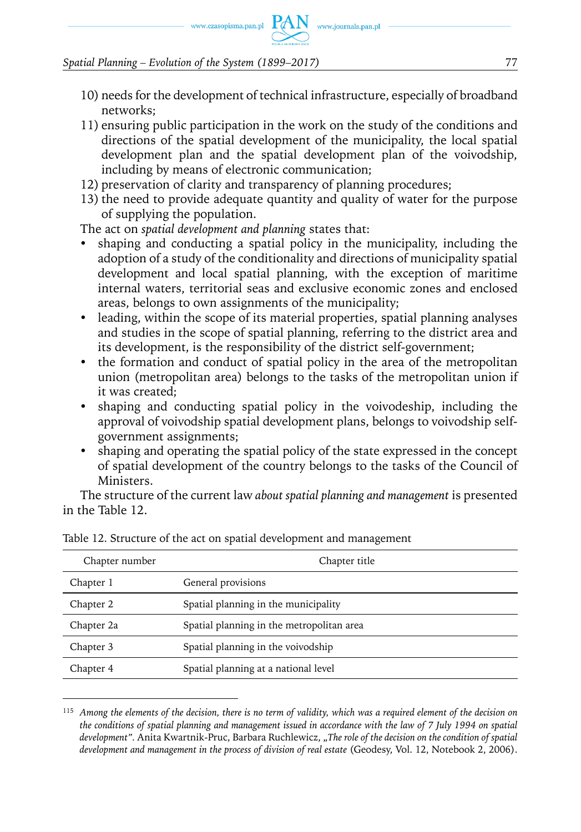www.czasopisma.pan.pl  $PAN$  www.journals.pan.pl

#### *Spatial Planning – Evolution of the System (1899–2017)* 77

- 10) needs for the development of technical infrastructure, especially of broadband networks;
- 11) ensuring public participation in the work on the study of the conditions and directions of the spatial development of the municipality, the local spatial development plan and the spatial development plan of the voivodship, including by means of electronic communication;
- 12) preservation of clarity and transparency of planning procedures;
- 13) the need to provide adequate quantity and quality of water for the purpose of supplying the population.

The act on *spatial development and planning* states that:

- shaping and conducting a spatial policy in the municipality, including the adoption of a study of the conditionality and directions of municipality spatial development and local spatial planning, with the exception of maritime internal waters, territorial seas and exclusive economic zones and enclosed areas, belongs to own assignments of the municipality;
- leading, within the scope of its material properties, spatial planning analyses and studies in the scope of spatial planning, referring to the district area and its development, is the responsibility of the district self-government;
- the formation and conduct of spatial policy in the area of the metropolitan union (metropolitan area) belongs to the tasks of the metropolitan union if it was created;
- shaping and conducting spatial policy in the voivodeship, including the approval of voivodship spatial development plans, belongs to voivodship selfgovernment assignments;
- shaping and operating the spatial policy of the state expressed in the concept of spatial development of the country belongs to the tasks of the Council of Ministers.

The structure of the current law *about spatial planning and management* is presented in the Table 12.

| Chapter number | Chapter title                             |
|----------------|-------------------------------------------|
| Chapter 1      | General provisions                        |
| Chapter 2      | Spatial planning in the municipality      |
| Chapter 2a     | Spatial planning in the metropolitan area |
| Chapter 3      | Spatial planning in the voivodship        |
| Chapter 4      | Spatial planning at a national level      |
|                |                                           |

Table 12. Structure of the act on spatial development and management

<sup>115</sup> *Among the elements of the decision, there is no term of validity, which was a required element of the decision on the conditions of spatial planning and management issued in accordance with the law of 7 July 1994 on spatial*  development". Anita Kwartnik-Pruc, Barbara Ruchlewicz, "The role of the decision on the condition of spatial *development and management in the process of division of real estate* (Geodesy, Vol. 12, Notebook 2, 2006).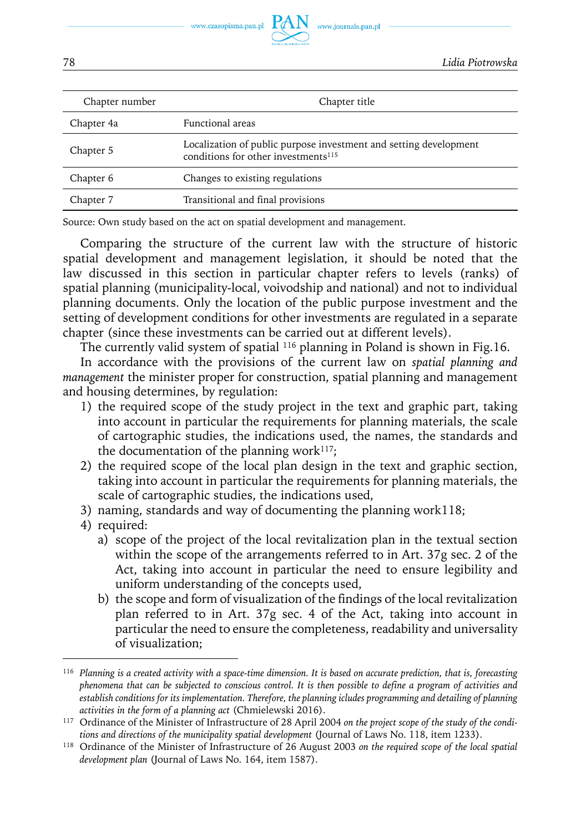

| Chapter number | Chapter title                                                                                                        |
|----------------|----------------------------------------------------------------------------------------------------------------------|
| Chapter 4a     | <b>Functional</b> areas                                                                                              |
| Chapter 5      | Localization of public purpose investment and setting development<br>conditions for other investments <sup>115</sup> |
| Chapter 6      | Changes to existing regulations                                                                                      |
| Chapter 7      | Transitional and final provisions                                                                                    |

Source: Own study based on the act on spatial development and management.

Comparing the structure of the current law with the structure of historic spatial development and management legislation, it should be noted that the law discussed in this section in particular chapter refers to levels (ranks) of spatial planning (municipality-local, voivodship and national) and not to individual planning documents. Only the location of the public purpose investment and the setting of development conditions for other investments are regulated in a separate chapter (since these investments can be carried out at different levels).

The currently valid system of spatial <sup>116</sup> planning in Poland is shown in Fig.16.

In accordance with the provisions of the current law on *spatial planning and management* the minister proper for construction, spatial planning and management and housing determines, by regulation:

- 1) the required scope of the study project in the text and graphic part, taking into account in particular the requirements for planning materials, the scale of cartographic studies, the indications used, the names, the standards and the documentation of the planning work $117$ ;
- 2) the required scope of the local plan design in the text and graphic section, taking into account in particular the requirements for planning materials, the scale of cartographic studies, the indications used,
- 3) naming, standards and way of documenting the planning work118;
- 4) required:
	- a) scope of the project of the local revitalization plan in the textual section within the scope of the arrangements referred to in Art. 37g sec. 2 of the Act, taking into account in particular the need to ensure legibility and uniform understanding of the concepts used,
	- b) the scope and form of visualization of the findings of the local revitalization plan referred to in Art. 37g sec. 4 of the Act, taking into account in particular the need to ensure the completeness, readability and universality of visualization;

<sup>116</sup> *Planning is a created activity with a space-time dimension. It is based on accurate prediction, that is, forecasting phenomena that can be subjected to conscious control. It is then possible to define a program of activities and*  establish conditions for its implementation. Therefore, the planning icludes programming and detailing of planning *activities in the form of a planning act* (Chmielewski 2016).

<sup>117</sup> Ordinance of the Minister of Infrastructure of 28 April 2004 *on the project scope of the study of the conditions and directions of the municipality spatial development* (Journal of Laws No. 118, item 1233).

<sup>118</sup> Ordinance of the Minister of Infrastructure of 26 August 2003 *on the required scope of the local spatial development plan* (Journal of Laws No. 164, item 1587).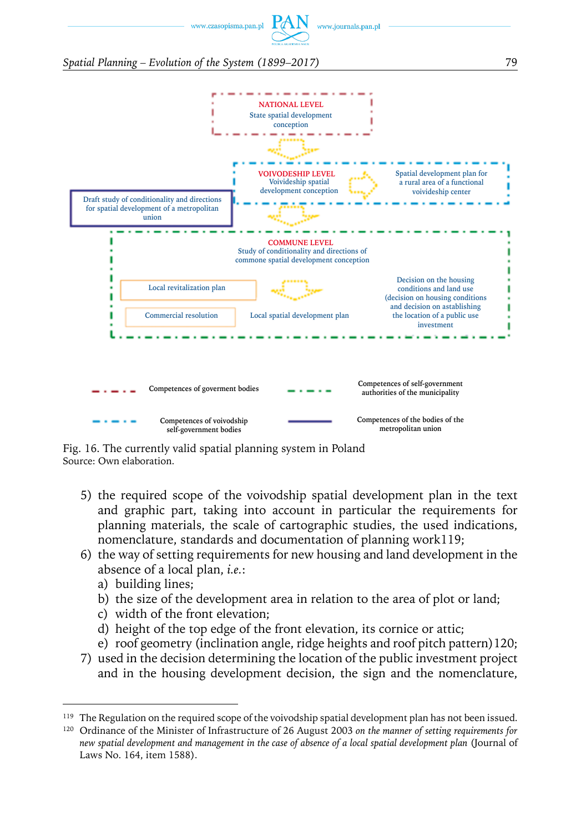www.czasopisma.pan.pl

www.journals.pan.pl

*Spatial Planning – Evolution of the System (1899–2017)* 79



Fig. 16. The currently valid spatial planning system in Poland Source: Own elaboration.

- 5) the required scope of the voivodship spatial development plan in the text and graphic part, taking into account in particular the requirements for planning materials, the scale of cartographic studies, the used indications, nomenclature, standards and documentation of planning work119;
- 6) the way of setting requirements for new housing and land development in the absence of a local plan, *i.e.*:
	- a) building lines;
	- b) the size of the development area in relation to the area of plot or land;
	- c) width of the front elevation;
	- d) height of the top edge of the front elevation, its cornice or attic;
	- e) roof geometry (inclination angle, ridge heights and roof pitch pattern)120;
- 7) used in the decision determining the location of the public investment project and in the housing development decision, the sign and the nomenclature,

<sup>&</sup>lt;sup>119</sup> The Regulation on the required scope of the voivodship spatial development plan has not been issued.

<sup>120</sup> Ordinance of the Minister of Infrastructure of 26 August 2003 *on the manner of setting requirements for new spatial development and management in the case of absence of a local spatial development plan* (Journal of Laws No. 164, item 1588).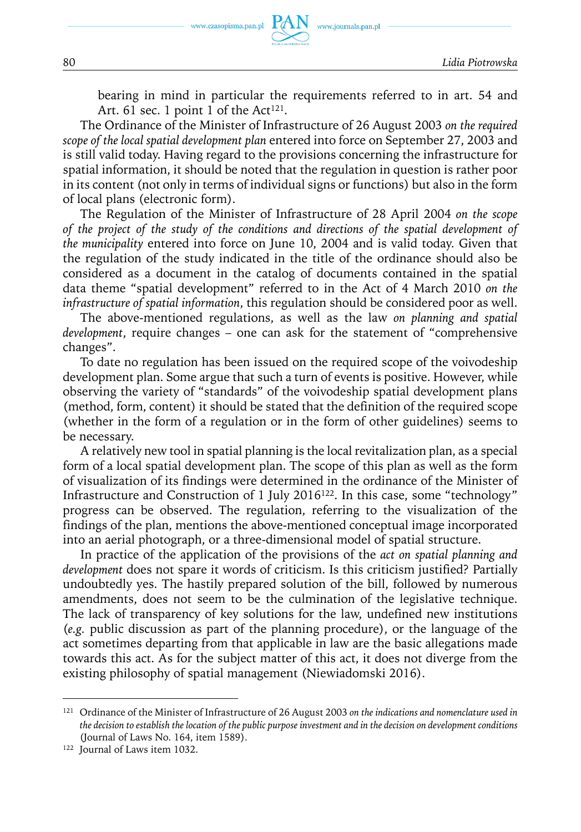

bearing in mind in particular the requirements referred to in art. 54 and Art. 61 sec. 1 point 1 of the Act<sup>121</sup>.

www.journals.pan.pl

The Ordinance of the Minister of Infrastructure of 26 August 2003 *on the required scope of the local spatial development plan* entered into force on September 27, 2003 and is still valid today. Having regard to the provisions concerning the infrastructure for spatial information, it should be noted that the regulation in question is rather poor in its content (not only in terms of individual signs or functions) but also in the form of local plans (electronic form).

The Regulation of the Minister of Infrastructure of 28 April 2004 *on the scope of the project of the study of the conditions and directions of the spatial development of the municipality* entered into force on June 10, 2004 and is valid today. Given that the regulation of the study indicated in the title of the ordinance should also be considered as a document in the catalog of documents contained in the spatial data theme "spatial development" referred to in the Act of 4 March 2010 *on the infrastructure of spatial information*, this regulation should be considered poor as well.

The above-mentioned regulations, as well as the law *on planning and spatial development*, require changes – one can ask for the statement of "comprehensive changes".

To date no regulation has been issued on the required scope of the voivodeship development plan. Some argue that such a turn of events is positive. However, while observing the variety of "standards" of the voivodeship spatial development plans (method, form, content) it should be stated that the definition of the required scope (whether in the form of a regulation or in the form of other guidelines) seems to be necessary.

A relatively new tool in spatial planning is the local revitalization plan, as a special form of a local spatial development plan. The scope of this plan as well as the form of visualization of its findings were determined in the ordinance of the Minister of Infrastructure and Construction of 1 July 2016122. In this case, some "technology" progress can be observed. The regulation, referring to the visualization of the findings of the plan, mentions the above-mentioned conceptual image incorporated into an aerial photograph, or a three-dimensional model of spatial structure.

In practice of the application of the provisions of the *act on spatial planning and development* does not spare it words of criticism. Is this criticism justified? Partially undoubtedly yes. The hastily prepared solution of the bill, followed by numerous amendments, does not seem to be the culmination of the legislative technique. The lack of transparency of key solutions for the law, undefined new institutions (*e.g.* public discussion as part of the planning procedure), or the language of the act sometimes departing from that applicable in law are the basic allegations made towards this act. As for the subject matter of this act, it does not diverge from the existing philosophy of spatial management (Niewiadomski 2016).

<sup>121</sup> Ordinance of the Minister of Infrastructure of 26 August 2003 *on the indications and nomenclature used in the decision to establish the location of the public purpose investment and in the decision on development conditions* (Journal of Laws No. 164, item 1589).

<sup>122</sup> Journal of Laws item 1032.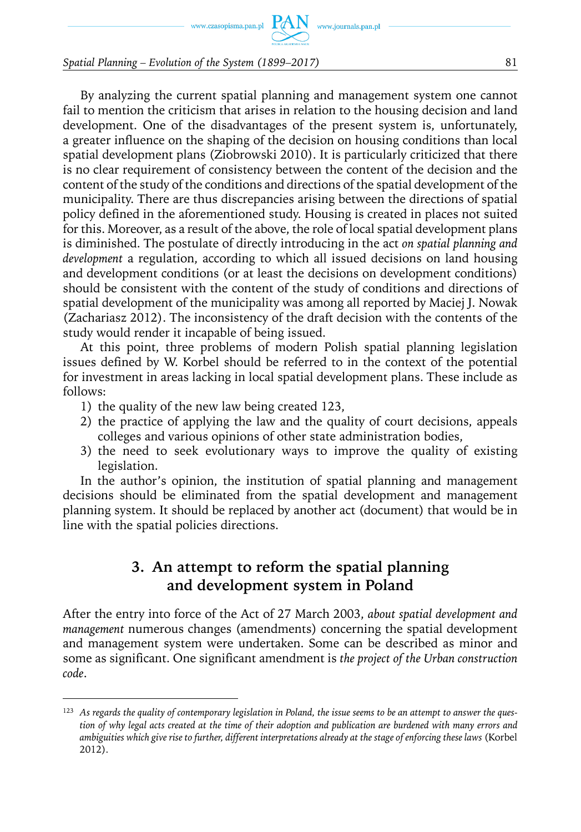By analyzing the current spatial planning and management system one cannot fail to mention the criticism that arises in relation to the housing decision and land development. One of the disadvantages of the present system is, unfortunately, a greater influence on the shaping of the decision on housing conditions than local spatial development plans (Ziobrowski 2010). It is particularly criticized that there is no clear requirement of consistency between the content of the decision and the content of the study of the conditions and directions of the spatial development of the municipality. There are thus discrepancies arising between the directions of spatial policy defined in the aforementioned study. Housing is created in places not suited for this. Moreover, as a result of the above, the role of local spatial development plans is diminished. The postulate of directly introducing in the act *on spatial planning and development* a regulation, according to which all issued decisions on land housing and development conditions (or at least the decisions on development conditions) should be consistent with the content of the study of conditions and directions of spatial development of the municipality was among all reported by Maciej J. Nowak (Zachariasz 2012). The inconsistency of the draft decision with the contents of the study would render it incapable of being issued.

At this point, three problems of modern Polish spatial planning legislation issues defined by W. Korbel should be referred to in the context of the potential for investment in areas lacking in local spatial development plans. These include as follows:

- 1) the quality of the new law being created 123,
- 2) the practice of applying the law and the quality of court decisions, appeals colleges and various opinions of other state administration bodies,
- 3) the need to seek evolutionary ways to improve the quality of existing legislation.

In the author's opinion, the institution of spatial planning and management decisions should be eliminated from the spatial development and management planning system. It should be replaced by another act (document) that would be in line with the spatial policies directions.

# **3. An attempt to reform the spatial planning and development system in Poland**

After the entry into force of the Act of 27 March 2003, *about spatial development and management* numerous changes (amendments) concerning the spatial development and management system were undertaken. Some can be described as minor and some as significant. One significant amendment is *the project of the Urban construction code*.

<sup>123</sup> *As regards the quality of contemporary legislation in Poland, the issue seems to be an attempt to answer the question of why legal acts created at the time of their adoption and publication are burdened with many errors and ambiguities which give rise to further, different interpretations already at the stage of enforcing these laws* (Korbel 2012).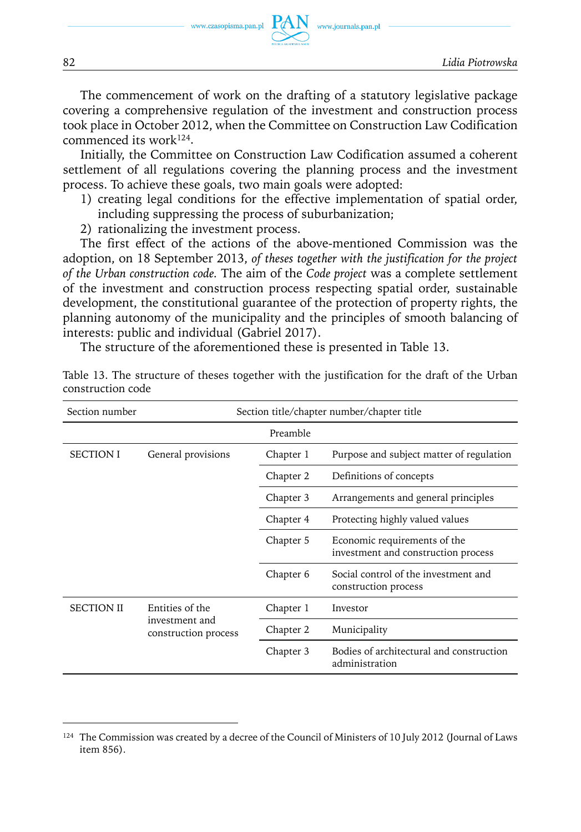www.journals.pan.pl

The commencement of work on the drafting of a statutory legislative package covering a comprehensive regulation of the investment and construction process took place in October 2012, when the Committee on Construction Law Codification commenced its work124.

Initially, the Committee on Construction Law Codification assumed a coherent settlement of all regulations covering the planning process and the investment process. To achieve these goals, two main goals were adopted:

- 1) creating legal conditions for the effective implementation of spatial order, including suppressing the process of suburbanization;
- 2) rationalizing the investment process.

The first effect of the actions of the above-mentioned Commission was the adoption, on 18 September 2013, *of theses together with the justification for the project of the Urban construction code.* The aim of the *Code project* was a complete settlement of the investment and construction process respecting spatial order, sustainable development, the constitutional guarantee of the protection of property rights, the planning autonomy of the municipality and the principles of smooth balancing of interests: public and individual (Gabriel 2017).

The structure of the aforementioned these is presented in Table 13.

| Section number    |                                        |           | Section title/chapter number/chapter title                          |
|-------------------|----------------------------------------|-----------|---------------------------------------------------------------------|
|                   |                                        | Preamble  |                                                                     |
| <b>SECTION I</b>  | General provisions                     | Chapter 1 | Purpose and subject matter of regulation                            |
|                   |                                        | Chapter 2 | Definitions of concepts                                             |
|                   |                                        | Chapter 3 | Arrangements and general principles                                 |
|                   |                                        | Chapter 4 | Protecting highly valued values                                     |
|                   |                                        | Chapter 5 | Economic requirements of the<br>investment and construction process |
|                   |                                        | Chapter 6 | Social control of the investment and<br>construction process        |
| <b>SECTION II</b> | Entities of the                        | Chapter 1 | Investor                                                            |
|                   | investment and<br>construction process | Chapter 2 | Municipality                                                        |
|                   |                                        | Chapter 3 | Bodies of architectural and construction<br>administration          |

Table 13. The structure of theses together with the justification for the draft of the Urban construction code

<sup>&</sup>lt;sup>124</sup> The Commission was created by a decree of the Council of Ministers of 10 July 2012 (Journal of Laws item 856).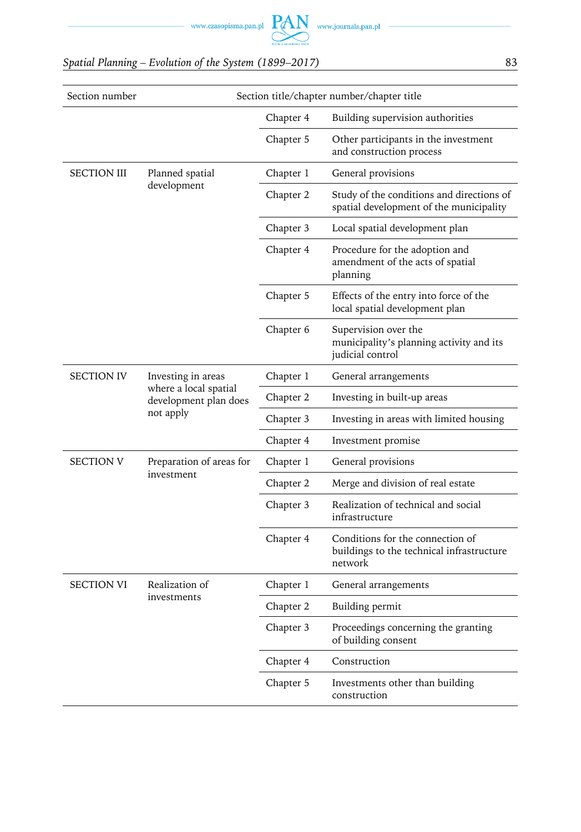

| Section number    |                                                |           | Section title/chapter number/chapter title                                               |
|-------------------|------------------------------------------------|-----------|------------------------------------------------------------------------------------------|
|                   |                                                | Chapter 4 | Building supervision authorities                                                         |
|                   |                                                | Chapter 5 | Other participants in the investment<br>and construction process                         |
| SECTION III       | Planned spatial                                | Chapter 1 | General provisions                                                                       |
|                   | development                                    | Chapter 2 | Study of the conditions and directions of<br>spatial development of the municipality     |
|                   |                                                | Chapter 3 | Local spatial development plan                                                           |
|                   |                                                | Chapter 4 | Procedure for the adoption and<br>amendment of the acts of spatial<br>planning           |
|                   |                                                | Chapter 5 | Effects of the entry into force of the<br>local spatial development plan                 |
|                   |                                                | Chapter 6 | Supervision over the<br>municipality's planning activity and its<br>judicial control     |
| <b>SECTION IV</b> | Investing in areas                             | Chapter 1 | General arrangements                                                                     |
|                   | where a local spatial<br>development plan does | Chapter 2 | Investing in built-up areas                                                              |
|                   | not apply                                      | Chapter 3 | Investing in areas with limited housing                                                  |
|                   |                                                | Chapter 4 | Investment promise                                                                       |
| <b>SECTION V</b>  | Preparation of areas for                       | Chapter 1 | General provisions                                                                       |
|                   | investment                                     | Chapter 2 | Merge and division of real estate                                                        |
|                   |                                                | Chapter 3 | Realization of technical and social<br>infrastructure                                    |
|                   |                                                | Chapter 4 | Conditions for the connection of<br>buildings to the technical infrastructure<br>network |
| <b>SECTION VI</b> | Realization of                                 | Chapter 1 | General arrangements                                                                     |
|                   | investments                                    | Chapter 2 | Building permit                                                                          |
|                   |                                                | Chapter 3 | Proceedings concerning the granting<br>of building consent                               |
|                   |                                                | Chapter 4 | Construction                                                                             |
|                   |                                                | Chapter 5 | Investments other than building<br>construction                                          |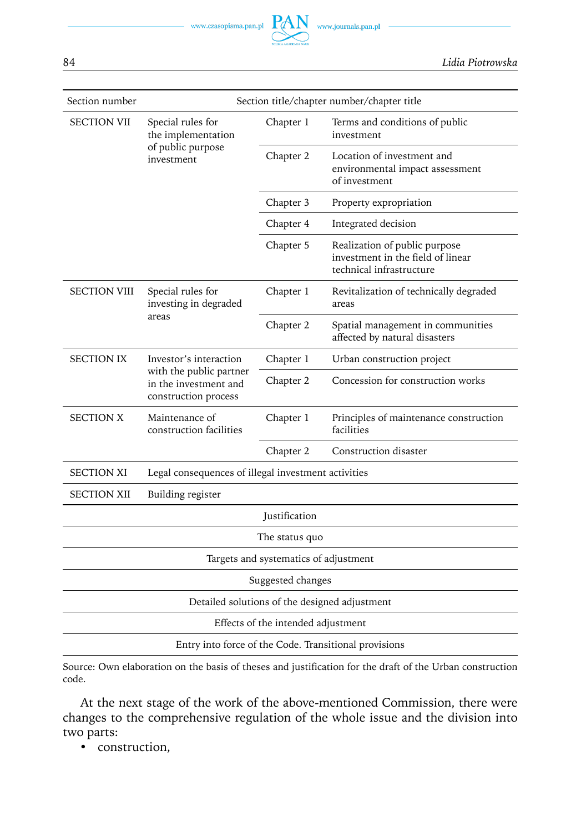

| Section number      |                                                                          |                                       | Section title/chapter number/chapter title                                                     |
|---------------------|--------------------------------------------------------------------------|---------------------------------------|------------------------------------------------------------------------------------------------|
| <b>SECTION VII</b>  | Special rules for<br>the implementation                                  | Chapter 1                             | Terms and conditions of public<br>investment                                                   |
|                     | of public purpose<br>investment                                          | Chapter 2                             | Location of investment and<br>environmental impact assessment<br>of investment                 |
|                     |                                                                          | Chapter 3                             | Property expropriation                                                                         |
|                     |                                                                          | Chapter 4                             | Integrated decision                                                                            |
|                     |                                                                          | Chapter 5                             | Realization of public purpose<br>investment in the field of linear<br>technical infrastructure |
| <b>SECTION VIII</b> | Special rules for<br>investing in degraded                               | Chapter 1                             | Revitalization of technically degraded<br>areas                                                |
|                     | areas                                                                    | Chapter 2                             | Spatial management in communities<br>affected by natural disasters                             |
| <b>SECTION IX</b>   | Investor's interaction                                                   | Chapter 1                             | Urban construction project                                                                     |
|                     | with the public partner<br>in the investment and<br>construction process | Chapter 2                             | Concession for construction works                                                              |
| <b>SECTION X</b>    | Maintenance of<br>construction facilities                                | Chapter 1                             | Principles of maintenance construction<br>facilities                                           |
|                     |                                                                          | Chapter 2                             | Construction disaster                                                                          |
| <b>SECTION XI</b>   | Legal consequences of illegal investment activities                      |                                       |                                                                                                |
| <b>SECTION XII</b>  | Building register                                                        |                                       |                                                                                                |
|                     |                                                                          | Justification                         |                                                                                                |
|                     |                                                                          | The status quo                        |                                                                                                |
|                     |                                                                          | Targets and systematics of adjustment |                                                                                                |
|                     |                                                                          | Suggested changes                     |                                                                                                |
|                     | Detailed solutions of the designed adjustment                            |                                       |                                                                                                |
|                     |                                                                          | Effects of the intended adjustment    |                                                                                                |
|                     | Entry into force of the Code. Transitional provisions                    |                                       |                                                                                                |

Source: Own elaboration on the basis of theses and justification for the draft of the Urban construction code.

At the next stage of the work of the above-mentioned Commission, there were changes to the comprehensive regulation of the whole issue and the division into two parts:

• construction,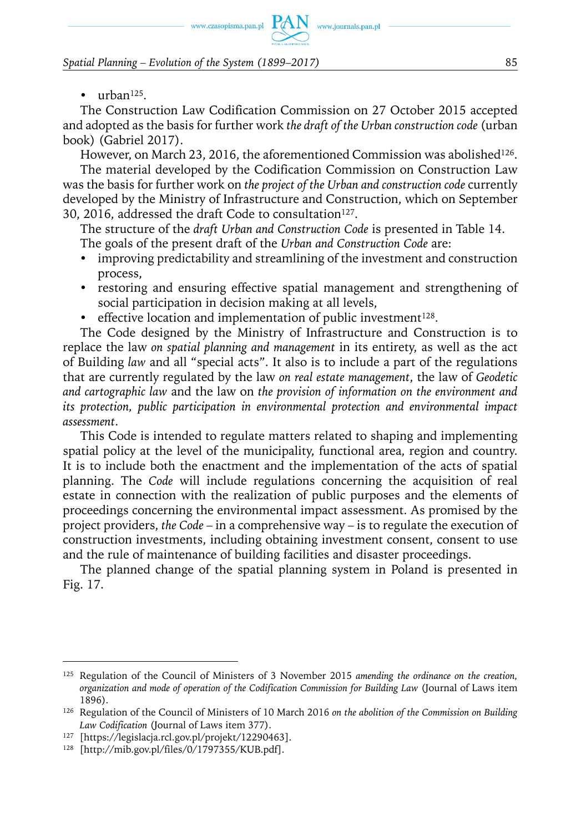www.czasopisma.pan.pl  $PAN$  www.journals.pan.pl

*Spatial Planning – Evolution of the System (1899–2017)* 85

 $\bullet$  urban<sup>125</sup>.

The Construction Law Codification Commission on 27 October 2015 accepted and adopted as the basis for further work *the draft of the Urban construction code* (urban book) (Gabriel 2017).

However, on March 23, 2016, the aforementioned Commission was abolished<sup>126</sup>. The material developed by the Codification Commission on Construction Law was the basis for further work on *the project of the Urban and construction code* currently developed by the Ministry of Infrastructure and Construction, which on September 30, 2016, addressed the draft Code to consultation<sup>127</sup>.

The structure of the *draft Urban and Construction Code* is presented in Table 14. The goals of the present draft of the *Urban and Construction Code* are:

- improving predictability and streamlining of the investment and construction process,
- restoring and ensuring effective spatial management and strengthening of social participation in decision making at all levels,
- effective location and implementation of public investment<sup>128</sup>.

The Code designed by the Ministry of Infrastructure and Construction is to replace the law *on spatial planning and management* in its entirety, as well as the act of Building *law* and all "special acts". It also is to include a part of the regulations that are currently regulated by the law *on real estate management*, the law of *Geodetic and cartographic law* and the law on *the provision of information on the environment and its protection, public participation in environmental protection and environmental impact assessment*.

This Code is intended to regulate matters related to shaping and implementing spatial policy at the level of the municipality, functional area, region and country. It is to include both the enactment and the implementation of the acts of spatial planning. The *Code* will include regulations concerning the acquisition of real estate in connection with the realization of public purposes and the elements of proceedings concerning the environmental impact assessment. As promised by the project providers, *the Code* – in a comprehensive way – is to regulate the execution of construction investments, including obtaining investment consent, consent to use and the rule of maintenance of building facilities and disaster proceedings.

The planned change of the spatial planning system in Poland is presented in Fig. 17.

<sup>125</sup> Regulation of the Council of Ministers of 3 November 2015 *amending the ordinance on the creation, organization and mode of operation of the Codification Commission for Building Law* (Journal of Laws item 1896).

<sup>126</sup> Regulation of the Council of Ministers of 10 March 2016 *on the abolition of the Commission on Building Law Codification* (Journal of Laws item 377).

<sup>127</sup> [https://legislacja.rcl.gov.pl/projekt/12290463].

<sup>128</sup> [http://mib.gov.pl/files/0/1797355/KUB.pdf].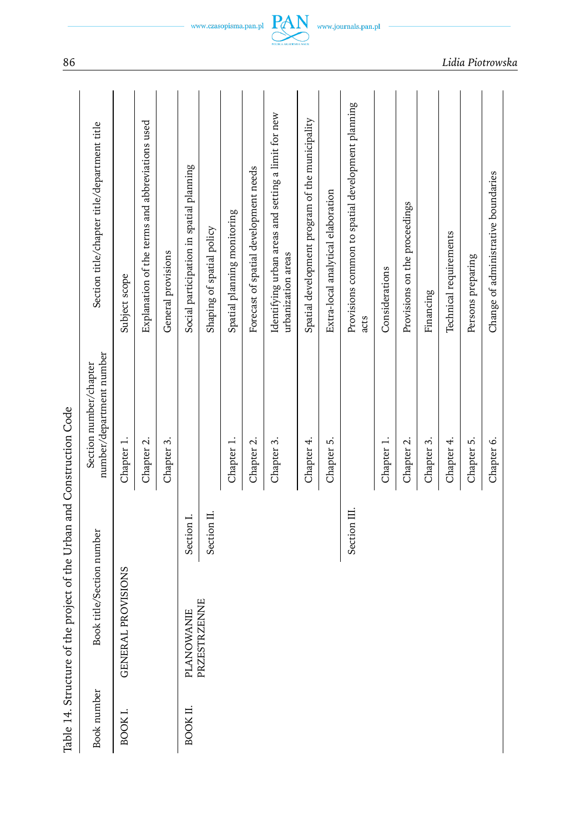| I                                         |
|-------------------------------------------|
|                                           |
| 25<br>25.7<br>1                           |
|                                           |
| ֖֖֖֖֖֧֪ׅ֪ׅ֖֧֚֚֚֚֚֚֚֚֚֚֚֚֚֚֚֚֚֚֚֚֚֚֚֬֝֝֝֬֝ |
|                                           |
|                                           |
|                                           |
| $\overline{a}$<br>i                       |
|                                           |
| $\frac{1}{2}$<br>i                        |
| ţ                                         |
|                                           |
| くちょうこうしょう                                 |
|                                           |
|                                           |
|                                           |
|                                           |
| $-2$<br>$\frac{1}{2}$                     |
|                                           |
|                                           |
|                                           |
|                                           |
|                                           |
|                                           |
|                                           |
|                                           |
|                                           |
|                                           |

|             | Table 14. Structure of the project of the Urban and Construction Code |              |                                                    |                                                                           |
|-------------|-----------------------------------------------------------------------|--------------|----------------------------------------------------|---------------------------------------------------------------------------|
| Book number | Book title/Section number                                             |              | number/department number<br>Section number/chapter | Section title/chapter title/department title                              |
| BOOK I.     | <b>PROVISIONS</b><br><b>GENERAL</b>                                   |              | Chapter 1.                                         | Subject scope                                                             |
|             |                                                                       |              | Chapter 2.                                         | Explanation of the terms and abbreviations used                           |
|             |                                                                       |              | Chapter 3.                                         | General provisions                                                        |
| BOOK II.    | PLANOWANIE                                                            | Section I.   |                                                    | Social participation in spatial planning                                  |
|             | PRZESTRZENNE                                                          | Section II.  |                                                    | Shaping of spatial policy                                                 |
|             |                                                                       |              | Chapter 1.                                         | Spatial planning monitoring                                               |
|             |                                                                       |              | Chapter 2.                                         | Forecast of spatial development needs                                     |
|             |                                                                       |              | Chapter 3.                                         | Identifying urban areas and setting a limit for new<br>urbanization areas |
|             |                                                                       |              | Chapter 4.                                         | Spatial development program of the municipality                           |
|             |                                                                       |              | Chapter 5.                                         | Extra-local analytical elaboration                                        |
|             |                                                                       | Section III. |                                                    | Provisions common to spatial development planning<br>acts                 |
|             |                                                                       |              | Chapter 1.                                         | Considerations                                                            |
|             |                                                                       |              | Chapter 2.                                         | Provisions on the proceedings                                             |
|             |                                                                       |              | Chapter 3.                                         | Financing                                                                 |
|             |                                                                       |              | Chapter 4.                                         | Technical requirements                                                    |
|             |                                                                       |              | Chapter 5.                                         | Persons preparing                                                         |
|             |                                                                       |              | Chapter 6.                                         | Change of administrative boundaries                                       |
|             |                                                                       |              |                                                    |                                                                           |



86 *Lidia Piotrowska*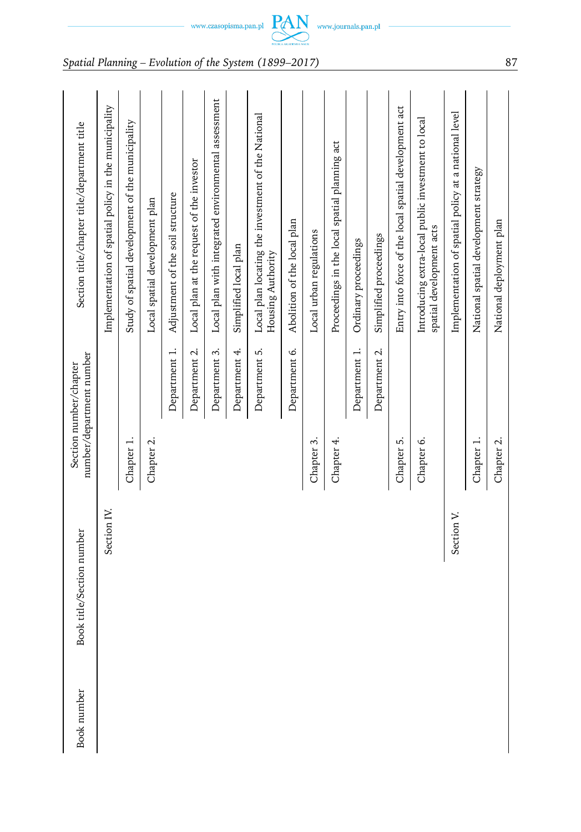| <b>Book</b> number | Book title/Section number |            | number/department number<br>Section number/chapter | Section title/chapter title/department title                                   |
|--------------------|---------------------------|------------|----------------------------------------------------|--------------------------------------------------------------------------------|
|                    | Section IV.               |            |                                                    | Implementation of spatial policy in the municipality                           |
|                    |                           | Chapter 1. |                                                    | Study of spatial development of the municipality                               |
|                    |                           | Chapter 2. |                                                    | Local spatial development plan                                                 |
|                    |                           |            | Department 1.                                      | Adjustment of the soil structure                                               |
|                    |                           |            | Department 2.                                      | Local plan at the request of the investor                                      |
|                    |                           |            | Department 3.                                      | Local plan with integrated environmental assessment                            |
|                    |                           |            | Department 4.                                      | Simplified local plan                                                          |
|                    |                           |            | Department 5.                                      | Local plan locating the investment of the National<br>Housing Authority        |
|                    |                           |            | Department 6.                                      | Abolition of the local plan                                                    |
|                    |                           | Chapter 3. |                                                    | Local urban regulations                                                        |
|                    |                           | Chapter 4. |                                                    | Proceedings in the local spatial planning act                                  |
|                    |                           |            | Department 1.                                      | Ordinary proceedings                                                           |
|                    |                           |            | Department 2.                                      | Simplified proceedings                                                         |
|                    |                           | Chapter 5. |                                                    | Entry into force of the local spatial development act                          |
|                    |                           | Chapter 6. |                                                    | Introducing extra-local public investment to local<br>spatial development acts |
|                    | Section V.                |            |                                                    | Implementation of spatial policy at a national level                           |
|                    |                           | Chapter 1. |                                                    | National spatial development strategy                                          |
|                    |                           | Chapter 2. |                                                    | National deployment plan                                                       |

 $\begin{picture}(120,140)(0,0) \put(0,0){\vector(1,0){160}} \put(15,0){\vector(1,0){160}} \put(15,0){\vector(1,0){160}} \put(15,0){\vector(1,0){160}} \put(15,0){\vector(1,0){160}} \put(15,0){\vector(1,0){160}} \put(15,0){\vector(1,0){160}} \put(15,0){\vector(1,0){160}} \put(15,0){\vector(1,0){160}} \put(15,0){\vector(1,0){160}} \put(15,0){\vector(1,0$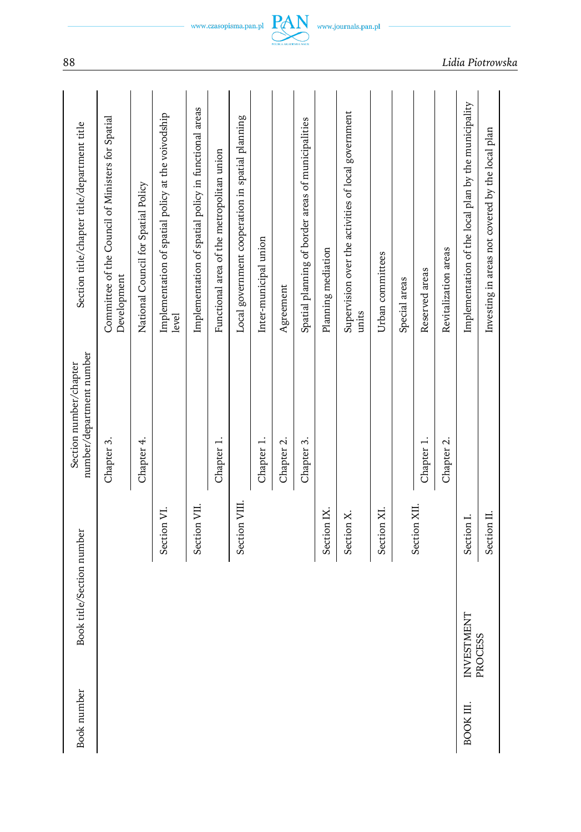| Book number | Book title/Section number |               | number/department number<br>Section number/chapter | Section title/chapter title/department title                     |
|-------------|---------------------------|---------------|----------------------------------------------------|------------------------------------------------------------------|
|             |                           |               | Chapter 3.                                         | Committee of the Council of Ministers for Spatial<br>Development |
|             |                           |               | Chapter 4.                                         | National Council for Spatial Policy                              |
|             |                           | Section VI.   |                                                    | Implementation of spatial policy at the voivodship<br>level      |
|             |                           | Section VII.  |                                                    | Implementation of spatial policy in functional areas             |
|             |                           |               | Chapter 1.                                         | Functional area of the metropolitan union                        |
|             |                           | Section VIII. |                                                    | Local government cooperation in spatial planning                 |
|             |                           |               | Chapter 1.                                         | Inter-municipal union                                            |
|             |                           |               | Chapter 2.                                         | Agreement                                                        |
|             |                           |               | Chapter 3.                                         | Spatial planning of border areas of municipalities               |
|             |                           | Section IX.   |                                                    | Planning mediation                                               |
|             |                           | Section X.    |                                                    | Supervision over the activities of local government<br>units     |
|             |                           | Section XI.   |                                                    | Urban committees                                                 |
|             |                           |               |                                                    | Special areas                                                    |
|             |                           | Section XII.  | Chapter 1.                                         | Reserved areas                                                   |
|             |                           |               | Chapter 2.                                         | Revitalization areas                                             |
| BOOK III.   | INVESTMENT                | Section I.    |                                                    | Implementation of the local plan by the municipality             |
|             | PROCESS                   | Section II.   |                                                    | Investing in areas not covered by the local plan                 |
|             |                           |               |                                                    |                                                                  |

88 *Lidia Piotrowska*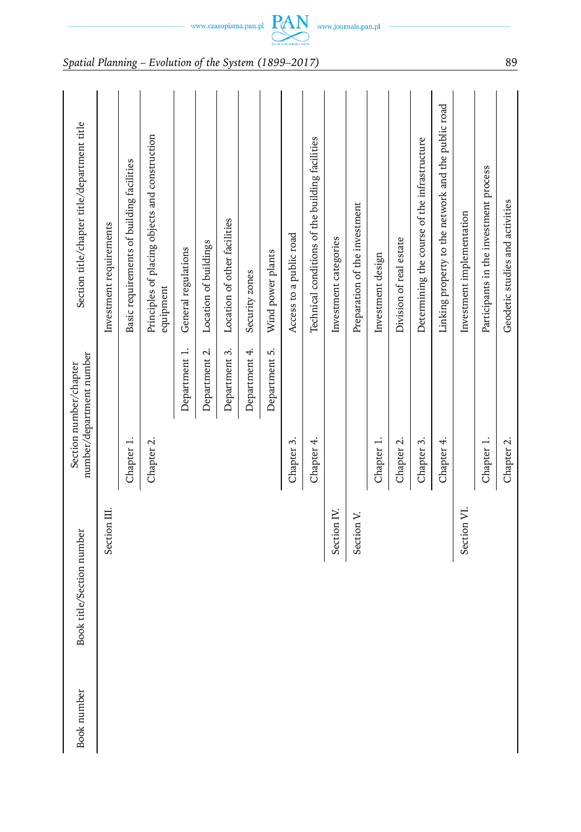| <b>Book</b> number | Book title/Section number |            | number/department number<br>Section number/chapter | Section title/chapter title/department title                |
|--------------------|---------------------------|------------|----------------------------------------------------|-------------------------------------------------------------|
|                    | Section III.              |            |                                                    | Investment requirements                                     |
|                    |                           | Chapter 1. |                                                    | Basic requirements of building facilities                   |
|                    |                           | Chapter 2. |                                                    | Principles of placing objects and construction<br>equipment |
|                    |                           |            | Department 1.                                      | General regulations                                         |
|                    |                           |            | Department 2.                                      | Location of buildings                                       |
|                    |                           |            | Department 3.                                      | Location of other facilities                                |
|                    |                           |            | Department 4.                                      | Security zones                                              |
|                    |                           |            | Department 5.                                      | Wind power plants                                           |
|                    |                           | Chapter 3. |                                                    | Access to a public road                                     |
|                    |                           | Chapter 4. |                                                    | Technical conditions of the building facilities             |
|                    | Section IV.               |            |                                                    | Investment categories                                       |
|                    | Section V.                |            |                                                    | Preparation of the investment                               |
|                    |                           | Chapter 1. |                                                    | Investment design                                           |
|                    |                           | Chapter 2. |                                                    | Division of real estate                                     |
|                    |                           | Chapter 3. |                                                    | Determining the course of the infrastructure                |
|                    |                           | Chapter 4. |                                                    | Linking property to the network and the public road         |
|                    | Section VI.               |            |                                                    | Investment implementation                                   |
|                    |                           | Chapter 1. |                                                    | Participants in the investment process                      |
|                    |                           | Chapter 2. |                                                    | Geodetic studies and activities                             |

 $\text{www.czasopisma.pan.pl}\ \underset{\text{new}}{\underbrace{\mathbf{PAN}}} \ \ \text{www.journals.pan.pl}$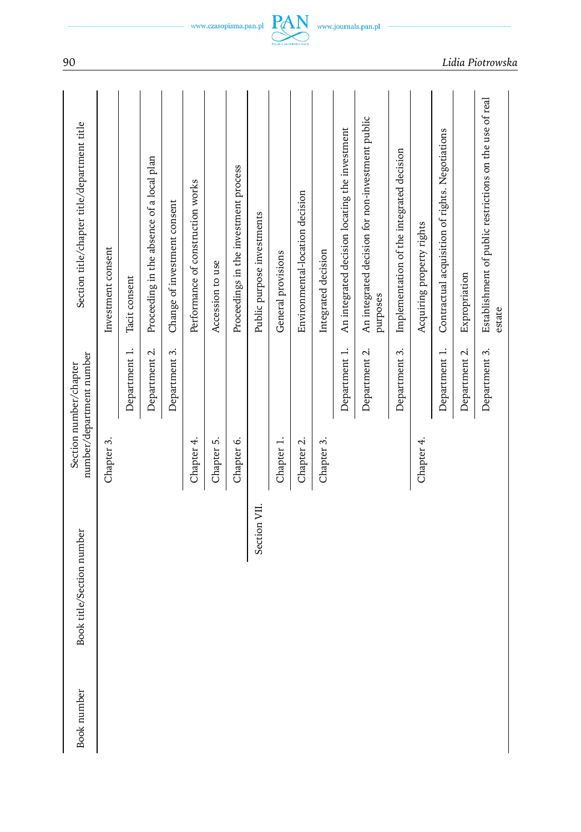| <b>Book</b> number | Book title/Section number |            | number/department number<br>Section number/chapter | Section title/chapter title/department title                      |
|--------------------|---------------------------|------------|----------------------------------------------------|-------------------------------------------------------------------|
|                    |                           | Chapter 3. |                                                    | Investment consent                                                |
|                    |                           |            | Department 1.                                      | Tacit consent                                                     |
|                    |                           |            | Department 2.                                      | Proceeding in the absence of a local plan                         |
|                    |                           |            | Department 3.                                      | Change of investment consent                                      |
|                    |                           | Chapter 4. |                                                    | Performance of construction works                                 |
|                    |                           | Chapter 5. |                                                    | Accession to use                                                  |
|                    |                           | Chapter 6. |                                                    | Proceedings in the investment process                             |
|                    | Section VII.              |            |                                                    | Public purpose investments                                        |
|                    |                           | Chapter 1. |                                                    | General provisions                                                |
|                    |                           | Chapter 2. |                                                    | Environmental-location decision                                   |
|                    |                           | Chapter 3. |                                                    | Integrated decision                                               |
|                    |                           |            | Department 1.                                      | An integrated decision locating the investment                    |
|                    |                           |            | Department 2.                                      | An integrated decision for non-investment public<br>purposes      |
|                    |                           |            | Department 3.                                      | Implementation of the integrated decision                         |
|                    |                           | Chapter 4. |                                                    | Acquiring property rights                                         |
|                    |                           |            | Department 1.                                      | Contractual acquisition of rights. Negotiations                   |
|                    |                           |            | Department 2.                                      | Expropriation                                                     |
|                    |                           |            | Department 3.                                      | Establishment of public restrictions on the use of real<br>estate |

 $-$  www.czasopisma.pan.pl  $\underbrace{PAN}_{\text{maxmaxmax}}$  www.journals.pan.pl  $-$ 

90 *Lidia Piotrowska*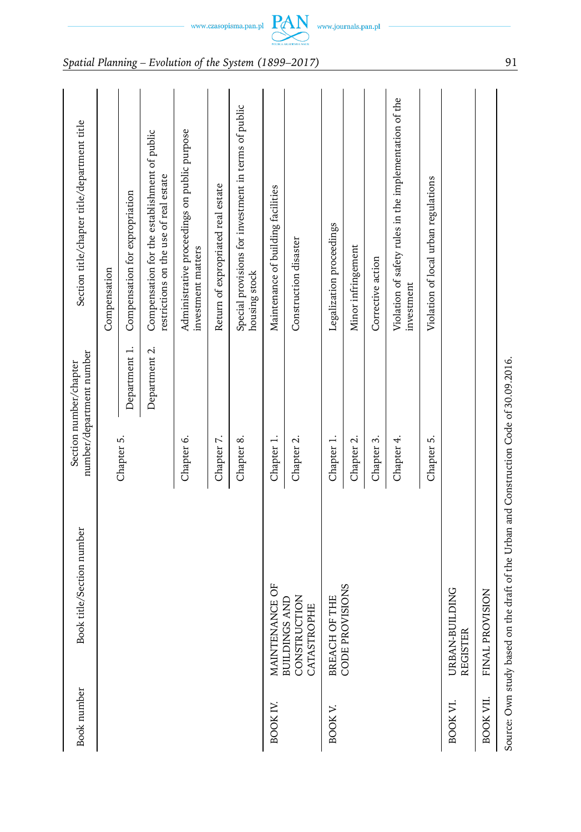| Book number     | Book title/Section number                                                              | number/department number<br>Section number/chapter | Section title/chapter title/department title                                           |
|-----------------|----------------------------------------------------------------------------------------|----------------------------------------------------|----------------------------------------------------------------------------------------|
|                 |                                                                                        |                                                    | Compensation                                                                           |
|                 |                                                                                        | Department 1.<br>Chapter 5.                        | Compensation for expropriation                                                         |
|                 |                                                                                        | Department 2.                                      | Compensation for the establishment of public<br>restrictions on the use of real estate |
|                 |                                                                                        | Chapter 6.                                         | Administrative proceedings on public purpose<br>investment matters                     |
|                 |                                                                                        | Chapter 7.                                         | Return of expropriated real estate                                                     |
|                 |                                                                                        | Chapter 8.                                         | Special provisions for investment in terms of public<br>housing stock                  |
| <b>BOOK IV.</b> | MAINTENANCE OF                                                                         | Chapter 1.                                         | Maintenance of building facilities                                                     |
|                 | CONSTRUCTION<br><b>BUILDINGS AND</b><br>CATASTROPHE                                    | Chapter 2.                                         | Construction disaster                                                                  |
| <b>BOOK V.</b>  | OF THE<br><b>BREACH</b>                                                                | Chapter 1.                                         | Legalization proceedings                                                               |
|                 | CODE PROVISIONS                                                                        | Chapter 2.                                         | Minor infringement                                                                     |
|                 |                                                                                        | Chapter 3.                                         | Corrective action                                                                      |
|                 |                                                                                        | Chapter 4.                                         | Violation of safety rules in the implementation of the<br>investment                   |
|                 |                                                                                        | Chapter 5.                                         | Violation of local urban regulations                                                   |
| BOOK VI.        | URBAN-BUILDING<br><b>REGISTER</b>                                                      |                                                    |                                                                                        |
| BOOK VII.       | <b>OVISION</b><br>FINAL PR                                                             |                                                    |                                                                                        |
|                 | Source: Own study based on the draft of the Urban and Construction Code of 30.09.2016. |                                                    |                                                                                        |

 $\text{www.czasopisma.pan.pl}\underbrace{\text{PAN}}_{\text{maxon,source}}\text{www.journals.pan.pl}$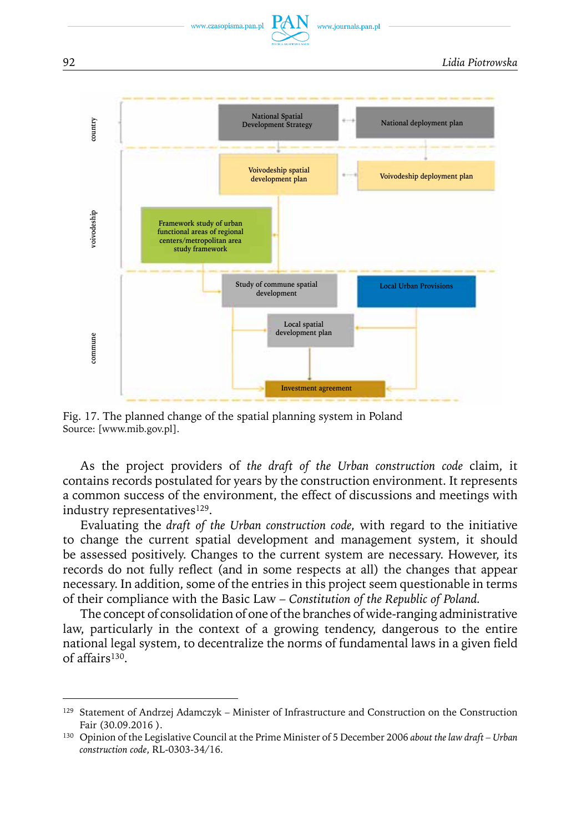

#### 92 *Lidia Piotrowska*



Fig. 17. The planned change of the spatial planning system in Poland Source: [www.mib.gov.pl].

As the project providers of *the draft of the Urban construction code* claim, it contains records postulated for years by the construction environment. It represents a common success of the environment, the effect of discussions and meetings with industry representatives<sup>129</sup>.

Evaluating the *draft of the Urban construction code,* with regard to the initiative to change the current spatial development and management system, it should be assessed positively. Changes to the current system are necessary. However, its records do not fully reflect (and in some respects at all) the changes that appear necessary. In addition, some of the entries in this project seem questionable in terms of their compliance with the Basic Law – *Constitution of the Republic of Poland.*

The concept of consolidation of one of the branches of wide-ranging administrative law, particularly in the context of a growing tendency, dangerous to the entire national legal system, to decentralize the norms of fundamental laws in a given field of affairs130.

<sup>&</sup>lt;sup>129</sup> Statement of Andrzej Adamczyk – Minister of Infrastructure and Construction on the Construction Fair (30.09.2016 ).

<sup>130</sup> Opinion of the Legislative Council at the Prime Minister of 5 December 2006 *about the law draft – Urban construction code*, RL-0303-34/16.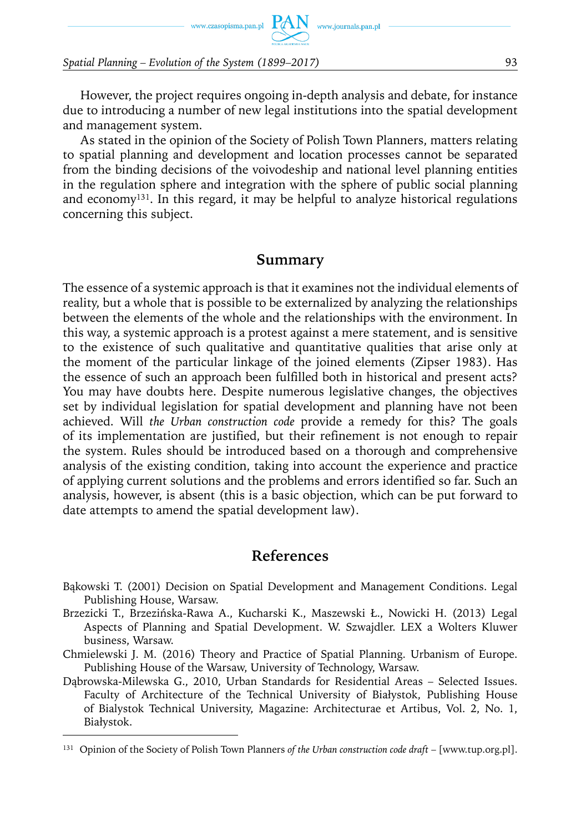www.czasopisma.pan.pl  $PAN$  www.journals.pan.pl

*Spatial Planning – Evolution of the System (1899–2017)* 93

However, the project requires ongoing in-depth analysis and debate, for instance due to introducing a number of new legal institutions into the spatial development and management system.

As stated in the opinion of the Society of Polish Town Planners, matters relating to spatial planning and development and location processes cannot be separated from the binding decisions of the voivodeship and national level planning entities in the regulation sphere and integration with the sphere of public social planning and economy131. In this regard, it may be helpful to analyze historical regulations concerning this subject.

### **Summary**

The essence of a systemic approach is that it examines not the individual elements of reality, but a whole that is possible to be externalized by analyzing the relationships between the elements of the whole and the relationships with the environment. In this way, a systemic approach is a protest against a mere statement, and is sensitive to the existence of such qualitative and quantitative qualities that arise only at the moment of the particular linkage of the joined elements (Zipser 1983). Has the essence of such an approach been fulfilled both in historical and present acts? You may have doubts here. Despite numerous legislative changes, the objectives set by individual legislation for spatial development and planning have not been achieved. Will *the Urban construction code* provide a remedy for this? The goals of its implementation are justified, but their refinement is not enough to repair the system. Rules should be introduced based on a thorough and comprehensive analysis of the existing condition, taking into account the experience and practice of applying current solutions and the problems and errors identified so far. Such an analysis, however, is absent (this is a basic objection, which can be put forward to date attempts to amend the spatial development law).

### **References**

- Bąkowski T. (2001) Decision on Spatial Development and Management Conditions. Legal Publishing House, Warsaw.
- Brzezicki T., Brzezińska-Rawa A., Kucharski K., Maszewski Ł., Nowicki H. (2013) Legal Aspects of Planning and Spatial Development. W. Szwajdler. LEX a Wolters Kluwer business, Warsaw.
- Chmielewski J. M. (2016) Theory and Practice of Spatial Planning. Urbanism of Europe. Publishing House of the Warsaw, University of Technology, Warsaw.
- Dąbrowska-Milewska G., 2010, Urban Standards for Residential Areas Selected Issues. Faculty of Architecture of the Technical University of Białystok, Publishing House of Bialystok Technical University, Magazine: Architecturae et Artibus, Vol. 2, No. 1, Białystok.

<sup>131</sup> Opinion of the Society of Polish Town Planners *of the Urban construction code draft* – [www.tup.org.pl].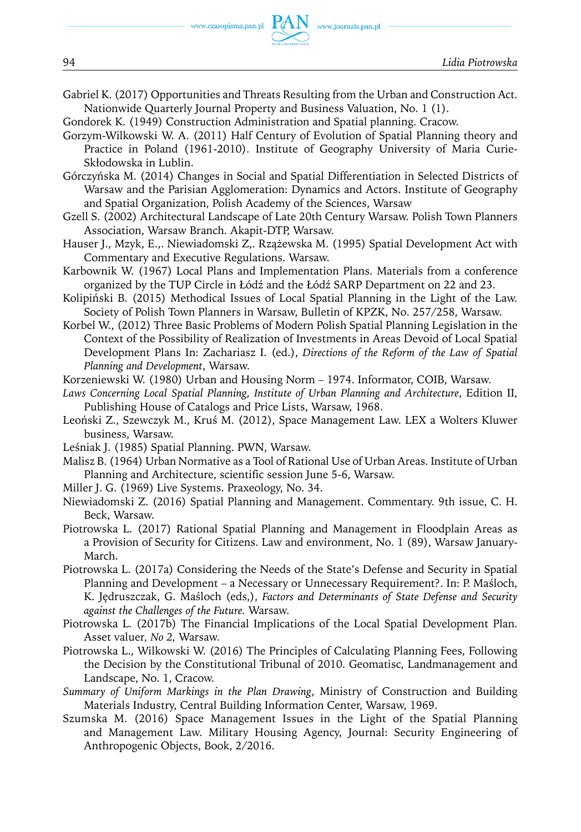Gabriel K. (2017) Opportunities and Threats Resulting from the Urban and Construction Act. Nationwide Quarterly Journal Property and Business Valuation, No. 1 (1).

Gondorek K. (1949) Construction Administration and Spatial planning. Cracow.

- Gorzym-Wilkowski W. A. (2011) Half Century of Evolution of Spatial Planning theory and Practice in Poland (1961-2010). Institute of Geography University of Maria Curie-Skłodowska in Lublin.
- Górczyńska M. (2014) Changes in Social and Spatial Differentiation in Selected Districts of Warsaw and the Parisian Agglomeration: Dynamics and Actors. Institute of Geography and Spatial Organization, Polish Academy of the Sciences, Warsaw
- Gzell S. (2002) Architectural Landscape of Late 20th Century Warsaw. Polish Town Planners Association, Warsaw Branch. Akapit-DTP, Warsaw.
- Hauser J., Mzyk, E.,. Niewiadomski Z,. Rzążewska M. (1995) Spatial Development Act with Commentary and Executive Regulations. Warsaw.
- Karbownik W. (1967) Local Plans and Implementation Plans. Materials from a conference organized by the TUP Circle in Łódź and the Łódź SARP Department on 22 and 23.
- Kolipiński B. (2015) Methodical Issues of Local Spatial Planning in the Light of the Law. Society of Polish Town Planners in Warsaw, Bulletin of KPZK, No. 257/258, Warsaw.
- Korbel W., (2012) Three Basic Problems of Modern Polish Spatial Planning Legislation in the Context of the Possibility of Realization of Investments in Areas Devoid of Local Spatial Development Plans In: Zachariasz I. (ed.), *Directions of the Reform of the Law of Spatial Planning and Development*, Warsaw.
- Korzeniewski W. (1980) Urban and Housing Norm 1974. Informator, COIB, Warsaw.
- *Laws Concerning Local Spatial Planning, Institute of Urban Planning and Architecture*, Edition II, Publishing House of Catalogs and Price Lists, Warsaw, 1968.
- Leoński Z., Szewczyk M., Kruś M. (2012), Space Management Law. LEX a Wolters Kluwer business, Warsaw.
- Leśniak J. (1985) Spatial Planning. PWN, Warsaw.
- Malisz B. (1964) Urban Normative as a Tool of Rational Use of Urban Areas. Institute of Urban Planning and Architecture, scientific session June 5-6, Warsaw.
- Miller J. G. (1969) Live Systems. Praxeology, No. 34.
- Niewiadomski Z. (2016) Spatial Planning and Management. Commentary. 9th issue, C. H. Beck, Warsaw.
- Piotrowska L. (2017) Rational Spatial Planning and Management in Floodplain Areas as a Provision of Security for Citizens. Law and environment, No. 1 (89), Warsaw January-March.
- Piotrowska L. (2017a) Considering the Needs of the State's Defense and Security in Spatial Planning and Development – a Necessary or Unnecessary Requirement?. In: P. Maśloch, K. Jędruszczak, G. Maśloch (eds,), *Factors and Determinants of State Defense and Security against the Challenges of the Future.* Warsaw.
- Piotrowska L. (2017b) The Financial Implications of the Local Spatial Development Plan. Asset valuer*, No 2,* Warsaw.
- Piotrowska L., Wilkowski W. (2016) The Principles of Calculating Planning Fees, Following the Decision by the Constitutional Tribunal of 2010. Geomatisc, Landmanagement and Landscape, No. 1, Cracow.
- *Summary of Uniform Markings in the Plan Drawing*, Ministry of Construction and Building Materials Industry, Central Building Information Center, Warsaw, 1969.
- Szumska M. (2016) Space Management Issues in the Light of the Spatial Planning and Management Law. Military Housing Agency, Journal: Security Engineering of Anthropogenic Objects, Book, 2/2016.